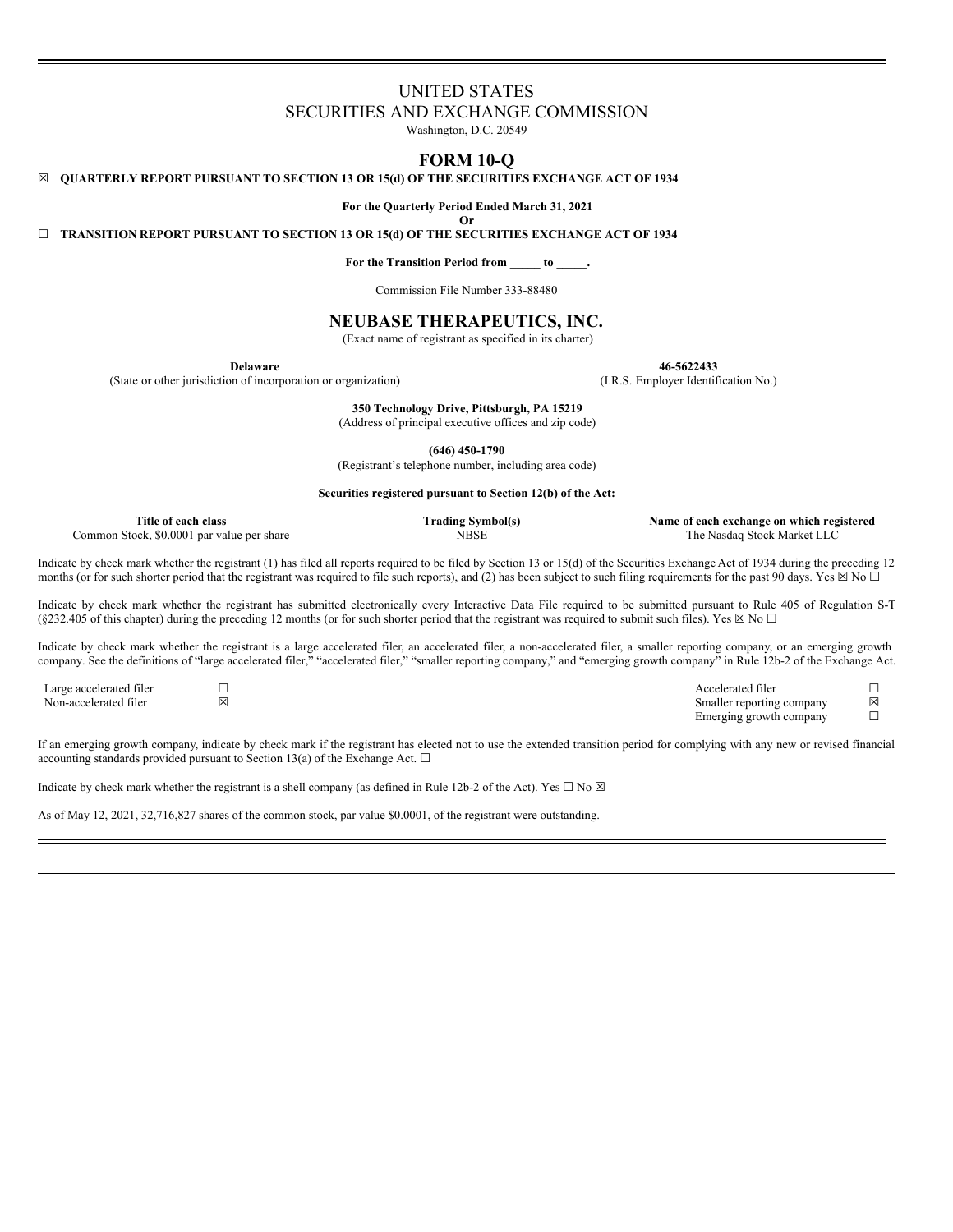# UNITED STATES SECURITIES AND EXCHANGE COMMISSION

Washington, D.C. 20549

# **FORM 10-Q**

**☒ QUARTERLY REPORT PURSUANT TO SECTION 13 OR 15(d) OF THE SECURITIES EXCHANGE ACT OF 1934**

**For the Quarterly Period Ended March 31, 2021**

**Or**

**☐ TRANSITION REPORT PURSUANT TO SECTION 13 OR 15(d) OF THE SECURITIES EXCHANGE ACT OF 1934**

**For the Transition Period from \_\_\_\_\_ to \_\_\_\_\_.**

Commission File Number 333-88480

# **NEUBASE THERAPEUTICS, INC.**

(Exact name of registrant as specified in its charter)

(State or other jurisdiction of incorporation or organization) (I.R.S. Employer Identification No.)

**Delaware 46-5622433**

**350 Technology Drive, Pittsburgh, PA 15219** (Address of principal executive offices and zip code)

**(646) 450-1790**

(Registrant's telephone number, including area code)

**Securities registered pursuant to Section 12(b) of the Act:**

| Title of each class                        | Trading Symbol(s) | Name of each exchange on which registered |
|--------------------------------------------|-------------------|-------------------------------------------|
| Common Stock, \$0.0001 par value per share | NBSF              | The Nasdaq Stock Market LLC               |

Indicate by check mark whether the registrant (1) has filed all reports required to be filed by Section 13 or 15(d) of the Securities Exchange Act of 1934 during the preceding 12 months (or for such shorter period that the registrant was required to file such reports), and (2) has been subject to such filing requirements for the past 90 days. Yes  $\boxtimes$  No  $\Box$ 

Indicate by check mark whether the registrant has submitted electronically every Interactive Data File required to be submitted pursuant to Rule 405 of Regulation S-T (§232.405 of this chapter) during the preceding 12 months (or for such shorter period that the registrant was required to submit such files). Yes  $\boxtimes$  No  $\Box$ 

Indicate by check mark whether the registrant is a large accelerated filer, an accelerated filer, a non-accelerated filer, a smaller reporting company, or an emerging growth company. See the definitions of "large accelerated filer," "accelerated filer," "smaller reporting company," and "emerging growth company" in Rule 12b-2 of the Exchange Act.

| Large accelerated filer |   | Accelerated filer         |   |
|-------------------------|---|---------------------------|---|
| Non-accelerated filer   | 区 | Smaller reporting company | 冈 |
|                         |   | Emerging growth company   |   |

If an emerging growth company, indicate by check mark if the registrant has elected not to use the extended transition period for complying with any new or revised financial accounting standards provided pursuant to Section 13(a) of the Exchange Act.  $\square$ 

Indicate by check mark whether the registrant is a shell company (as defined in Rule 12b-2 of the Act). Yes  $\Box$  No  $\boxtimes$ 

As of May 12, 2021, 32,716,827 shares of the common stock, par value \$0.0001, of the registrant were outstanding.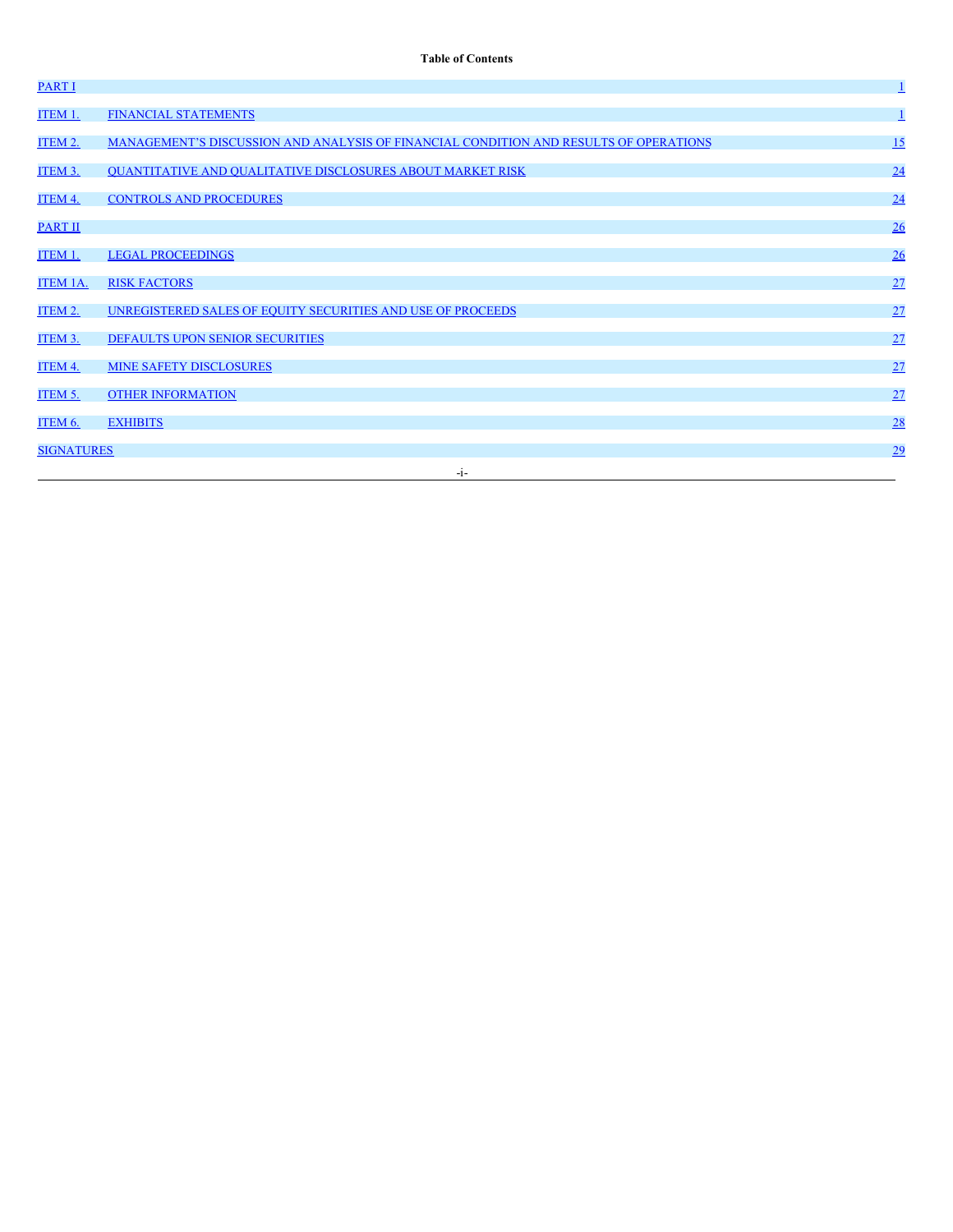| <b>PART I</b>     |                                                                                       | $\perp$         |
|-------------------|---------------------------------------------------------------------------------------|-----------------|
| ITEM 1.           | <b>FINANCIAL STATEMENTS</b>                                                           | $\underline{1}$ |
| <b>ITEM 2.</b>    | MANAGEMENT'S DISCUSSION AND ANALYSIS OF FINANCIAL CONDITION AND RESULTS OF OPERATIONS | 15              |
| <b>ITEM 3.</b>    | <b>QUANTITATIVE AND QUALITATIVE DISCLOSURES ABOUT MARKET RISK</b>                     | 24              |
| ITEM 4.           | <b>CONTROLS AND PROCEDURES</b>                                                        | 24              |
| <b>PART II</b>    |                                                                                       | 26              |
| ITEM 1.           | <b>LEGAL PROCEEDINGS</b>                                                              | 26              |
| ITEM 1A.          | <b>RISK FACTORS</b>                                                                   | 27              |
| ITEM 2.           | UNREGISTERED SALES OF EQUITY SECURITIES AND USE OF PROCEEDS                           | 27              |
| <b>ITEM 3.</b>    | DEFAULTS UPON SENIOR SECURITIES                                                       | 27              |
| ITEM 4.           | <b>MINE SAFETY DISCLOSURES</b>                                                        | 27              |
| ITEM 5.           | <b>OTHER INFORMATION</b>                                                              | 27              |
| ITEM 6.           | <b>EXHIBITS</b>                                                                       | 28              |
| <b>SIGNATURES</b> |                                                                                       | 29              |
|                   | $-i-$                                                                                 |                 |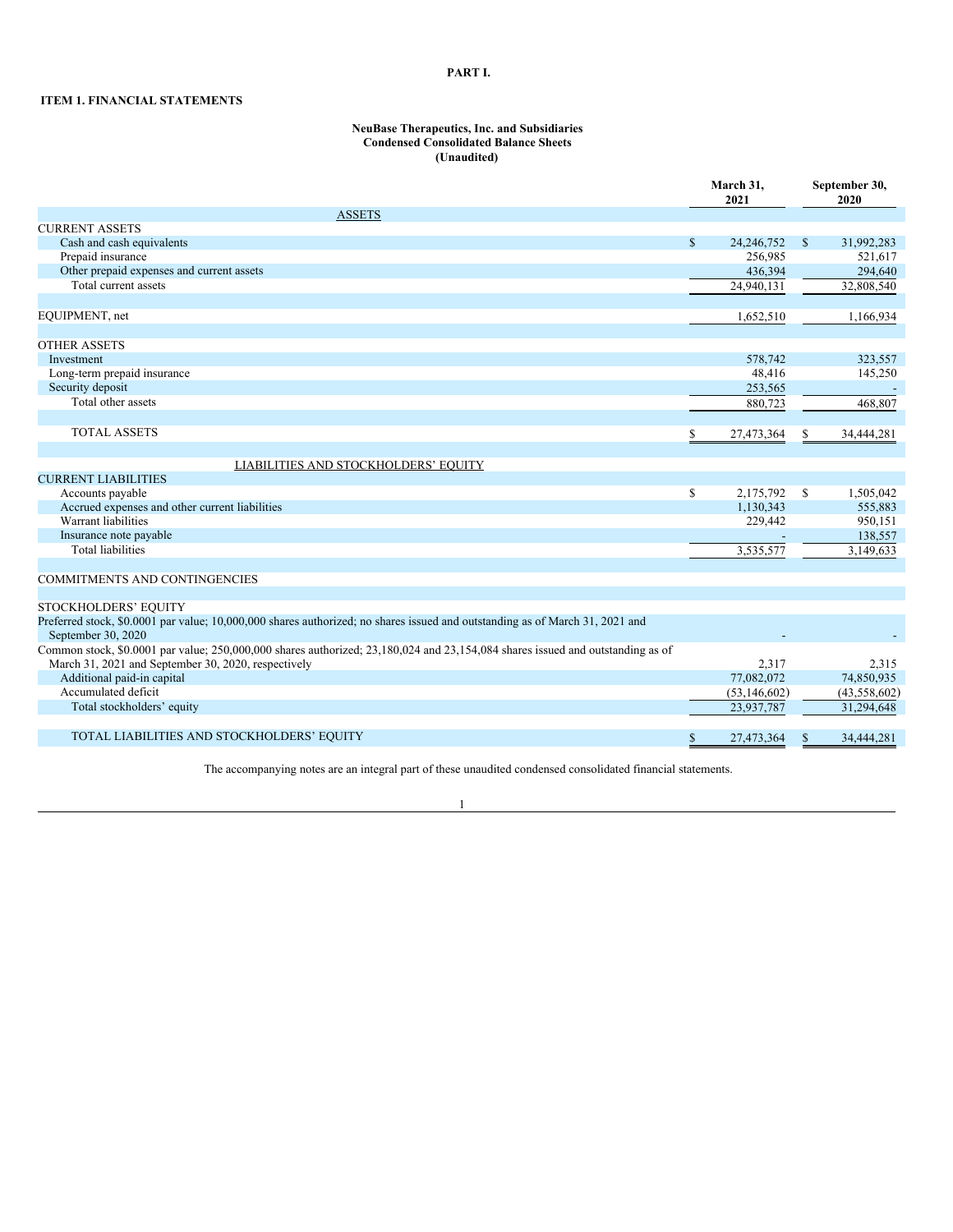# <span id="page-2-1"></span>**ITEM 1. FINANCIAL STATEMENTS**

#### <span id="page-2-0"></span>**NeuBase Therapeutics, Inc. and Subsidiaries Condensed Consolidated Balance Sheets (Unaudited)**

|                                                                                                                                                                                       |               | March 31,<br>2021 |              | September 30,<br>2020 |
|---------------------------------------------------------------------------------------------------------------------------------------------------------------------------------------|---------------|-------------------|--------------|-----------------------|
| <b>ASSETS</b>                                                                                                                                                                         |               |                   |              |                       |
| <b>CURRENT ASSETS</b>                                                                                                                                                                 |               |                   |              |                       |
| Cash and cash equivalents                                                                                                                                                             | $\mathbb{S}$  | 24, 246, 752      | <sup>S</sup> | 31,992,283            |
| Prepaid insurance                                                                                                                                                                     |               | 256,985           |              | 521,617               |
| Other prepaid expenses and current assets                                                                                                                                             |               | 436,394           |              | 294,640               |
| Total current assets                                                                                                                                                                  |               | 24,940,131        |              | 32,808,540            |
| EQUIPMENT, net                                                                                                                                                                        |               | 1,652,510         |              | 1,166,934             |
| <b>OTHER ASSETS</b>                                                                                                                                                                   |               |                   |              |                       |
| Investment                                                                                                                                                                            |               | 578,742           |              | 323,557               |
| Long-term prepaid insurance                                                                                                                                                           |               | 48,416            |              | 145,250               |
| Security deposit                                                                                                                                                                      |               | 253,565           |              |                       |
| Total other assets                                                                                                                                                                    |               | 880,723           |              | 468.807               |
| <b>TOTAL ASSETS</b>                                                                                                                                                                   | \$            | 27,473,364        | \$           | 34,444,281            |
| LIABILITIES AND STOCKHOLDERS' EQUITY                                                                                                                                                  |               |                   |              |                       |
| <b>CURRENT LIABILITIES</b>                                                                                                                                                            |               |                   |              |                       |
| Accounts payable                                                                                                                                                                      | \$            | 2,175,792         | S            | 1,505,042             |
| Accrued expenses and other current liabilities                                                                                                                                        |               | 1,130,343         |              | 555,883               |
| Warrant liabilities                                                                                                                                                                   |               | 229,442           |              | 950,151               |
| Insurance note payable                                                                                                                                                                |               |                   |              | 138,557               |
| <b>Total liabilities</b>                                                                                                                                                              |               | 3,535,577         |              | 3,149,633             |
| <b>COMMITMENTS AND CONTINGENCIES</b>                                                                                                                                                  |               |                   |              |                       |
|                                                                                                                                                                                       |               |                   |              |                       |
| STOCKHOLDERS' EQUITY                                                                                                                                                                  |               |                   |              |                       |
| Preferred stock, \$0.0001 par value; 10,000,000 shares authorized; no shares issued and outstanding as of March 31, 2021 and<br>September 30, 2020                                    |               |                   |              |                       |
| Common stock, \$0.0001 par value; 250,000,000 shares authorized; 23,180,024 and 23,154,084 shares issued and outstanding as of<br>March 31, 2021 and September 30, 2020, respectively |               | 2,317             |              | 2,315                 |
| Additional paid-in capital                                                                                                                                                            |               | 77,082,072        |              | 74,850,935            |
| Accumulated deficit                                                                                                                                                                   |               | (53, 146, 602)    |              | (43, 558, 602)        |
| Total stockholders' equity                                                                                                                                                            |               | 23,937,787        |              | 31,294,648            |
|                                                                                                                                                                                       |               |                   |              |                       |
| TOTAL LIABILITIES AND STOCKHOLDERS' EQUITY                                                                                                                                            | <sup>\$</sup> | 27,473,364        | S            | 34,444,281            |

The accompanying notes are an integral part of these unaudited condensed consolidated financial statements.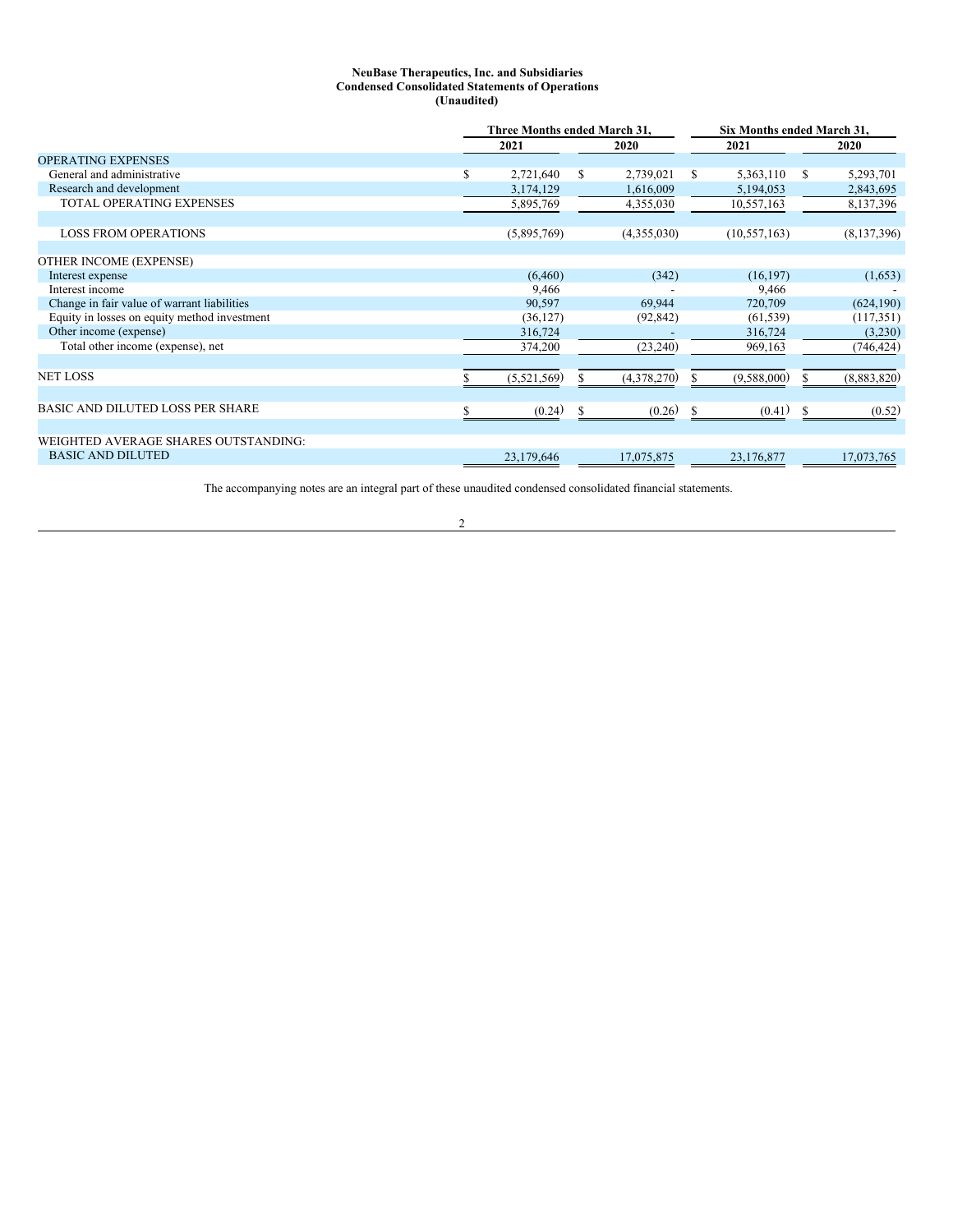### **NeuBase Therapeutics, Inc. and Subsidiaries Condensed Consolidated Statements of Operations (Unaudited)**

|                                              | Three Months ended March 31. |   |             | Six Months ended March 31. |                |   |             |  |
|----------------------------------------------|------------------------------|---|-------------|----------------------------|----------------|---|-------------|--|
|                                              | 2021                         |   | 2020        |                            | 2021           |   | 2020        |  |
| <b>OPERATING EXPENSES</b>                    |                              |   |             |                            |                |   |             |  |
| General and administrative                   | \$<br>2,721,640              | S | 2,739,021   | S                          | 5,363,110      | S | 5,293,701   |  |
| Research and development                     | 3,174,129                    |   | 1,616,009   |                            | 5,194,053      |   | 2,843,695   |  |
| <b>TOTAL OPERATING EXPENSES</b>              | 5,895,769                    |   | 4,355,030   |                            | 10,557,163     |   | 8,137,396   |  |
|                                              |                              |   |             |                            |                |   |             |  |
| <b>LOSS FROM OPERATIONS</b>                  | (5,895,769)                  |   | (4,355,030) |                            | (10, 557, 163) |   | (8,137,396) |  |
|                                              |                              |   |             |                            |                |   |             |  |
| OTHER INCOME (EXPENSE)                       |                              |   |             |                            |                |   |             |  |
| Interest expense                             | (6, 460)                     |   | (342)       |                            | (16, 197)      |   | (1,653)     |  |
| Interest income                              | 9,466                        |   |             |                            | 9,466          |   |             |  |
| Change in fair value of warrant liabilities  | 90,597                       |   | 69,944      |                            | 720,709        |   | (624, 190)  |  |
| Equity in losses on equity method investment | (36, 127)                    |   | (92, 842)   |                            | (61, 539)      |   | (117, 351)  |  |
| Other income (expense)                       | 316,724                      |   |             |                            | 316,724        |   | (3,230)     |  |
| Total other income (expense), net            | 374,200                      |   | (23,240)    |                            | 969,163        |   | (746, 424)  |  |
|                                              |                              |   |             |                            |                |   |             |  |
| <b>NET LOSS</b>                              | (5,521,569)                  |   | (4,378,270) |                            | (9,588,000)    |   | (8,883,820) |  |
|                                              |                              |   |             |                            |                |   |             |  |
| BASIC AND DILUTED LOSS PER SHARE             | (0.24)                       | S | (0.26)      | S                          | (0.41)         | S | (0.52)      |  |
|                                              |                              |   |             |                            |                |   |             |  |
| WEIGHTED AVERAGE SHARES OUTSTANDING:         |                              |   |             |                            |                |   |             |  |
| <b>BASIC AND DILUTED</b>                     | 23,179,646                   |   | 17,075,875  |                            | 23,176,877     |   | 17,073,765  |  |
|                                              |                              |   |             |                            |                |   |             |  |

The accompanying notes are an integral part of these unaudited condensed consolidated financial statements.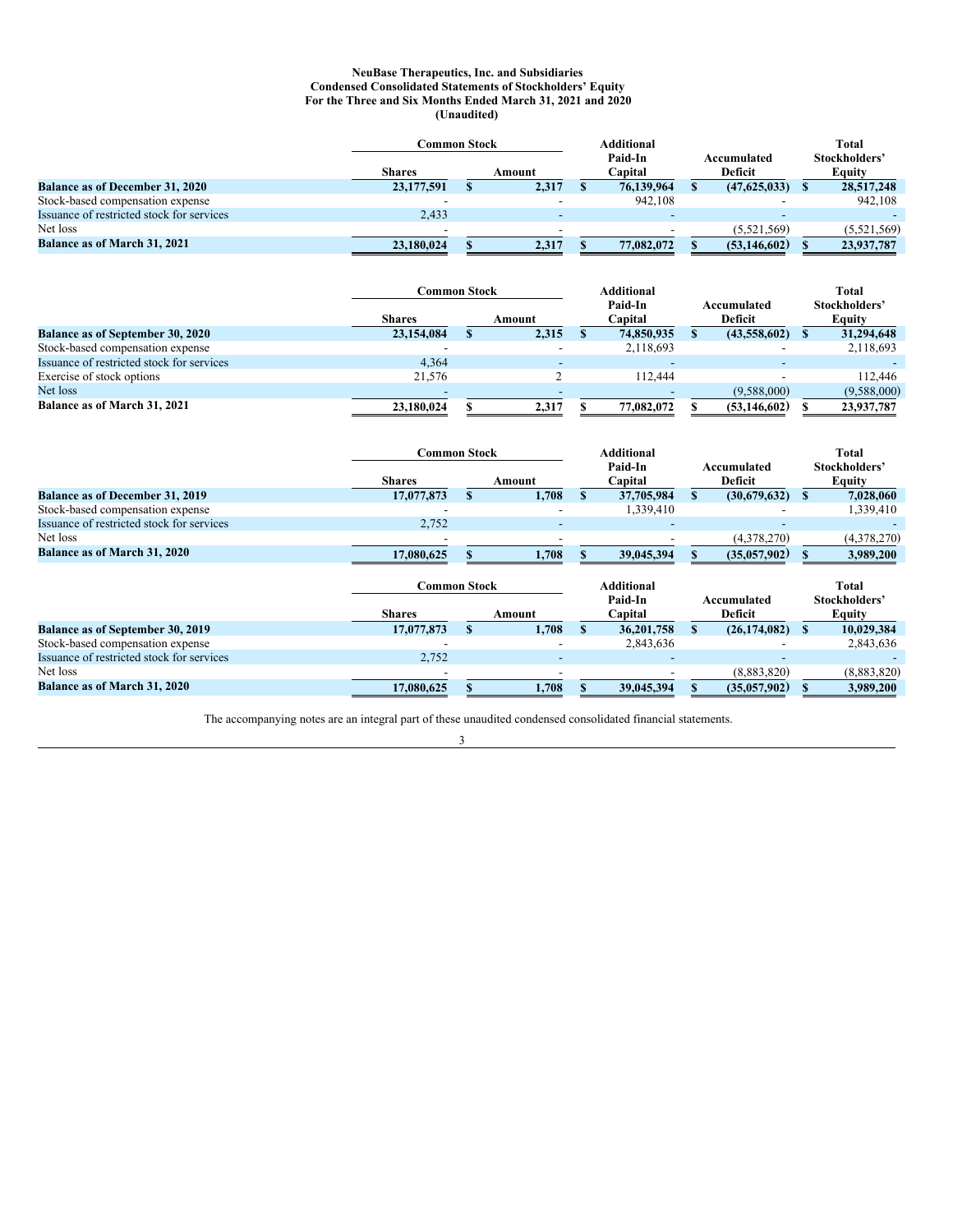## **NeuBase Therapeutics, Inc. and Subsidiaries Condensed Consolidated Statements of Stockholders' Equity For the Three and Six Months Ended March 31, 2021 and 2020 (Unaudited)**

|                                           | Common Stock  |        |         | <b>Additional</b> |  |                | Total       |               |
|-------------------------------------------|---------------|--------|---------|-------------------|--|----------------|-------------|---------------|
|                                           |               |        | Paid-In |                   |  |                | Accumulated | Stockholders' |
|                                           | <b>Shares</b> | Amount |         | Capital           |  | <b>Deficit</b> | Equity      |               |
| <b>Balance as of December 31, 2020</b>    | 23, 177, 591  | 2,317  |         | 76.139.964        |  | (47, 625, 033) | 28,517,248  |               |
| Stock-based compensation expense          |               |        |         | 942.108           |  |                | 942,108     |               |
| Issuance of restricted stock for services | 2,433         |        |         |                   |  |                |             |               |
| Net loss                                  |               |        |         |                   |  | (5.521.569)    | (5,521,569) |               |
| <b>Balance as of March 31, 2021</b>       | 23.180.024    | 2,317  |         | 77.082.072        |  | (53, 146, 602) | 23,937,787  |               |

|                                           | Common Stock  |  |        | <b>Additional</b> |                    |  |                        | <b>Total</b>            |
|-------------------------------------------|---------------|--|--------|-------------------|--------------------|--|------------------------|-------------------------|
|                                           | <b>Shares</b> |  | Amount |                   | Paid-In<br>Capital |  | Accumulated<br>Deficit | Stockholders'<br>Equity |
| <b>Balance as of September 30, 2020</b>   | 23.154.084    |  | 2,315  |                   | 74.850.935         |  | (43,558,602)           | 31,294,648              |
| Stock-based compensation expense          |               |  |        |                   | 2,118,693          |  |                        | 2,118,693               |
| Issuance of restricted stock for services | 4,364         |  |        |                   |                    |  |                        |                         |
| Exercise of stock options                 | 21.576        |  |        |                   | 112.444            |  |                        | 112,446                 |
| Net loss                                  |               |  |        |                   |                    |  | (9.588,000)            | (9,588,000)             |
| Balance as of March 31, 2021              | 23,180,024    |  | 2.317  |                   | 77,082,072         |  | (53.146.602)           | 23,937,787              |

|                                           | <b>Common Stock</b> |        |                   | <b>Additional</b>  |  |                               |       | <b>Total</b>                   |
|-------------------------------------------|---------------------|--------|-------------------|--------------------|--|-------------------------------|-------|--------------------------------|
|                                           | <b>Shares</b>       | Amount |                   | Paid-In<br>Capital |  | Accumulated<br><b>Deficit</b> |       | Stockholders'<br><b>Equity</b> |
| <b>Balance as of December 31, 2019</b>    | 17,077,873          | 1,708  |                   | 37,705,984         |  | (30,679,632)                  |       | 7,028,060                      |
| Stock-based compensation expense          |                     |        |                   | 1,339,410          |  |                               |       | 1,339,410                      |
| Issuance of restricted stock for services | 2,752               |        |                   |                    |  |                               |       |                                |
| Net loss                                  |                     |        |                   |                    |  | (4,378,270)                   |       | (4,378,270)                    |
| Balance as of March 31, 2020              | 17,080,625          | 1,708  |                   | 39,045,394         |  | (35,057,902)                  |       | 3,989,200                      |
|                                           | <b>Common Stock</b> |        | <b>Additional</b> |                    |  |                               | Total |                                |
|                                           |                     |        |                   | Paid-In            |  | Accumulated                   |       | Stockholders'                  |
|                                           | <b>Shares</b>       | Amount |                   | Capital            |  | Deficit                       |       | Equity                         |
| Balance as of September 30, 2019          | 17,077,873          | 1,708  | $\mathbf{S}$      | 36,201,758         |  | (26, 174, 082)                |       | 10,029,384                     |
| Stock-based compensation expense          |                     |        |                   | 2,843,636          |  |                               |       | 2,843,636                      |
| Issuance of restricted stock for services | 2,752               |        |                   |                    |  |                               |       |                                |
| Net loss                                  |                     |        |                   |                    |  | (8,883,820)                   |       | (8,883,820)                    |

The accompanying notes are an integral part of these unaudited condensed consolidated financial statements.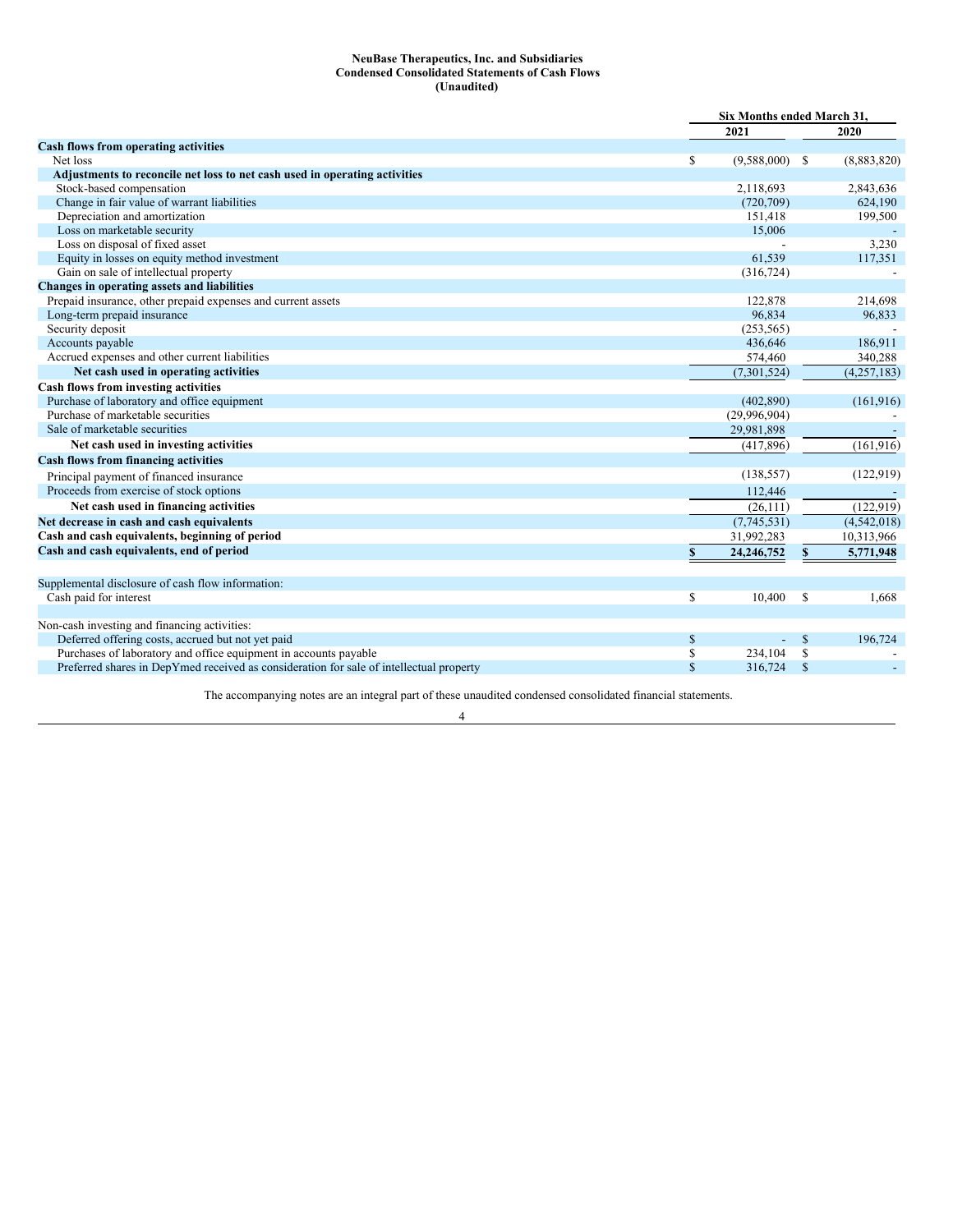# **NeuBase Therapeutics, Inc. and Subsidiaries Condensed Consolidated Statements of Cash Flows (Unaudited)**

|                                                                                         |                           | Six Months ended March 31, |             |  |
|-----------------------------------------------------------------------------------------|---------------------------|----------------------------|-------------|--|
|                                                                                         | 2021                      |                            | 2020        |  |
| <b>Cash flows from operating activities</b>                                             |                           |                            |             |  |
| Net loss                                                                                | \$                        | (9,588,000)<br>S.          | (8,883,820) |  |
| Adjustments to reconcile net loss to net cash used in operating activities              |                           |                            |             |  |
| Stock-based compensation                                                                |                           | 2,118,693                  | 2,843,636   |  |
| Change in fair value of warrant liabilities                                             |                           | (720, 709)                 | 624,190     |  |
| Depreciation and amortization                                                           |                           | 151,418                    | 199,500     |  |
| Loss on marketable security                                                             |                           | 15,006                     |             |  |
| Loss on disposal of fixed asset                                                         |                           |                            | 3,230       |  |
| Equity in losses on equity method investment                                            |                           | 61,539                     | 117,351     |  |
| Gain on sale of intellectual property                                                   |                           | (316, 724)                 |             |  |
| Changes in operating assets and liabilities                                             |                           |                            |             |  |
| Prepaid insurance, other prepaid expenses and current assets                            |                           | 122,878                    | 214,698     |  |
| Long-term prepaid insurance                                                             |                           | 96,834                     | 96,833      |  |
| Security deposit                                                                        |                           | (253, 565)                 |             |  |
| Accounts payable                                                                        |                           | 436,646                    | 186,911     |  |
| Accrued expenses and other current liabilities                                          |                           | 574,460                    | 340,288     |  |
| Net cash used in operating activities                                                   |                           | (7,301,524)                | (4,257,183) |  |
| Cash flows from investing activities                                                    |                           |                            |             |  |
| Purchase of laboratory and office equipment                                             |                           | (402, 890)                 | (161, 916)  |  |
| Purchase of marketable securities                                                       | (29,996,904)              |                            |             |  |
| Sale of marketable securities                                                           | 29,981,898                |                            |             |  |
| Net cash used in investing activities                                                   |                           | (417, 896)                 | (161, 916)  |  |
| <b>Cash flows from financing activities</b>                                             |                           |                            |             |  |
| Principal payment of financed insurance                                                 |                           | (138, 557)                 | (122, 919)  |  |
| Proceeds from exercise of stock options                                                 |                           | 112,446                    |             |  |
| Net cash used in financing activities                                                   |                           | (26,111)                   | (122, 919)  |  |
| Net decrease in cash and cash equivalents                                               | (7,745,531)               |                            | (4,542,018) |  |
| Cash and cash equivalents, beginning of period                                          | 31,992,283                |                            | 10,313,966  |  |
| Cash and cash equivalents, end of period                                                | $\mathbf S$<br>24,246,752 | $\mathbf{s}$               | 5,771,948   |  |
|                                                                                         |                           |                            |             |  |
| Supplemental disclosure of cash flow information:                                       |                           |                            |             |  |
| Cash paid for interest                                                                  | \$                        | 10,400<br><sup>\$</sup>    | 1,668       |  |
|                                                                                         |                           |                            |             |  |
| Non-cash investing and financing activities:                                            |                           |                            |             |  |
| Deferred offering costs, accrued but not yet paid                                       | $\mathcal{S}$             | $\mathbf S$                | 196,724     |  |
| Purchases of laboratory and office equipment in accounts payable                        | \$                        | 234,104<br>S               |             |  |
| Preferred shares in DepYmed received as consideration for sale of intellectual property | $\mathbb{S}$              | $\mathcal{S}$<br>316,724   |             |  |

The accompanying notes are an integral part of these unaudited condensed consolidated financial statements.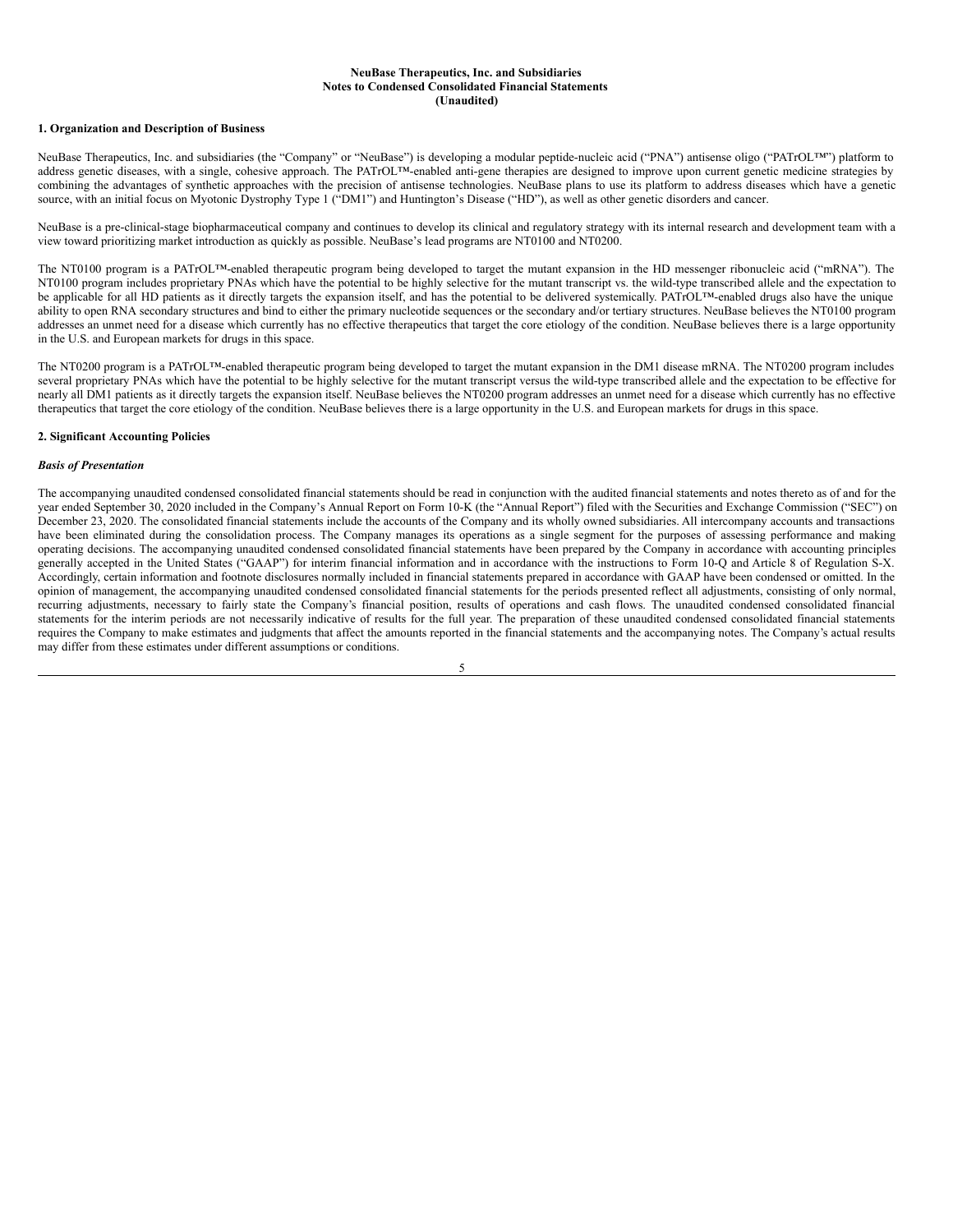### **1. Organization and Description of Business**

NeuBase Therapeutics, Inc. and subsidiaries (the "Company" or "NeuBase") is developing a modular peptide-nucleic acid ("PNA") antisense oligo ("PATrOL™") platform to address genetic diseases, with a single, cohesive approach. The PATrOL™-enabled anti-gene therapies are designed to improve upon current genetic medicine strategies by combining the advantages of synthetic approaches with the precision of antisense technologies. NeuBase plans to use its platform to address diseases which have a genetic source, with an initial focus on Myotonic Dystrophy Type 1 ("DM1") and Huntington's Disease ("HD"), as well as other genetic disorders and cancer.

NeuBase is a pre-clinical-stage biopharmaceutical company and continues to develop its clinical and regulatory strategy with its internal research and development team with a view toward prioritizing market introduction as quickly as possible. NeuBase's lead programs are NT0100 and NT0200.

The NT0100 program is a PATrOL™-enabled therapeutic program being developed to target the mutant expansion in the HD messenger ribonucleic acid ("mRNA"). The NT0100 program includes proprietary PNAs which have the potential to be highly selective for the mutant transcript vs. the wild-type transcribed allele and the expectation to be applicable for all HD patients as it directly targets the expansion itself, and has the potential to be delivered systemically. PATrOL™-enabled drugs also have the unique ability to open RNA secondary structures and bind to either the primary nucleotide sequences or the secondary and/or tertiary structures. NeuBase believes the NT0100 program addresses an unmet need for a disease which currently has no effective therapeutics that target the core etiology of the condition. NeuBase believes there is a large opportunity in the U.S. and European markets for drugs in this space.

The NT0200 program is a PATrOL<sup>TM</sup>-enabled therapeutic program being developed to target the mutant expansion in the DM1 disease mRNA. The NT0200 program includes several proprietary PNAs which have the potential to be highly selective for the mutant transcript versus the wild-type transcribed allele and the expectation to be effective for nearly all DM1 patients as it directly targets the expansion itself. NeuBase believes the NT0200 program addresses an unmet need for a disease which currently has no effective therapeutics that target the core etiology of the condition. NeuBase believes there is a large opportunity in the U.S. and European markets for drugs in this space.

## **2. Significant Accounting Policies**

# *Basis of Presentation*

The accompanying unaudited condensed consolidated financial statements should be read in conjunction with the audited financial statements and notes thereto as of and for the year ended September 30, 2020 included in the Company's Annual Report on Form 10-K (the "Annual Report") filed with the Securities and Exchange Commission ("SEC") on December 23, 2020. The consolidated financial statements include the accounts of the Company and its wholly owned subsidiaries. All intercompany accounts and transactions have been eliminated during the consolidation process. The Company manages its operations as a single segment for the purposes of assessing performance and making operating decisions. The accompanying unaudited condensed consolidated financial statements have been prepared by the Company in accordance with accounting principles generally accepted in the United States ("GAAP") for interim financial information and in accordance with the instructions to Form 10-Q and Article 8 of Regulation S-X. Accordingly, certain information and footnote disclosures normally included in financial statements prepared in accordance with GAAP have been condensed or omitted. In the opinion of management, the accompanying unaudited condensed consolidated financial statements for the periods presented reflect all adjustments, consisting of only normal, recurring adjustments, necessary to fairly state the Company's financial position, results of operations and cash flows. The unaudited condensed consolidated financial statements for the interim periods are not necessarily indicative of results for the full year. The preparation of these unaudited condensed consolidated financial statements requires the Company to make estimates and judgments that affect the amounts reported in the financial statements and the accompanying notes. The Company's actual results may differ from these estimates under different assumptions or conditions.

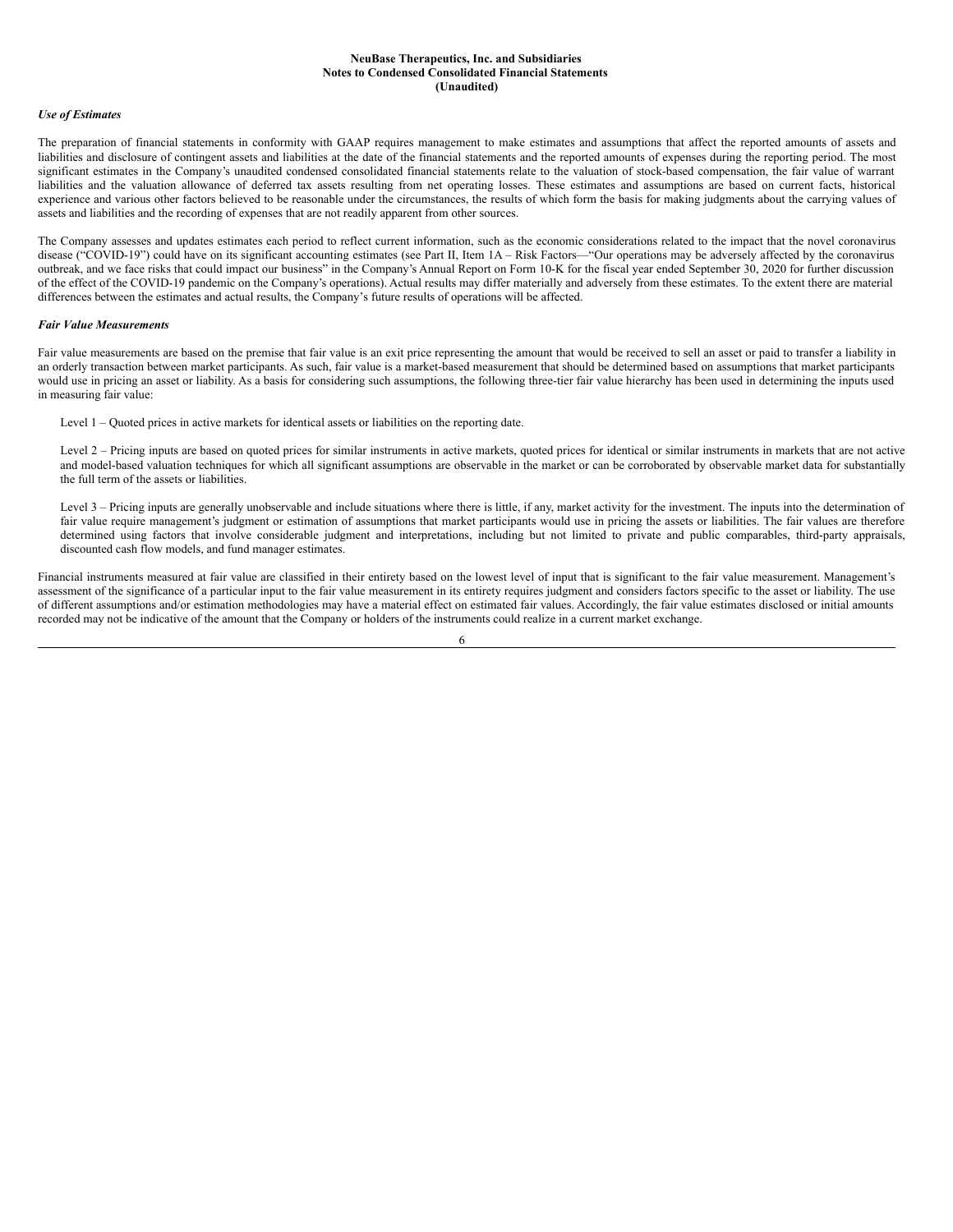# *Use of Estimates*

The preparation of financial statements in conformity with GAAP requires management to make estimates and assumptions that affect the reported amounts of assets and liabilities and disclosure of contingent assets and liabilities at the date of the financial statements and the reported amounts of expenses during the reporting period. The most significant estimates in the Company's unaudited condensed consolidated financial statements relate to the valuation of stock-based compensation, the fair value of warrant liabilities and the valuation allowance of deferred tax assets resulting from net operating losses. These estimates and assumptions are based on current facts, historical experience and various other factors believed to be reasonable under the circumstances, the results of which form the basis for making judgments about the carrying values of assets and liabilities and the recording of expenses that are not readily apparent from other sources.

The Company assesses and updates estimates each period to reflect current information, such as the economic considerations related to the impact that the novel coronavirus disease ("COVID-19") could have on its significant accounting estimates (see Part II, Item 1A – Risk Factors—"Our operations may be adversely affected by the coronavirus outbreak, and we face risks that could impact our business" in the Company's Annual Report on Form 10-K for the fiscal year ended September 30, 2020 for further discussion of the effect of the COVID-19 pandemic on the Company's operations). Actual results may differ materially and adversely from these estimates. To the extent there are material differences between the estimates and actual results, the Company's future results of operations will be affected.

#### *Fair Value Measurements*

Fair value measurements are based on the premise that fair value is an exit price representing the amount that would be received to sell an asset or paid to transfer a liability in an orderly transaction between market participants. As such, fair value is a market-based measurement that should be determined based on assumptions that market participants would use in pricing an asset or liability. As a basis for considering such assumptions, the following three-tier fair value hierarchy has been used in determining the inputs used in measuring fair value:

Level 1 – Quoted prices in active markets for identical assets or liabilities on the reporting date.

Level 2 – Pricing inputs are based on quoted prices for similar instruments in active markets, quoted prices for identical or similar instruments in markets that are not active and model-based valuation techniques for which all significant assumptions are observable in the market or can be corroborated by observable market data for substantially the full term of the assets or liabilities.

Level 3 – Pricing inputs are generally unobservable and include situations where there is little, if any, market activity for the investment. The inputs into the determination of fair value require management's judgment or estimation of assumptions that market participants would use in pricing the assets or liabilities. The fair values are therefore determined using factors that involve considerable judgment and interpretations, including but not limited to private and public comparables, third-party appraisals, discounted cash flow models, and fund manager estimates.

Financial instruments measured at fair value are classified in their entirety based on the lowest level of input that is significant to the fair value measurement. Management's assessment of the significance of a particular input to the fair value measurement in its entirety requires judgment and considers factors specific to the asset or liability. The use of different assumptions and/or estimation methodologies may have a material effect on estimated fair values. Accordingly, the fair value estimates disclosed or initial amounts recorded may not be indicative of the amount that the Company or holders of the instruments could realize in a current market exchange.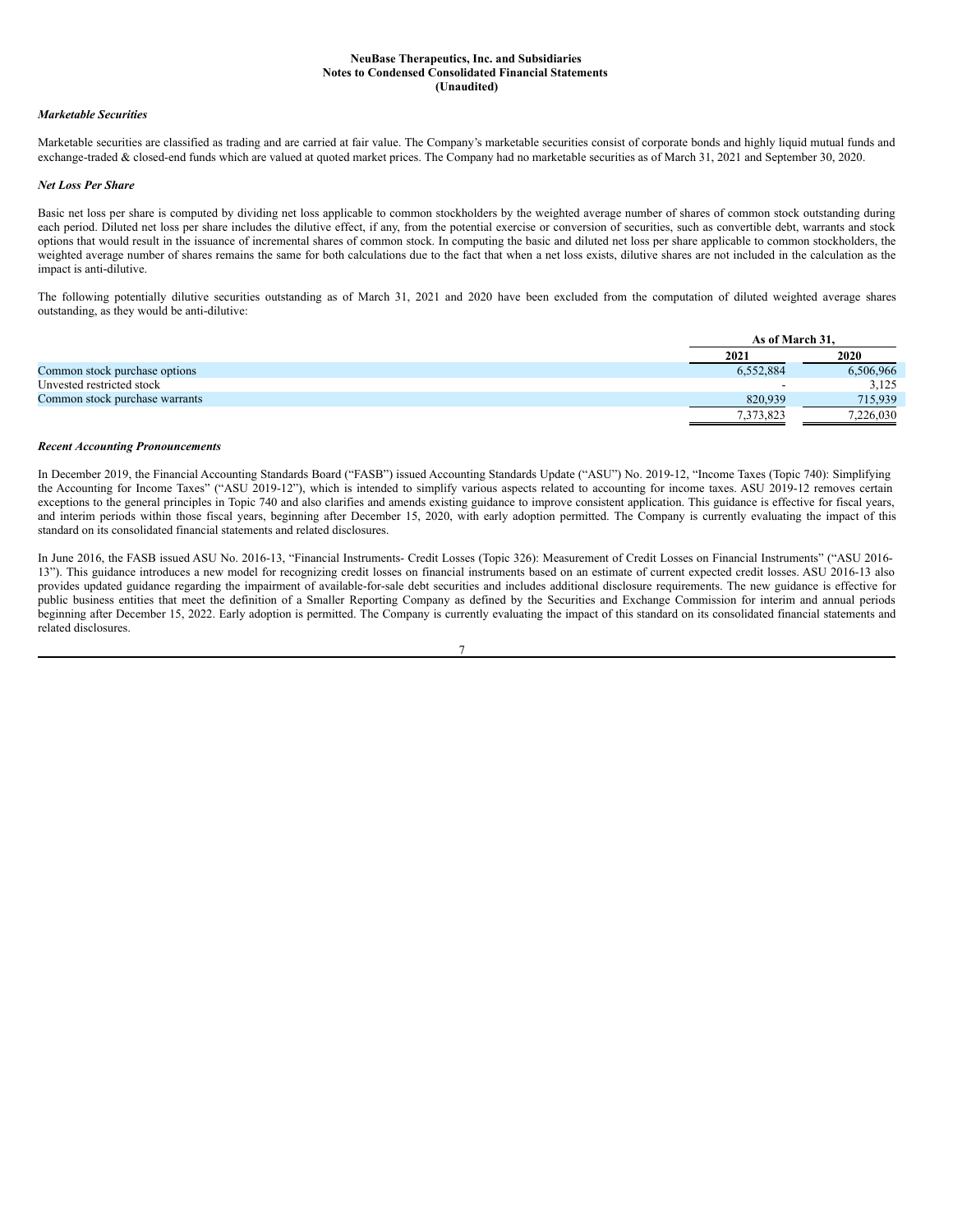# *Marketable Securities*

Marketable securities are classified as trading and are carried at fair value. The Company's marketable securities consist of corporate bonds and highly liquid mutual funds and exchange-traded & closed-end funds which are valued at quoted market prices. The Company had no marketable securities as of March 31, 2021 and September 30, 2020.

#### *Net Loss Per Share*

Basic net loss per share is computed by dividing net loss applicable to common stockholders by the weighted average number of shares of common stock outstanding during each period. Diluted net loss per share includes the dilutive effect, if any, from the potential exercise or conversion of securities, such as convertible debt, warrants and stock options that would result in the issuance of incremental shares of common stock. In computing the basic and diluted net loss per share applicable to common stockholders, the weighted average number of shares remains the same for both calculations due to the fact that when a net loss exists, dilutive shares are not included in the calculation as the impact is anti-dilutive.

The following potentially dilutive securities outstanding as of March 31, 2021 and 2020 have been excluded from the computation of diluted weighted average shares outstanding, as they would be anti-dilutive:

|                                | As of March 31. |           |  |
|--------------------------------|-----------------|-----------|--|
|                                | 2021            | 2020      |  |
| Common stock purchase options  | 6,552,884       | 6,506,966 |  |
| Unvested restricted stock      | -               | 3,125     |  |
| Common stock purchase warrants | 820,939         | 715.939   |  |
|                                | 7.373.823       | .226.030  |  |

#### *Recent Accounting Pronouncements*

In December 2019, the Financial Accounting Standards Board ("FASB") issued Accounting Standards Update ("ASU") No. 2019-12, "Income Taxes (Topic 740): Simplifying the Accounting for Income Taxes" ("ASU 2019-12"), which is intended to simplify various aspects related to accounting for income taxes. ASU 2019-12 removes certain exceptions to the general principles in Topic 740 and also clarifies and amends existing guidance to improve consistent application. This guidance is effective for fiscal years, and interim periods within those fiscal years, beginning after December 15, 2020, with early adoption permitted. The Company is currently evaluating the impact of this standard on its consolidated financial statements and related disclosures.

In June 2016, the FASB issued ASU No. 2016-13, "Financial Instruments- Credit Losses (Topic 326): Measurement of Credit Losses on Financial Instruments" ("ASU 2016- 13"). This guidance introduces a new model for recognizing credit losses on financial instruments based on an estimate of current expected credit losses. ASU 2016-13 also provides updated guidance regarding the impairment of available-for-sale debt securities and includes additional disclosure requirements. The new guidance is effective for public business entities that meet the definition of a Smaller Reporting Company as defined by the Securities and Exchange Commission for interim and annual periods beginning after December 15, 2022. Early adoption is permitted. The Company is currently evaluating the impact of this standard on its consolidated financial statements and related disclosures.

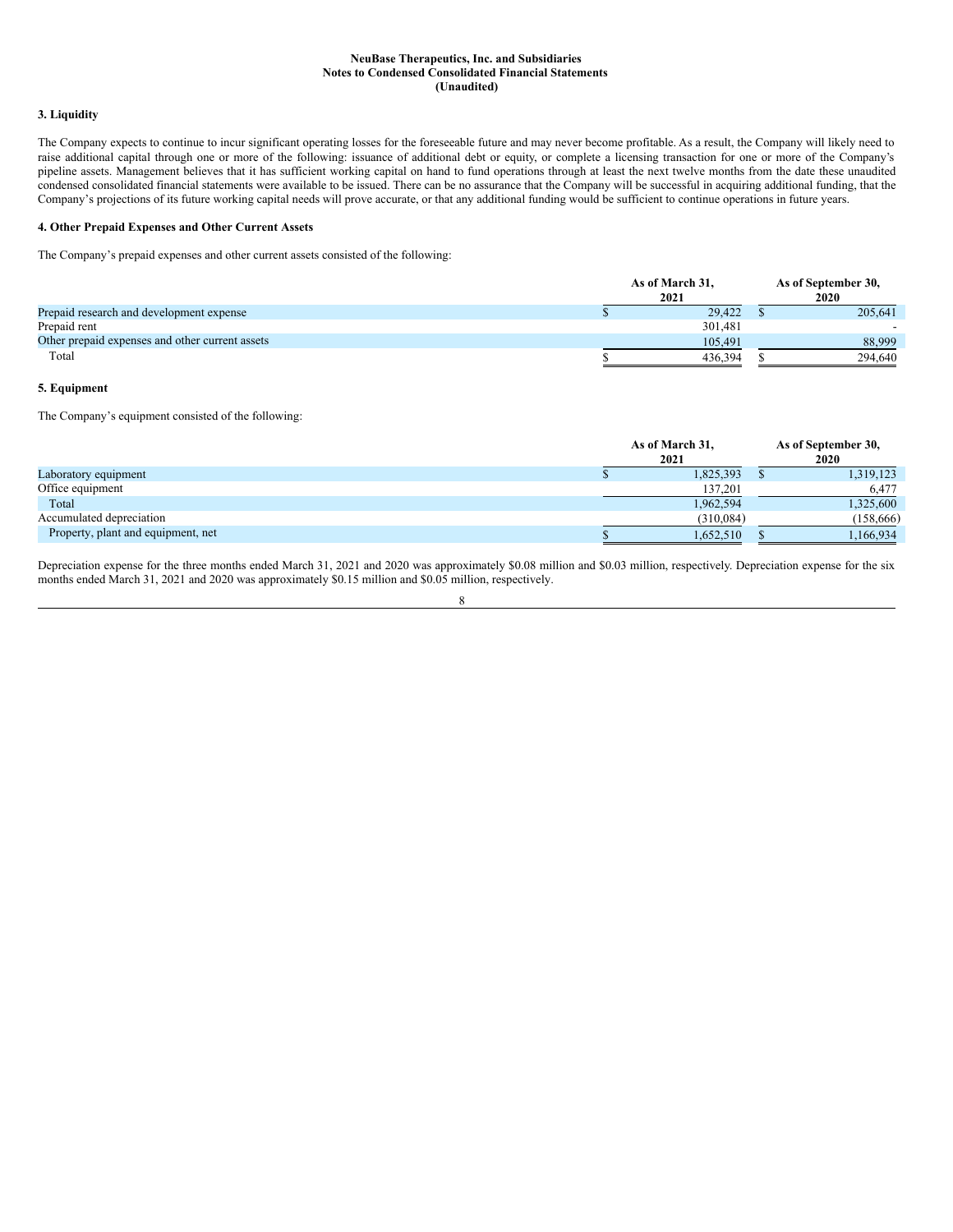# **3. Liquidity**

The Company expects to continue to incur significant operating losses for the foreseeable future and may never become profitable. As a result, the Company will likely need to raise additional capital through one or more of the following: issuance of additional debt or equity, or complete a licensing transaction for one or more of the Company's pipeline assets. Management believes that it has sufficient working capital on hand to fund operations through at least the next twelve months from the date these unaudited condensed consolidated financial statements were available to be issued. There can be no assurance that the Company will be successful in acquiring additional funding, that the Company's projections of its future working capital needs will prove accurate, or that any additional funding would be sufficient to continue operations in future years.

# **4. Other Prepaid Expenses and Other Current Assets**

The Company's prepaid expenses and other current assets consisted of the following:

|                                                 |  | As of March 31,<br>2021 | As of September 30,<br>2020 |
|-------------------------------------------------|--|-------------------------|-----------------------------|
| Prepaid research and development expense        |  | 29.422                  | 205.641                     |
| Prepaid rent                                    |  | 301.481                 |                             |
| Other prepaid expenses and other current assets |  | 105.491                 | 88.999                      |
| Total                                           |  | 436.394                 | 294,640                     |

# **5. Equipment**

The Company's equipment consisted of the following:

|                                    | As of March 31,<br>2021 | As of September 30,<br>2020 |
|------------------------------------|-------------------------|-----------------------------|
| Laboratory equipment               | 1,825,393               | 1,319,123                   |
| Office equipment                   | 137,201                 | 6,477                       |
| Total                              | 1,962,594               | 1,325,600                   |
| Accumulated depreciation           | (310,084)               | (158, 666)                  |
| Property, plant and equipment, net | 1.652.510               | 1.166.934                   |

Depreciation expense for the three months ended March 31, 2021 and 2020 was approximately \$0.08 million and \$0.03 million, respectively. Depreciation expense for the six months ended March 31, 2021 and 2020 was approximately \$0.15 million and \$0.05 million, respectively.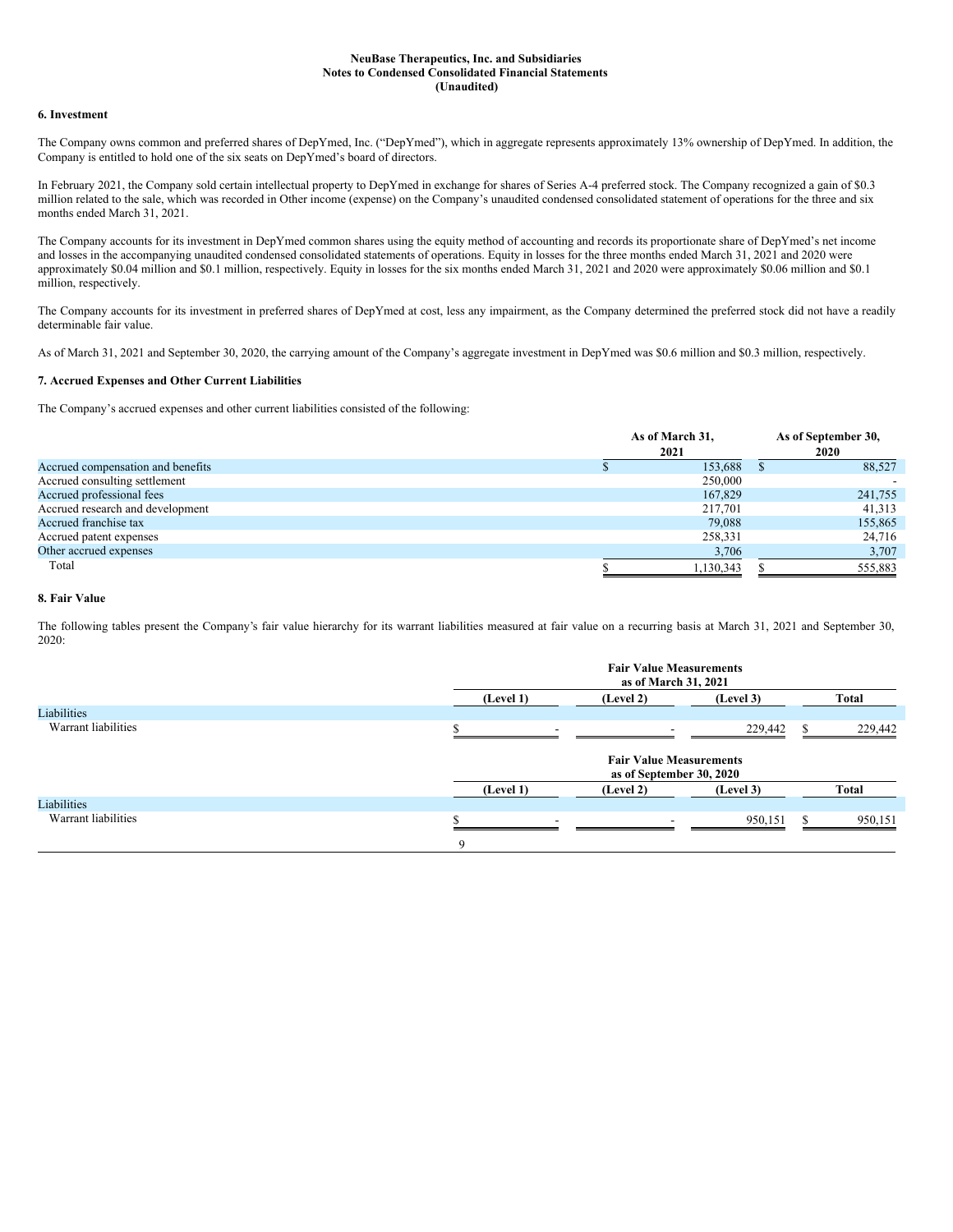### **6. Investment**

The Company owns common and preferred shares of DepYmed, Inc. ("DepYmed"), which in aggregate represents approximately 13% ownership of DepYmed. In addition, the Company is entitled to hold one of the six seats on DepYmed's board of directors.

In February 2021, the Company sold certain intellectual property to DepYmed in exchange for shares of Series A-4 preferred stock. The Company recognized a gain of \$0.3 million related to the sale, which was recorded in Other income (expense) on the Company's unaudited condensed consolidated statement of operations for the three and six months ended March 31, 2021.

The Company accounts for its investment in DepYmed common shares using the equity method of accounting and records its proportionate share of DepYmed's net income and losses in the accompanying unaudited condensed consolidated statements of operations. Equity in losses for the three months ended March 31, 2021 and 2020 were approximately \$0.04 million and \$0.1 million, respectively. Equity in losses for the six months ended March 31, 2021 and 2020 were approximately \$0.06 million and \$0.1 million, respectively.

The Company accounts for its investment in preferred shares of DepYmed at cost, less any impairment, as the Company determined the preferred stock did not have a readily determinable fair value.

As of March 31, 2021 and September 30, 2020, the carrying amount of the Company's aggregate investment in DepYmed was \$0.6 million and \$0.3 million, respectively.

# **7. Accrued Expenses and Other Current Liabilities**

The Company's accrued expenses and other current liabilities consisted of the following:

|                                   | As of March 31,<br>2021 | As of September 30,<br>2020 |
|-----------------------------------|-------------------------|-----------------------------|
| Accrued compensation and benefits | 153,688                 | 88,527                      |
| Accrued consulting settlement     | 250,000                 |                             |
| Accrued professional fees         | 167,829                 | 241,755                     |
| Accrued research and development  | 217,701                 | 41.313                      |
| Accrued franchise tax             | 79,088                  | 155,865                     |
| Accrued patent expenses           | 258,331                 | 24,716                      |
| Other accrued expenses            | 3,706                   | 3,707                       |
| Total                             | 1.130.343               | 555,883                     |

# **8. Fair Value**

The following tables present the Company's fair value hierarchy for its warrant liabilities measured at fair value on a recurring basis at March 31, 2021 and September 30, 2020:

|                     |             | <b>Fair Value Measurements</b><br>as of March 31, 2021     |           |              |  |  |  |
|---------------------|-------------|------------------------------------------------------------|-----------|--------------|--|--|--|
|                     | (Level 1)   | (Level 3)<br>(Level 2)                                     |           |              |  |  |  |
| Liabilities         |             |                                                            |           |              |  |  |  |
| Warrant liabilities | $\triangle$ |                                                            | 229,442   | 229,442      |  |  |  |
|                     |             | <b>Fair Value Measurements</b><br>as of September 30, 2020 |           |              |  |  |  |
|                     | (Level 1)   | (Level 2)                                                  | (Level 3) | <b>Total</b> |  |  |  |
| Liabilities         |             |                                                            |           |              |  |  |  |
| Warrant liabilities |             |                                                            | 950,151   | 950,151      |  |  |  |
|                     | $\mathbf Q$ |                                                            |           |              |  |  |  |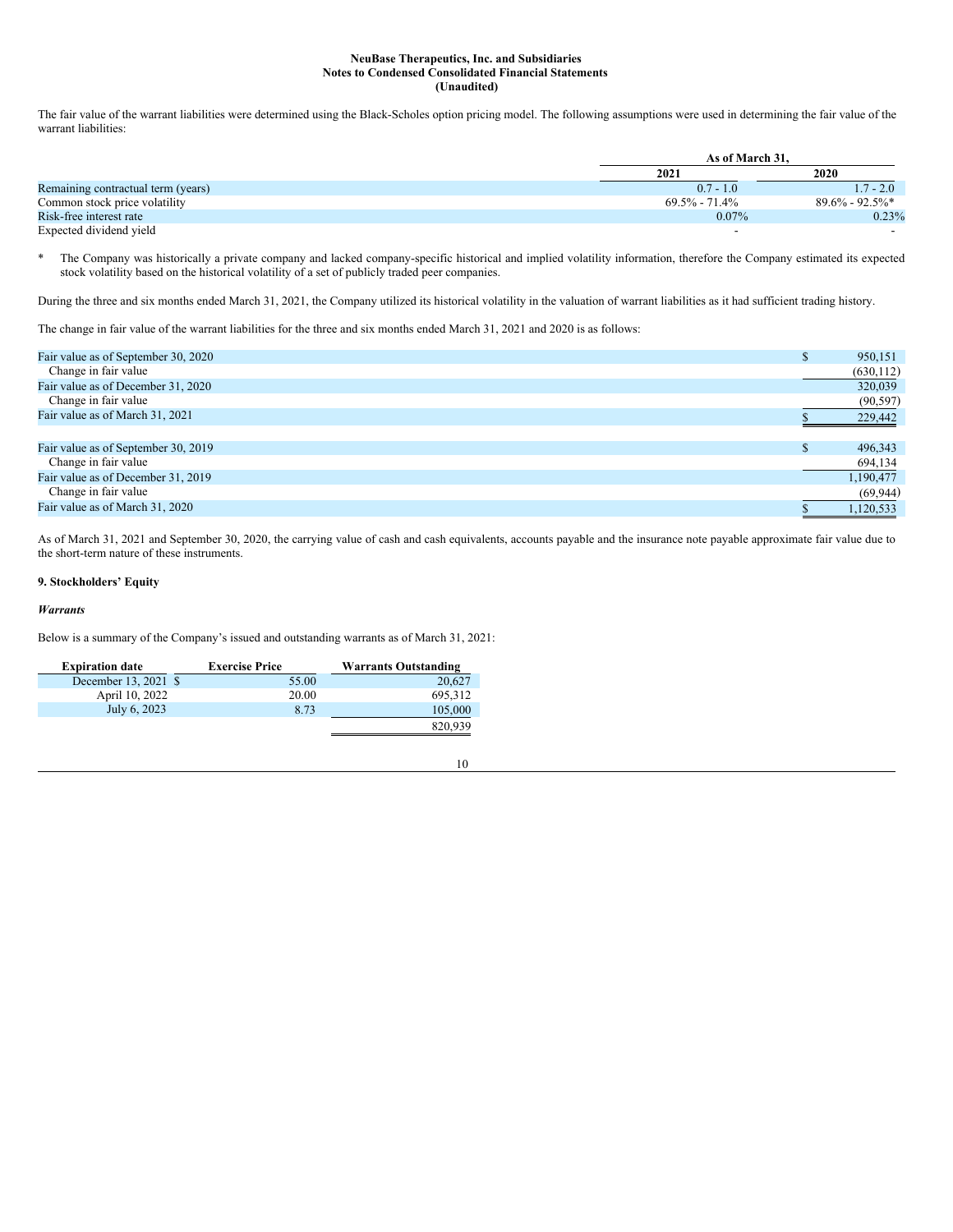The fair value of the warrant liabilities were determined using the Black-Scholes option pricing model. The following assumptions were used in determining the fair value of the warrant liabilities:

|                                    | As of March 31.          |                   |
|------------------------------------|--------------------------|-------------------|
|                                    | 2021                     | 2020              |
| Remaining contractual term (years) | $0.7 - 1.0$              | $1.7 - 2.0$       |
| Common stock price volatility      | $69.5\% - 71.4\%$        | $89.6\% - 92.5\%$ |
| Risk-free interest rate            | $0.07\%$                 | 0.23%             |
| Expected dividend yield            | $\overline{\phantom{a}}$ |                   |

\* The Company was historically a private company and lacked company-specific historical and implied volatility information, therefore the Company estimated its expected stock volatility based on the historical volatility of a set of publicly traded peer companies.

During the three and six months ended March 31, 2021, the Company utilized its historical volatility in the valuation of warrant liabilities as it had sufficient trading history.

The change in fair value of the warrant liabilities for the three and six months ended March 31, 2021 and 2020 is as follows:

| Fair value as of September 30, 2020 | S | 950,151    |
|-------------------------------------|---|------------|
| Change in fair value                |   | (630, 112) |
| Fair value as of December 31, 2020  |   | 320,039    |
| Change in fair value                |   | (90, 597)  |
| Fair value as of March 31, 2021     |   | 229,442    |
|                                     |   |            |
| Fair value as of September 30, 2019 | S | 496,343    |
| Change in fair value                |   | 694,134    |
| Fair value as of December 31, 2019  |   | 1,190,477  |
| Change in fair value                |   | (69, 944)  |
| Fair value as of March 31, 2020     |   | 1.120.533  |
|                                     |   |            |

As of March 31, 2021 and September 30, 2020, the carrying value of cash and cash equivalents, accounts payable and the insurance note payable approximate fair value due to the short-term nature of these instruments.

# **9. Stockholders' Equity**

# *Warrants*

Below is a summary of the Company's issued and outstanding warrants as of March 31, 2021:

| <b>Expiration date</b> | <b>Exercise Price</b> | <b>Warrants Outstanding</b> |
|------------------------|-----------------------|-----------------------------|
| December 13, 2021 \$   | 55.00                 | 20,627                      |
| April 10, 2022         | 20.00                 | 695,312                     |
| July 6, 2023           | 8.73                  | 105,000                     |
|                        |                       | 820,939                     |
|                        |                       |                             |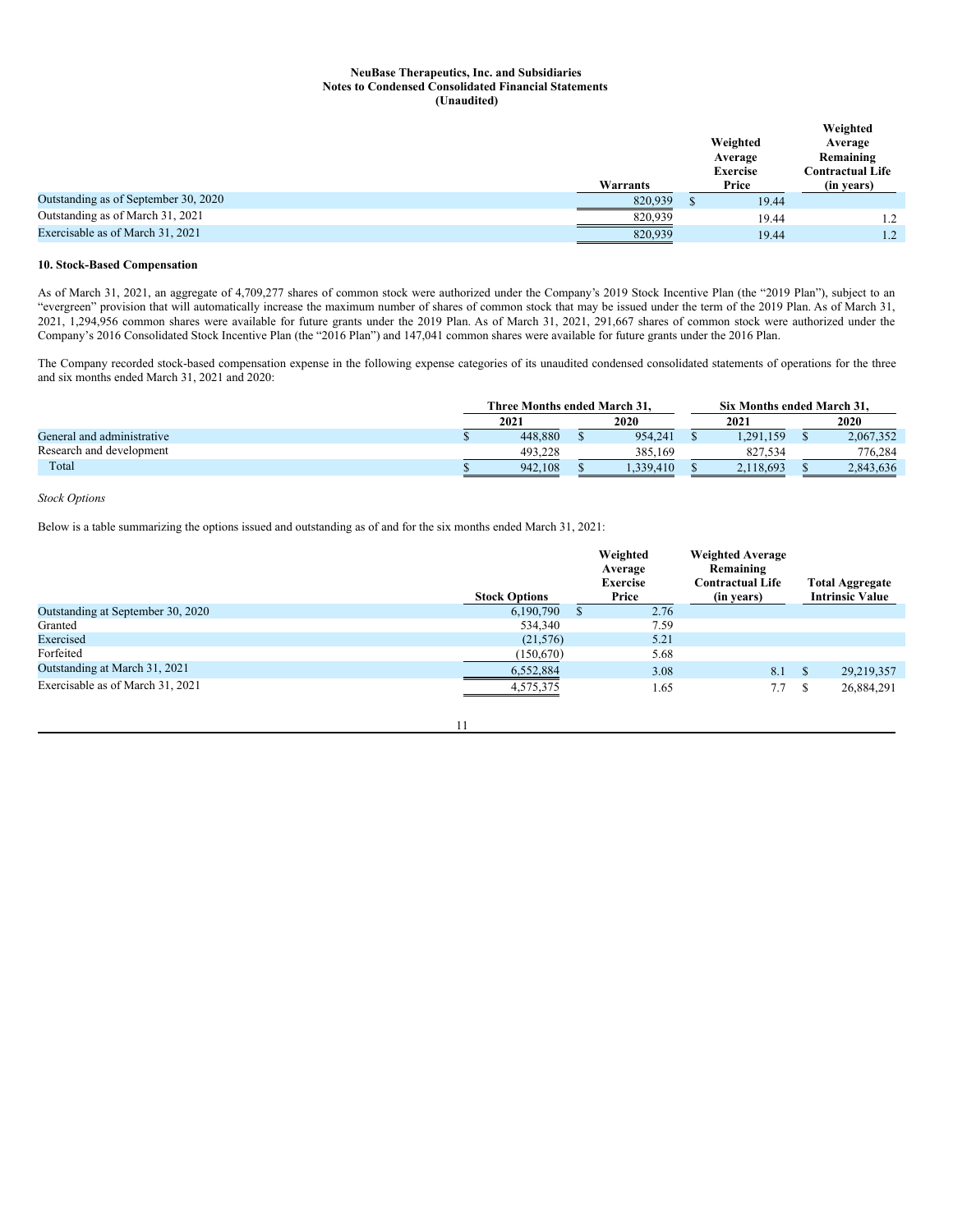|                                      |          | Weighted<br>Average<br><b>Exercise</b> | Weighted<br>Average<br>Remaining<br>Contractual Life |  |
|--------------------------------------|----------|----------------------------------------|------------------------------------------------------|--|
|                                      | Warrants | Price                                  | (in years)                                           |  |
| Outstanding as of September 30, 2020 | 820,939  | 19.44                                  |                                                      |  |
| Outstanding as of March 31, 2021     | 820.939  | 19.44                                  | 1.2                                                  |  |
| Exercisable as of March 31, 2021     | 820,939  | 19.44                                  | 1.2                                                  |  |

# **10. Stock-Based Compensation**

As of March 31, 2021, an aggregate of 4,709,277 shares of common stock were authorized under the Company's 2019 Stock Incentive Plan (the "2019 Plan"), subject to an "evergreen" provision that will automatically increase the maximum number of shares of common stock that may be issued under the term of the 2019 Plan. As of March 31, 2021, 1,294,956 common shares were available for future grants under the 2019 Plan. As of March 31, 2021, 291,667 shares of common stock were authorized under the Company's 2016 Consolidated Stock Incentive Plan (the "2016 Plan") and 147,041 common shares were available for future grants under the 2016 Plan.

The Company recorded stock-based compensation expense in the following expense categories of its unaudited condensed consolidated statements of operations for the three and six months ended March 31, 2021 and 2020:

|                            | Three Months ended March 31. |  |           | Six Months ended March 31. |           |  |           |
|----------------------------|------------------------------|--|-----------|----------------------------|-----------|--|-----------|
|                            | 2021                         |  | 2020      |                            | 2021      |  | 2020      |
| General and administrative | 448,880                      |  | 954.241   |                            | .291.159  |  | 2.067.352 |
| Research and development   | 493.228                      |  | 385,169   |                            | 827.534   |  | 776.284   |
| Total                      | 942.108                      |  | 1.339.410 |                            | 2.118.693 |  | 2.843.636 |

*Stock Options*

Below is a table summarizing the options issued and outstanding as of and for the six months ended March 31, 2021:

|                                   | <b>Stock Options</b> | Weighted<br>Average<br><b>Exercise</b><br>Price | <b>Weighted Average</b><br>Remaining<br><b>Contractual Life</b><br>(in years) |   | <b>Total Aggregate</b><br><b>Intrinsic Value</b> |
|-----------------------------------|----------------------|-------------------------------------------------|-------------------------------------------------------------------------------|---|--------------------------------------------------|
| Outstanding at September 30, 2020 | 6,190,790            | 2.76                                            |                                                                               |   |                                                  |
| Granted                           | 534,340              | 7.59                                            |                                                                               |   |                                                  |
| Exercised                         | (21, 576)            | 5.21                                            |                                                                               |   |                                                  |
| Forfeited                         | (150,670)            | 5.68                                            |                                                                               |   |                                                  |
| Outstanding at March 31, 2021     | 6.552.884            | 3.08                                            | 8.1                                                                           | S | 29,219,357                                       |
| Exercisable as of March 31, 2021  | 4,575,375            | 1.65                                            | 7.7                                                                           | S | 26,884,291                                       |

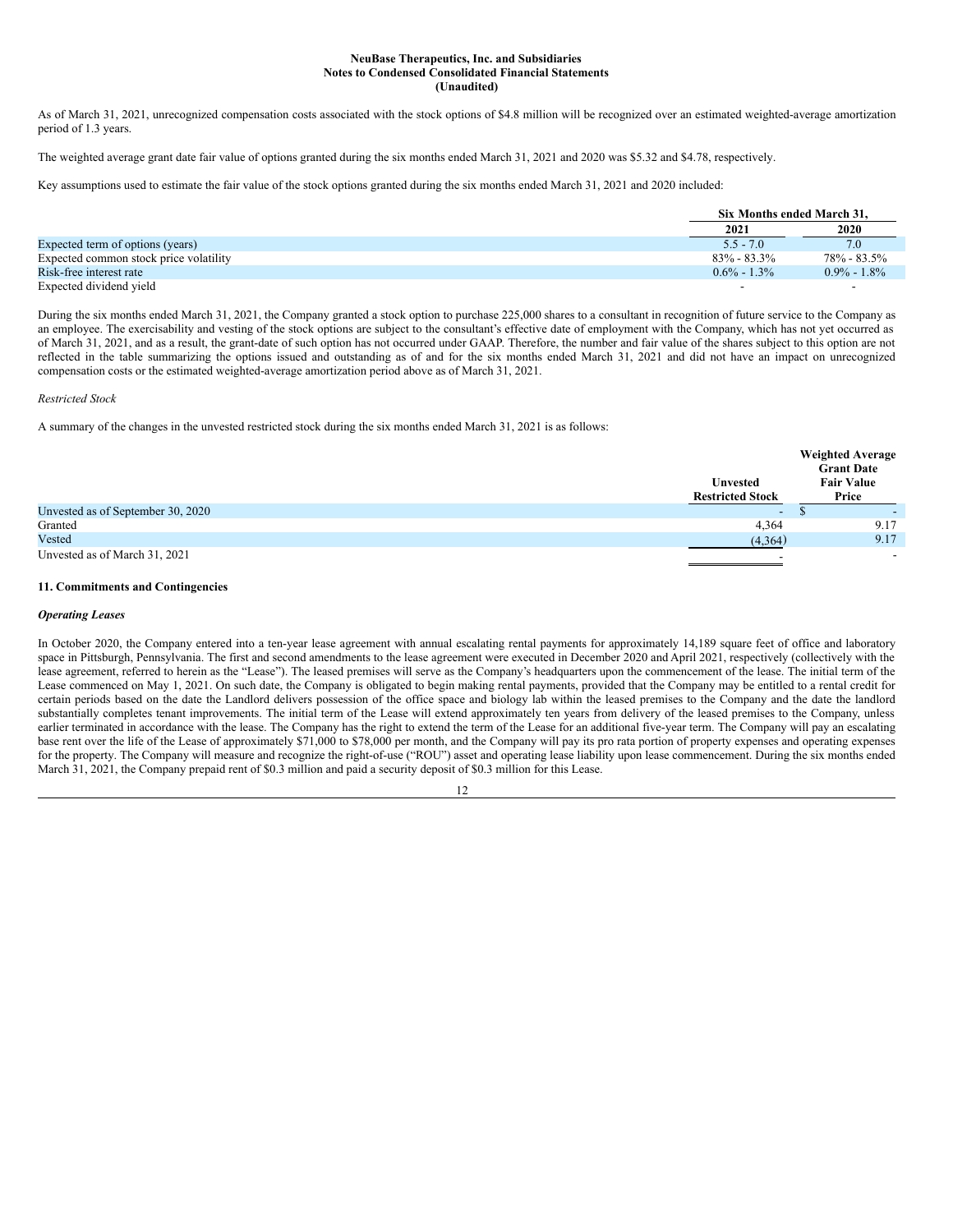As of March 31, 2021, unrecognized compensation costs associated with the stock options of \$4.8 million will be recognized over an estimated weighted-average amortization period of 1.3 years.

The weighted average grant date fair value of options granted during the six months ended March 31, 2021 and 2020 was \$5.32 and \$4.78, respectively.

Key assumptions used to estimate the fair value of the stock options granted during the six months ended March 31, 2021 and 2020 included:

|                                        |                 | Six Months ended March 31. |
|----------------------------------------|-----------------|----------------------------|
|                                        | 2021            | 2020                       |
| Expected term of options (years)       | $5.5 - 7.0$     | 7.0                        |
| Expected common stock price volatility | $83\% - 83.3\%$ | 78% - 83.5%                |
| Risk-free interest rate                | $0.6\% - 1.3\%$ | $0.9\% - 1.8\%$            |
| Expected dividend vield                |                 |                            |

During the six months ended March 31, 2021, the Company granted a stock option to purchase 225,000 shares to a consultant in recognition of future service to the Company as an employee. The exercisability and vesting of the stock options are subject to the consultant's effective date of employment with the Company, which has not yet occurred as of March 31, 2021, and as a result, the grant-date of such option has not occurred under GAAP. Therefore, the number and fair value of the shares subject to this option are not reflected in the table summarizing the options issued and outstanding as of and for the six months ended March 31, 2021 and did not have an impact on unrecognized compensation costs or the estimated weighted-average amortization period above as of March 31, 2021.

#### *Restricted Stock*

A summary of the changes in the unvested restricted stock during the six months ended March 31, 2021 is as follows:

|                                   |                          | <b>Weighted Average</b><br><b>Grant Date</b> |
|-----------------------------------|--------------------------|----------------------------------------------|
|                                   | Unvested                 | <b>Fair Value</b>                            |
|                                   | <b>Restricted Stock</b>  | Price                                        |
| Unvested as of September 30, 2020 | $\overline{\phantom{0}}$ | $\sim$                                       |
| Granted                           | 4,364                    | 9.17                                         |
| Vested                            | (4,364)                  | 9.17                                         |
| Unvested as of March 31, 2021     |                          | $\overline{\phantom{0}}$                     |

# **11. Commitments and Contingencies**

# *Operating Leases*

In October 2020, the Company entered into a ten-year lease agreement with annual escalating rental payments for approximately 14,189 square feet of office and laboratory space in Pittsburgh, Pennsylvania. The first and second amendments to the lease agreement were executed in December 2020 and April 2021, respectively (collectively with the lease agreement, referred to herein as the "Lease"). The leased premises will serve as the Company's headquarters upon the commencement of the lease. The initial term of the Lease commenced on May 1, 2021. On such date, the Company is obligated to begin making rental payments, provided that the Company may be entitled to a rental credit for certain periods based on the date the Landlord delivers possession of the office space and biology lab within the leased premises to the Company and the date the landlord substantially completes tenant improvements. The initial term of the Lease will extend approximately ten years from delivery of the leased premises to the Company, unless earlier terminated in accordance with the lease. The Company has the right to extend the term of the Lease for an additional five-year term. The Company will pay an escalating base rent over the life of the Lease of approximately \$71,000 to \$78,000 per month, and the Company will pay its pro rata portion of property expenses and operating expenses for the property. The Company will measure and recognize the right-of-use ("ROU") asset and operating lease liability upon lease commencement. During the six months ended March 31, 2021, the Company prepaid rent of \$0.3 million and paid a security deposit of \$0.3 million for this Lease.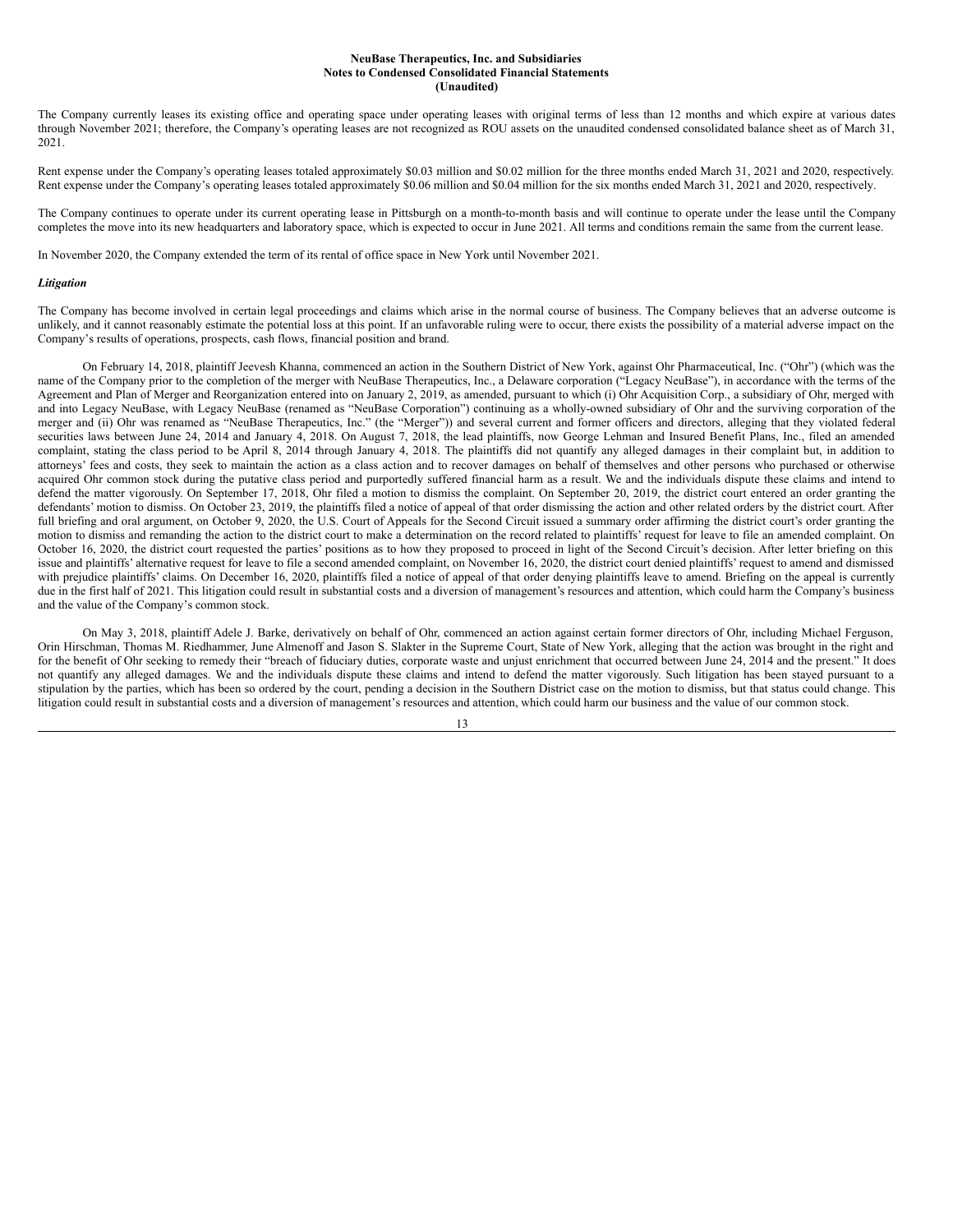The Company currently leases its existing office and operating space under operating leases with original terms of less than 12 months and which expire at various dates through November 2021; therefore, the Company's operating leases are not recognized as ROU assets on the unaudited condensed consolidated balance sheet as of March 31, 2021.

Rent expense under the Company's operating leases totaled approximately \$0.03 million and \$0.02 million for the three months ended March 31, 2021 and 2020, respectively. Rent expense under the Company's operating leases totaled approximately \$0.06 million and \$0.04 million for the six months ended March 31, 2021 and 2020, respectively.

The Company continues to operate under its current operating lease in Pittsburgh on a month-to-month basis and will continue to operate under the lease until the Company completes the move into its new headquarters and laboratory space, which is expected to occur in June 2021. All terms and conditions remain the same from the current lease.

In November 2020, the Company extended the term of its rental of office space in New York until November 2021.

### *Litigation*

The Company has become involved in certain legal proceedings and claims which arise in the normal course of business. The Company believes that an adverse outcome is unlikely, and it cannot reasonably estimate the potential loss at this point. If an unfavorable ruling were to occur, there exists the possibility of a material adverse impact on the Company's results of operations, prospects, cash flows, financial position and brand.

On February 14, 2018, plaintiff Jeevesh Khanna, commenced an action in the Southern District of New York, against Ohr Pharmaceutical, Inc. ("Ohr") (which was the name of the Company prior to the completion of the merger with NeuBase Therapeutics, Inc., a Delaware corporation ("Legacy NeuBase"), in accordance with the terms of the Agreement and Plan of Merger and Reorganization entered into on January 2, 2019, as amended, pursuant to which (i) Ohr Acquisition Corp., a subsidiary of Ohr, merged with and into Legacy NeuBase, with Legacy NeuBase (renamed as "NeuBase Corporation") continuing as a wholly-owned subsidiary of Ohr and the surviving corporation of the merger and (ii) Ohr was renamed as "NeuBase Therapeutics, Inc." (the "Merger")) and several current and former officers and directors, alleging that they violated federal securities laws between June 24, 2014 and January 4, 2018. On August 7, 2018, the lead plaintiffs, now George Lehman and Insured Benefit Plans, Inc., filed an amended complaint, stating the class period to be April 8, 2014 through January 4, 2018. The plaintiffs did not quantify any alleged damages in their complaint but, in addition to attorneys' fees and costs, they seek to maintain the action as a class action and to recover damages on behalf of themselves and other persons who purchased or otherwise acquired Ohr common stock during the putative class period and purportedly suffered financial harm as a result. We and the individuals dispute these claims and intend to defend the matter vigorously. On September 17, 2018, Ohr filed a motion to dismiss the complaint. On September 20, 2019, the district court entered an order granting the defendants' motion to dismiss. On October 23, 2019, the plaintiffs filed a notice of appeal of that order dismissing the action and other related orders by the district court. After full briefing and oral argument, on October 9, 2020, the U.S. Court of Appeals for the Second Circuit issued a summary order affirming the district court's order granting the motion to dismiss and remanding the action to the district court to make a determination on the record related to plaintiffs' request for leave to file an amended complaint. On October 16, 2020, the district court requested the parties' positions as to how they proposed to proceed in light of the Second Circuit's decision. After letter briefing on this issue and plaintiffs' alternative request for leave to file a second amended complaint, on November 16, 2020, the district court denied plaintiffs' request to amend and dismissed with prejudice plaintiffs' claims. On December 16, 2020, plaintiffs filed a notice of appeal of that order denying plaintiffs leave to amend. Briefing on the appeal is currently due in the first half of 2021. This litigation could result in substantial costs and a diversion of management's resources and attention, which could harm the Company's business and the value of the Company's common stock.

On May 3, 2018, plaintiff Adele J. Barke, derivatively on behalf of Ohr, commenced an action against certain former directors of Ohr, including Michael Ferguson, Orin Hirschman, Thomas M. Riedhammer, June Almenoff and Jason S. Slakter in the Supreme Court, State of New York, alleging that the action was brought in the right and for the benefit of Ohr seeking to remedy their "breach of fiduciary duties, corporate waste and unjust enrichment that occurred between June 24, 2014 and the present." It does not quantify any alleged damages. We and the individuals dispute these claims and intend to defend the matter vigorously. Such litigation has been stayed pursuant to a stipulation by the parties, which has been so ordered by the court, pending a decision in the Southern District case on the motion to dismiss, but that status could change. This litigation could result in substantial costs and a diversion of management's resources and attention, which could harm our business and the value of our common stock.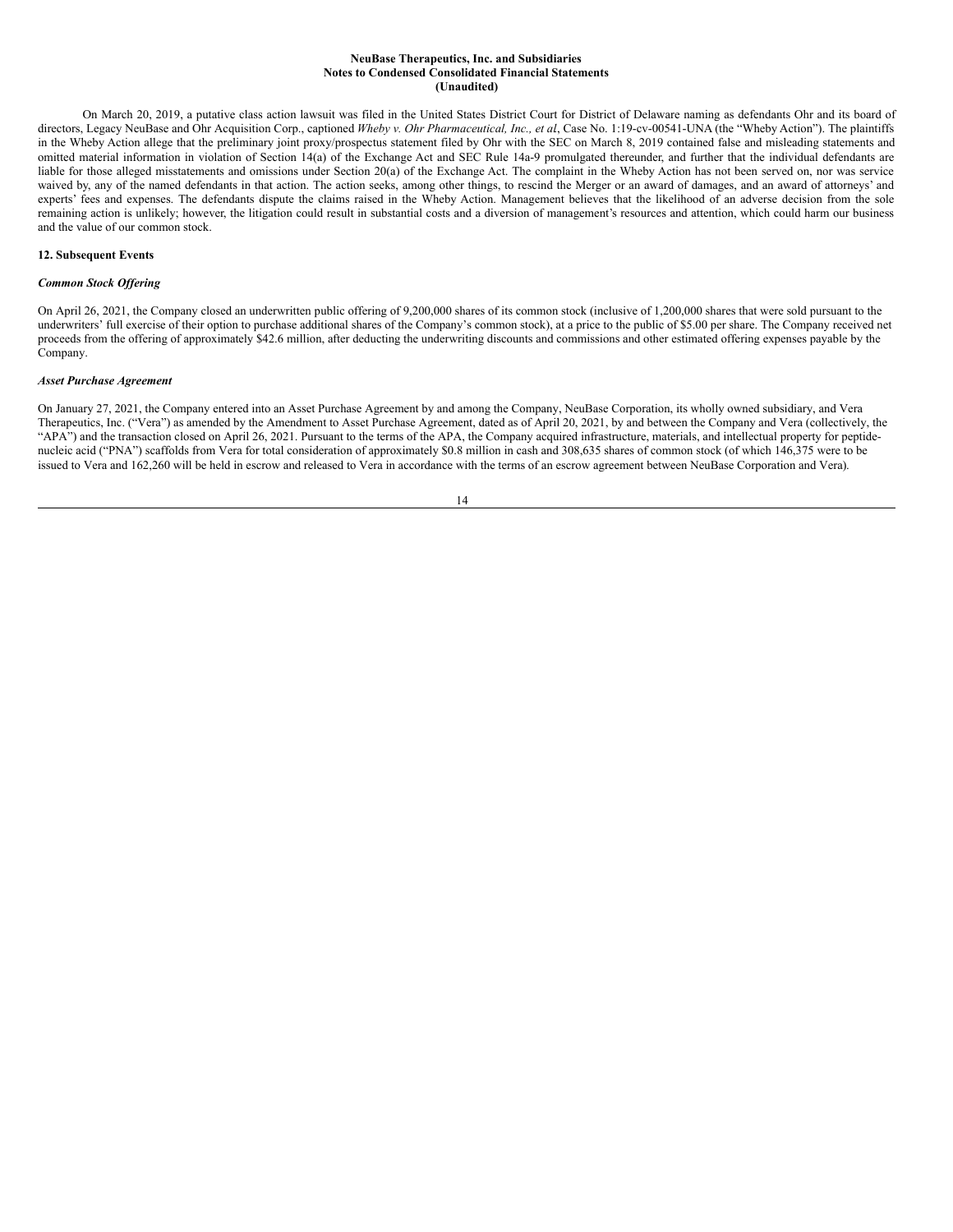On March 20, 2019, a putative class action lawsuit was filed in the United States District Court for District of Delaware naming as defendants Ohr and its board of directors, Legacy NeuBase and Ohr Acquisition Corp., captioned *Wheby v. Ohr Pharmaceutical, Inc., et al*., Case No. 1:19-cv-00541-UNA (the "Wheby Action"). The plaintiffs in the Wheby Action allege that the preliminary joint proxy/prospectus statement filed by Ohr with the SEC on March 8, 2019 contained false and misleading statements and omitted material information in violation of Section 14(a) of the Exchange Act and SEC Rule 14a-9 promulgated thereunder, and further that the individual defendants are liable for those alleged misstatements and omissions under Section 20(a) of the Exchange Act. The complaint in the Wheby Action has not been served on, nor was service waived by, any of the named defendants in that action. The action seeks, among other things, to rescind the Merger or an award of damages, and an award of attorneys' and experts' fees and expenses. The defendants dispute the claims raised in the Wheby Action. Management believes that the likelihood of an adverse decision from the sole remaining action is unlikely; however, the litigation could result in substantial costs and a diversion of management's resources and attention, which could harm our business and the value of our common stock.

# **12. Subsequent Events**

# *Common Stock Of ering*

On April 26, 2021, the Company closed an underwritten public offering of 9,200,000 shares of its common stock (inclusive of 1,200,000 shares that were sold pursuant to the underwriters' full exercise of their option to purchase additional shares of the Company's common stock), at a price to the public of \$5.00 per share. The Company received net proceeds from the offering of approximately \$42.6 million, after deducting the underwriting discounts and commissions and other estimated offering expenses payable by the Company.

#### *Asset Purchase Agreement*

On January 27, 2021, the Company entered into an Asset Purchase Agreement by and among the Company, NeuBase Corporation, its wholly owned subsidiary, and Vera Therapeutics, Inc. ("Vera") as amended by the Amendment to Asset Purchase Agreement, dated as of April 20, 2021, by and between the Company and Vera (collectively, the "APA") and the transaction closed on April 26, 2021. Pursuant to the terms of the APA, the Company acquired infrastructure, materials, and intellectual property for peptidenucleic acid ("PNA") scaffolds from Vera for total consideration of approximately \$0.8 million in cash and 308,635 shares of common stock (of which 146,375 were to be issued to Vera and 162,260 will be held in escrow and released to Vera in accordance with the terms of an escrow agreement between NeuBase Corporation and Vera).

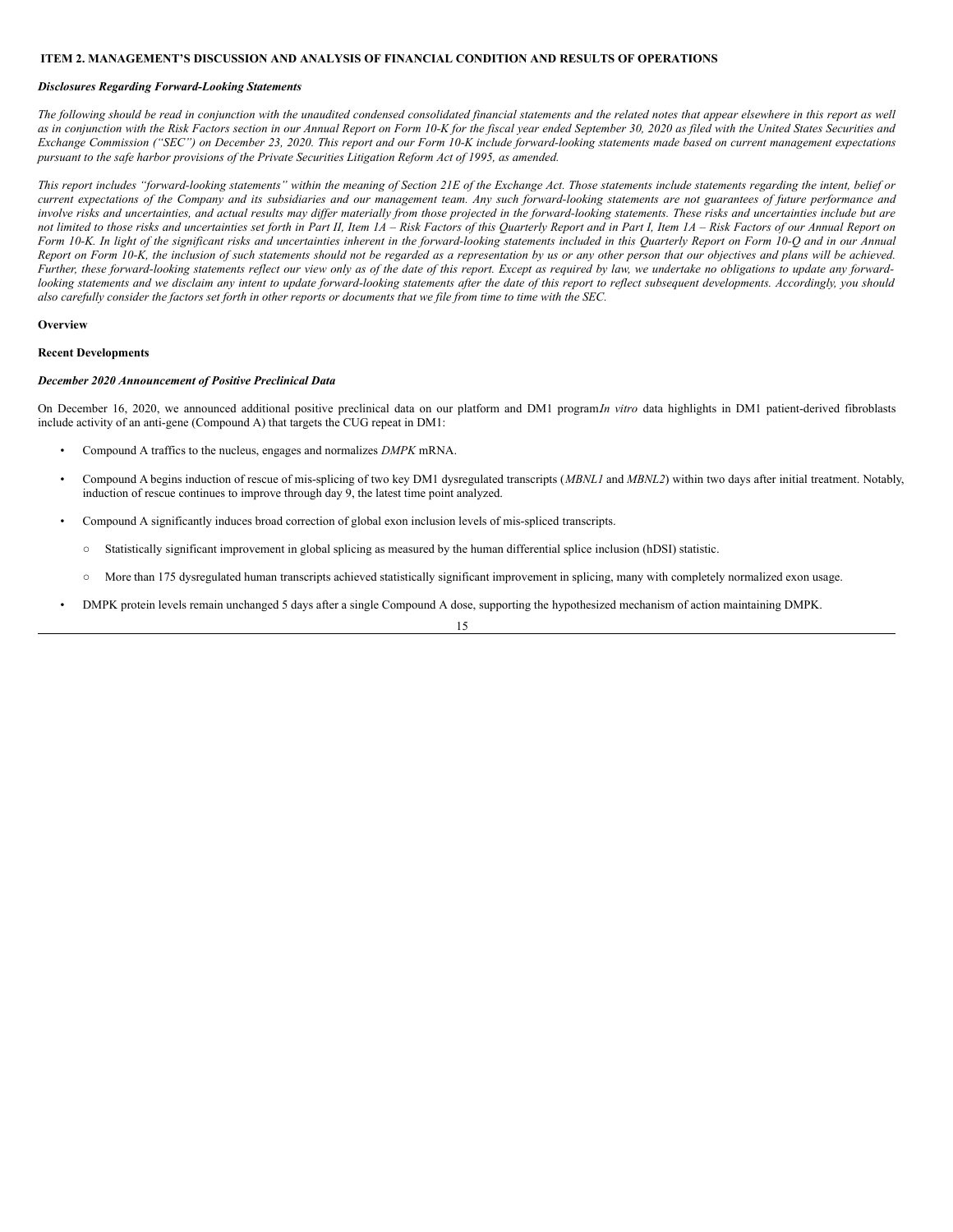# <span id="page-16-0"></span>**ITEM 2. MANAGEMENT'S DISCUSSION AND ANALYSIS OF FINANCIAL CONDITION AND RESULTS OF OPERATIONS**

#### *Disclosures Regarding Forward-Looking Statements*

The following should be read in conjunction with the unaudited condensed consolidated financial statements and the related notes that appear elsewhere in this report as well as in conjunction with the Risk Factors section in our Annual Report on Form 10-K for the fiscal year ended September 30, 2020 as filed with the United States Securities and Exchange Commission ("SEC") on December 23, 2020. This report and our Form 10-K include forward-looking statements made based on current management expectations pursuant to the safe harbor provisions of the Private Securities Litigation Reform Act of 1995, as amended.

This report includes "forward-looking statements" within the meaning of Section 21E of the Exchange Act. Those statements include statements regarding the intent, belief or current expectations of the Company and its subsidiaries and our management team. Any such forward-looking statements are not guarantees of future performance and involve risks and uncertainties, and actual results may differ materially from those projected in the forward-looking statements. These risks and uncertainties include but are not limited to those risks and uncertainties set forth in Part II, Item 1A - Risk Factors of this Quarterly Report and in Part I, Item 1A - Risk Factors of our Annual Report on Form 10-K. In light of the significant risks and uncertainties inherent in the forward-looking statements included in this Quarterly Report on Form 10-Q and in our Annual Report on Form 10-K, the inclusion of such statements should not be regarded as a representation by us or any other person that our objectives and plans will be achieved. Further, these forward-looking statements reflect our view only as of the date of this report. Except as required by law, we undertake no obligations to update any forwardlooking statements and we disclaim any intent to update forward-looking statements after the date of this report to reflect subsequent developments. Accordingly, you should also carefully consider the factors set forth in other reports or documents that we file from time to time with the SEC.

### **Overview**

#### **Recent Developments**

#### *December 2020 Announcement of Positive Preclinical Data*

On December 16, 2020, we announced additional positive preclinical data on our platform and DM1 program*In vitro* data highlights in DM1 patient-derived fibroblasts include activity of an anti-gene (Compound A) that targets the CUG repeat in DM1:

- Compound A traffics to the nucleus, engages and normalizes *DMPK* mRNA.
- Compound A begins induction of rescue of mis-splicing of two key DM1 dysregulated transcripts (*MBNL1* and *MBNL2*) within two days after initial treatment. Notably, induction of rescue continues to improve through day 9, the latest time point analyzed.
- Compound A significantly induces broad correction of global exon inclusion levels of mis-spliced transcripts.
	- Statistically significant improvement in global splicing as measured by the human differential splice inclusion (hDSI) statistic.
	- More than 175 dysregulated human transcripts achieved statistically significant improvement in splicing, many with completely normalized exon usage.
- DMPK protein levels remain unchanged 5 days after a single Compound A dose, supporting the hypothesized mechanism of action maintaining DMPK.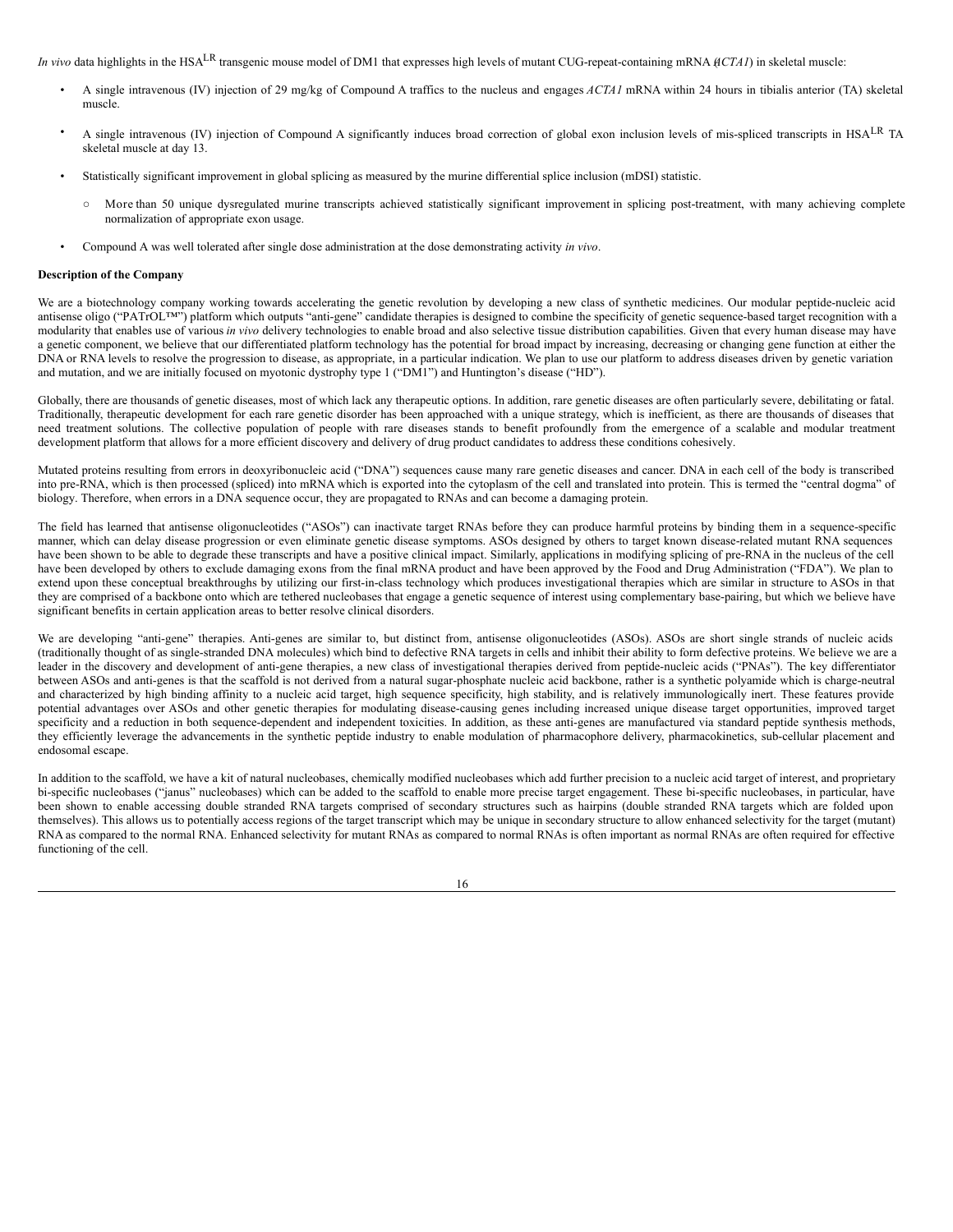*In vivo* data highlights in the HSA LR transgenic mouse model of DM1 that expresses high levels of mutant CUG-repeat-containing mRNA *A*( *CTA1*) in skeletal muscle:

- A single intravenous (IV) injection of 29 mg/kg of Compound A traffics to the nucleus and engages *ACTA1* mRNA within 24 hours in tibialis anterior (TA) skeletal muscle.
- A single intravenous (IV) injection of Compound A significantly induces broad correction of global exon inclusion levels of mis-spliced transcripts in HSA<sup>LR</sup> TA skeletal muscle at day 13.
- Statistically significant improvement in global splicing as measured by the murine differential splice inclusion (mDSI) statistic.
	- More than 50 unique dysregulated murine transcripts achieved statistically significant improvement in splicing post-treatment, with many achieving complete normalization of appropriate exon usage.
- Compound A was well tolerated after single dose administration at the dose demonstrating activity *in vivo*.

## **Description of the Company**

We are a biotechnology company working towards accelerating the genetic revolution by developing a new class of synthetic medicines. Our modular peptide-nucleic acid antisense oligo ("PATrOL™") platform which outputs "anti-gene" candidate therapies is designed to combine the specificity of genetic sequence-based target recognition with a modularity that enables use of various *in vivo* delivery technologies to enable broad and also selective tissue distribution capabilities. Given that every human disease may have a genetic component, we believe that our differentiated platform technology has the potential for broad impact by increasing, decreasing or changing gene function at either the DNA or RNA levels to resolve the progression to disease, as appropriate, in a particular indication. We plan to use our platform to address diseases driven by genetic variation and mutation, and we are initially focused on myotonic dystrophy type 1 ("DM1") and Huntington's disease ("HD").

Globally, there are thousands of genetic diseases, most of which lack any therapeutic options. In addition, rare genetic diseases are often particularly severe, debilitating or fatal. Traditionally, therapeutic development for each rare genetic disorder has been approached with a unique strategy, which is inefficient, as there are thousands of diseases that need treatment solutions. The collective population of people with rare diseases stands to benefit profoundly from the emergence of a scalable and modular treatment development platform that allows for a more efficient discovery and delivery of drug product candidates to address these conditions cohesively.

Mutated proteins resulting from errors in deoxyribonucleic acid ("DNA") sequences cause many rare genetic diseases and cancer. DNA in each cell of the body is transcribed into pre-RNA, which is then processed (spliced) into mRNA which is exported into the cytoplasm of the cell and translated into protein. This is termed the "central dogma" of biology. Therefore, when errors in a DNA sequence occur, they are propagated to RNAs and can become a damaging protein.

The field has learned that antisense oligonucleotides ("ASOs") can inactivate target RNAs before they can produce harmful proteins by binding them in a sequence-specific manner, which can delay disease progression or even eliminate genetic disease symptoms. ASOs designed by others to target known disease-related mutant RNA sequences have been shown to be able to degrade these transcripts and have a positive clinical impact. Similarly, applications in modifying splicing of pre-RNA in the nucleus of the cell have been developed by others to exclude damaging exons from the final mRNA product and have been approved by the Food and Drug Administration ("FDA"). We plan to extend upon these conceptual breakthroughs by utilizing our first-in-class technology which produces investigational therapies which are similar in structure to ASOs in that they are comprised of a backbone onto which are tethered nucleobases that engage a genetic sequence of interest using complementary base-pairing, but which we believe have significant benefits in certain application areas to better resolve clinical disorders.

We are developing "anti-gene" therapies. Anti-genes are similar to, but distinct from, antisense oligonucleotides (ASOs). ASOs are short single strands of nucleic acids (traditionally thought of as single-stranded DNA molecules) which bind to defective RNA targets in cells and inhibit their ability to form defective proteins. We believe we are a leader in the discovery and development of anti-gene therapies, a new class of investigational therapies derived from peptide-nucleic acids ("PNAs"). The key differentiator between ASOs and anti-genes is that the scaffold is not derived from a natural sugar-phosphate nucleic acid backbone, rather is a synthetic polyamide which is charge-neutral and characterized by high binding affinity to a nucleic acid target, high sequence specificity, high stability, and is relatively immunologically inert. These features provide potential advantages over ASOs and other genetic therapies for modulating disease-causing genes including increased unique disease target opportunities, improved target specificity and a reduction in both sequence-dependent and independent toxicities. In addition, as these anti-genes are manufactured via standard peptide synthesis methods, they efficiently leverage the advancements in the synthetic peptide industry to enable modulation of pharmacophore delivery, pharmacokinetics, sub-cellular placement and endosomal escape.

In addition to the scaffold, we have a kit of natural nucleobases, chemically modified nucleobases which add further precision to a nucleic acid target of interest, and proprietary bi-specific nucleobases ("janus" nucleobases) which can be added to the scaffold to enable more precise target engagement. These bi-specific nucleobases, in particular, have been shown to enable accessing double stranded RNA targets comprised of secondary structures such as hairpins (double stranded RNA targets which are folded upon themselves). This allows us to potentially access regions of the target transcript which may be unique in secondary structure to allow enhanced selectivity for the target (mutant) RNA as compared to the normal RNA. Enhanced selectivity for mutant RNAs as compared to normal RNAs is often important as normal RNAs are often required for effective functioning of the cell.

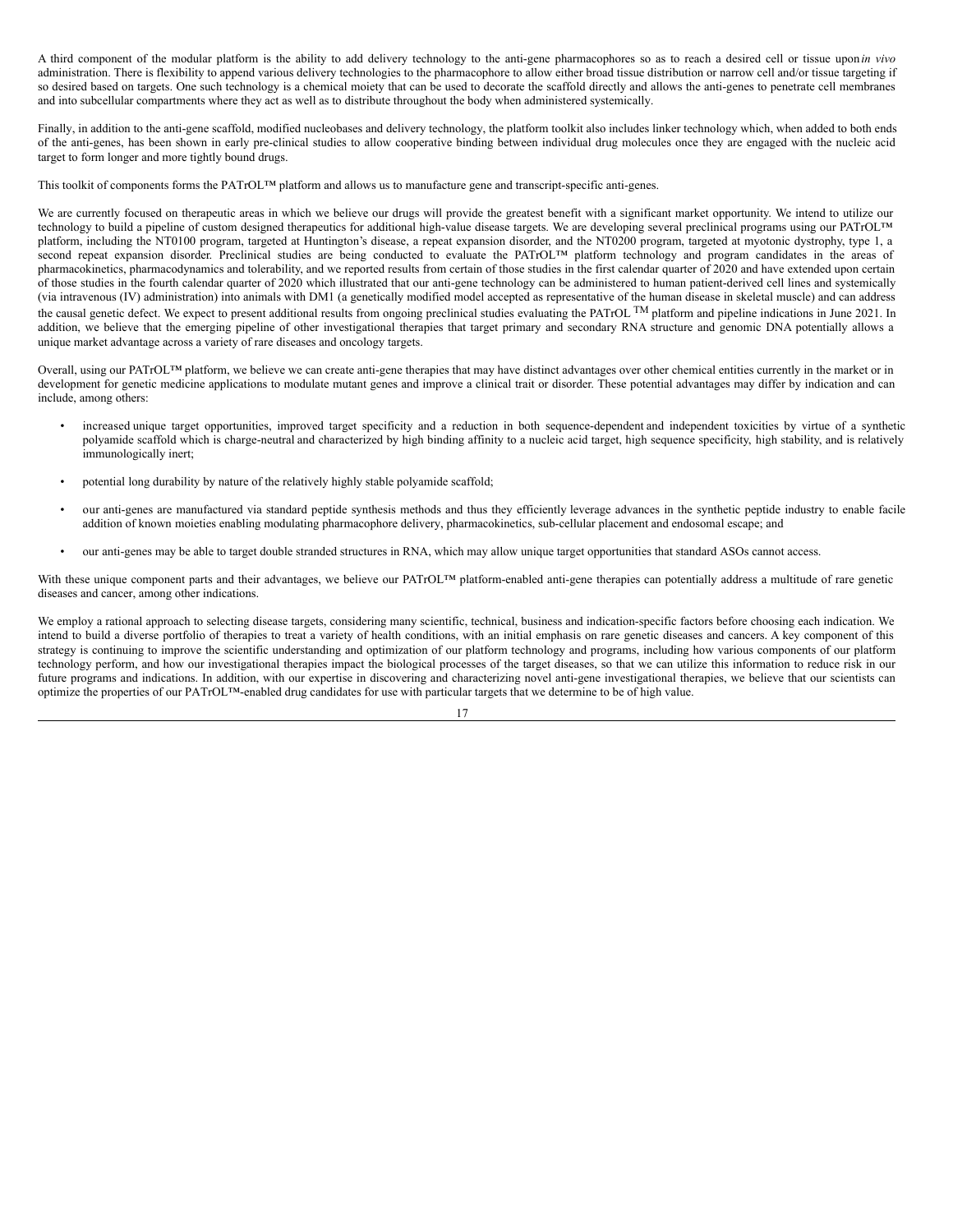A third component of the modular platform is the ability to add delivery technology to the anti-gene pharmacophores so as to reach a desired cell or tissue upon *in vivo* administration. There is flexibility to append various delivery technologies to the pharmacophore to allow either broad tissue distribution or narrow cell and/or tissue targeting if so desired based on targets. One such technology is a chemical moiety that can be used to decorate the scaffold directly and allows the anti-genes to penetrate cell membranes and into subcellular compartments where they act as well as to distribute throughout the body when administered systemically.

Finally, in addition to the anti-gene scaffold, modified nucleobases and delivery technology, the platform toolkit also includes linker technology which, when added to both ends of the anti-genes, has been shown in early pre-clinical studies to allow cooperative binding between individual drug molecules once they are engaged with the nucleic acid target to form longer and more tightly bound drugs.

This toolkit of components forms the PATrOL™ platform and allows us to manufacture gene and transcript-specific anti-genes.

We are currently focused on therapeutic areas in which we believe our drugs will provide the greatest benefit with a significant market opportunity. We intend to utilize our technology to build a pipeline of custom designed therapeutics for additional high-value disease targets. We are developing several preclinical programs using our PATrOL™ platform, including the NT0100 program, targeted at Huntington's disease, a repeat expansion disorder, and the NT0200 program, targeted at myotonic dystrophy, type 1, a second repeat expansion disorder. Preclinical studies are being conducted to evaluate the PATrOL™ platform technology and program candidates in the areas of pharmacokinetics, pharmacodynamics and tolerability, and we reported results from certain of those studies in the first calendar quarter of 2020 and have extended upon certain of those studies in the fourth calendar quarter of 2020 which illustrated that our anti-gene technology can be administered to human patient-derived cell lines and systemically (via intravenous (IV) administration) into animals with DM1 (a genetically modified model accepted as representative of the human disease in skeletal muscle) and can address the causal genetic defect. We expect to present additional results from ongoing preclinical studies evaluating the PATrOL  $^{TM}$  platform and pipeline indications in June 2021. In addition, we believe that the emerging pipeline of other investigational therapies that target primary and secondary RNA structure and genomic DNA potentially allows a unique market advantage across a variety of rare diseases and oncology targets.

Overall, using our PATrOL™ platform, we believe we can create anti-gene therapies that may have distinct advantages over other chemical entities currently in the market or in development for genetic medicine applications to modulate mutant genes and improve a clinical trait or disorder. These potential advantages may differ by indication and can include, among others:

- increased unique target opportunities, improved target specificity and a reduction in both sequence-dependent and independent toxicities by virtue of a synthetic polyamide scaffold which is charge-neutral and characterized by high binding affinity to a nucleic acid target, high sequence specificity, high stability, and is relatively immunologically inert;
- potential long durability by nature of the relatively highly stable polyamide scaffold;
- our anti-genes are manufactured via standard peptide synthesis methods and thus they efficiently leverage advances in the synthetic peptide industry to enable facile addition of known moieties enabling modulating pharmacophore delivery, pharmacokinetics, sub-cellular placement and endosomal escape; and
- our anti-genes may be able to target double stranded structures in RNA, which may allow unique target opportunities that standard ASOs cannot access.

With these unique component parts and their advantages, we believe our PATrOL™ platform-enabled anti-gene therapies can potentially address a multitude of rare genetic diseases and cancer, among other indications.

We employ a rational approach to selecting disease targets, considering many scientific, technical, business and indication-specific factors before choosing each indication. We intend to build a diverse portfolio of therapies to treat a variety of health conditions, with an initial emphasis on rare genetic diseases and cancers. A key component of this strategy is continuing to improve the scientific understanding and optimization of our platform technology and programs, including how various components of our platform technology perform, and how our investigational therapies impact the biological processes of the target diseases, so that we can utilize this information to reduce risk in our future programs and indications. In addition, with our expertise in discovering and characterizing novel anti-gene investigational therapies, we believe that our scientists can optimize the properties of our PATrOL™-enabled drug candidates for use with particular targets that we determine to be of high value.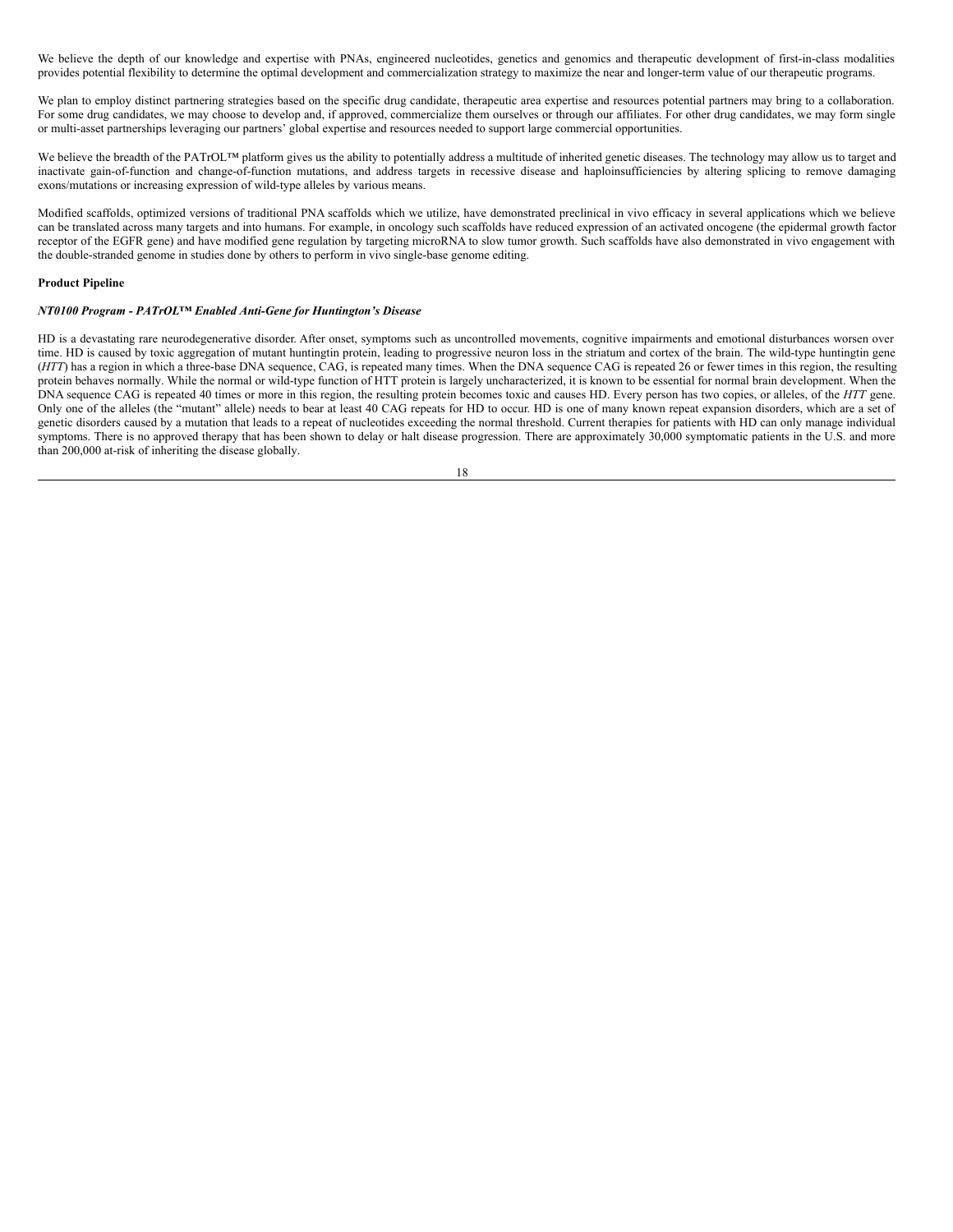We believe the depth of our knowledge and expertise with PNAs, engineered nucleotides, genetics and genomics and therapeutic development of first-in-class modalities provides potential flexibility to determine the optimal development and commercialization strategy to maximize the near and longer-term value of our therapeutic programs.

We plan to employ distinct partnering strategies based on the specific drug candidate, therapeutic area expertise and resources potential partners may bring to a collaboration. For some drug candidates, we may choose to develop and, if approved, commercialize them ourselves or through our affiliates. For other drug candidates, we may form single or multi-asset partnerships leveraging our partners' global expertise and resources needed to support large commercial opportunities.

We believe the breadth of the PATrOL<sup>™</sup> platform gives us the ability to potentially address a multitude of inherited genetic diseases. The technology may allow us to target and inactivate gain-of-function and change-of-function mutations, and address targets in recessive disease and haploinsufficiencies by altering splicing to remove damaging exons/mutations or increasing expression of wild-type alleles by various means.

Modified scaffolds, optimized versions of traditional PNA scaffolds which we utilize, have demonstrated preclinical in vivo efficacy in several applications which we believe can be translated across many targets and into humans. For example, in oncology such scaffolds have reduced expression of an activated oncogene (the epidermal growth factor receptor of the EGFR gene) and have modified gene regulation by targeting microRNA to slow tumor growth. Such scaffolds have also demonstrated in vivo engagement with the double-stranded genome in studies done by others to perform in vivo single-base genome editing.

# **Product Pipeline**

### *NT0100 Program - PATrOL™ Enabled Anti-Gene for Huntington's Disease*

HD is a devastating rare neurodegenerative disorder. After onset, symptoms such as uncontrolled movements, cognitive impairments and emotional disturbances worsen over time. HD is caused by toxic aggregation of mutant huntingtin protein, leading to progressive neuron loss in the striatum and cortex of the brain. The wild-type huntingtin gene (*HTT*) has a region in which a three-base DNA sequence, CAG, is repeated many times. When the DNA sequence CAG is repeated 26 or fewer times in this region, the resulting protein behaves normally. While the normal or wild-type function of HTT protein is largely uncharacterized, it is known to be essential for normal brain development. When the DNA sequence CAG is repeated 40 times or more in this region, the resulting protein becomes toxic and causes HD. Every person has two copies, or alleles, of the *HTT* gene. Only one of the alleles (the "mutant" allele) needs to bear at least 40 CAG repeats for HD to occur. HD is one of many known repeat expansion disorders, which are a set of genetic disorders caused by a mutation that leads to a repeat of nucleotides exceeding the normal threshold. Current therapies for patients with HD can only manage individual symptoms. There is no approved therapy that has been shown to delay or halt disease progression. There are approximately 30,000 symptomatic patients in the U.S. and more than 200,000 at-risk of inheriting the disease globally.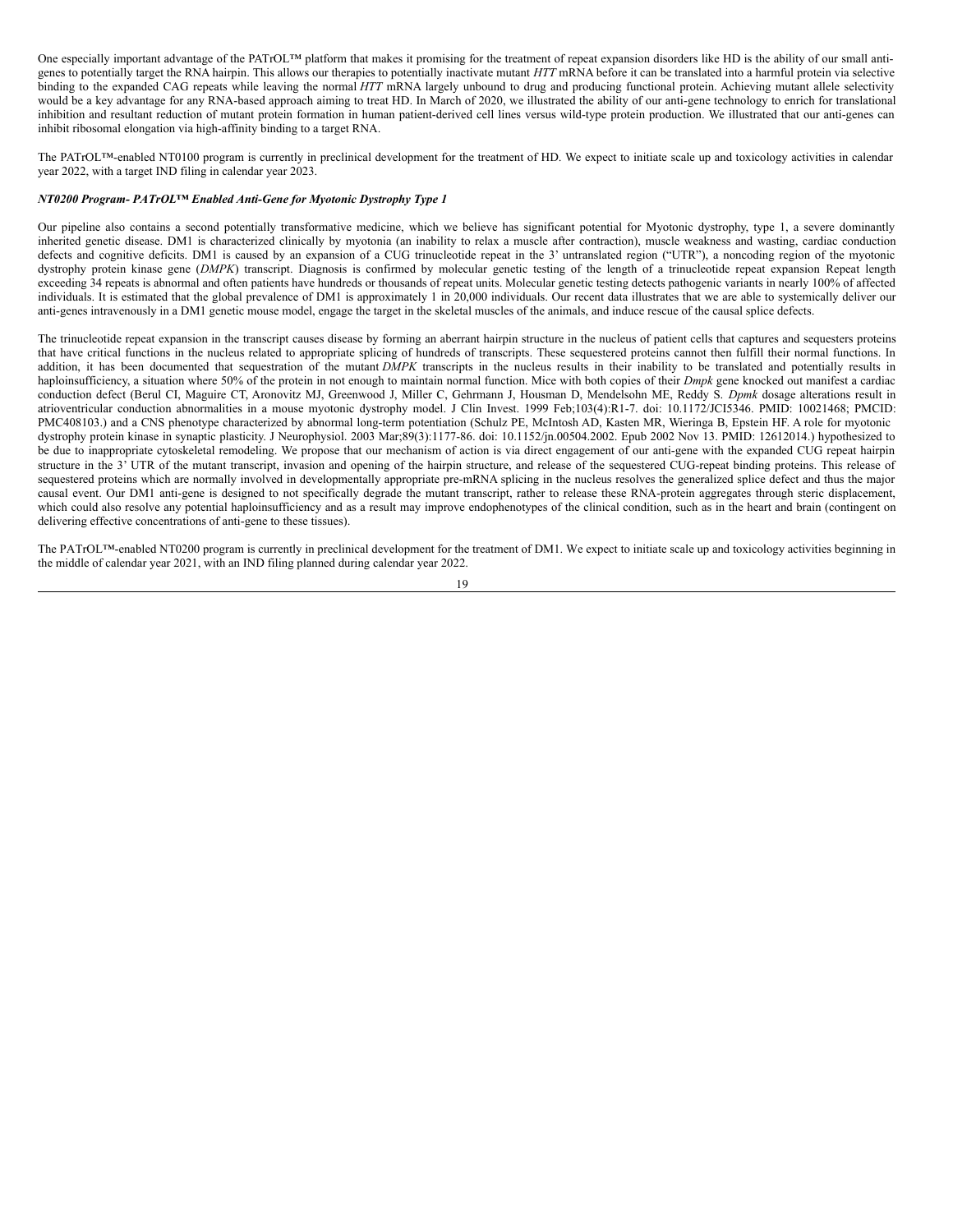One especially important advantage of the PATrOL™ platform that makes it promising for the treatment of repeat expansion disorders like HD is the ability of our small antigenes to potentially target the RNA hairpin. This allows our therapies to potentially inactivate mutant *HTT* mRNA before it can be translated into a harmful protein via selective binding to the expanded CAG repeats while leaving the normal *HTT* mRNA largely unbound to drug and producing functional protein. Achieving mutant allele selectivity would be a key advantage for any RNA-based approach aiming to treat HD. In March of 2020, we illustrated the ability of our anti-gene technology to enrich for translational inhibition and resultant reduction of mutant protein formation in human patient-derived cell lines versus wild-type protein production. We illustrated that our anti-genes can inhibit ribosomal elongation via high-affinity binding to a target RNA.

The PATrOL™-enabled NT0100 program is currently in preclinical development for the treatment of HD. We expect to initiate scale up and toxicology activities in calendar year 2022, with a target IND filing in calendar year 2023.

# *NT0200 Program- PATrOL™ Enabled Anti-Gene for Myotonic Dystrophy Type 1*

Our pipeline also contains a second potentially transformative medicine, which we believe has significant potential for Myotonic dystrophy, type 1, a severe dominantly inherited genetic disease. DM1 is characterized clinically by myotonia (an inability to relax a muscle after contraction), muscle weakness and wasting, cardiac conduction defects and cognitive deficits. DM1 is caused by an expansion of a CUG trinucleotide repeat in the 3' untranslated region ("UTR"), a noncoding region of the myotonic dystrophy protein kinase gene (*DMPK*) transcript. Diagnosis is confirmed by molecular genetic testing of the length of a trinucleotide repeat expansion*.* Repeat length exceeding 34 repeats is abnormal and often patients have hundreds or thousands of repeat units. Molecular genetic testing detects pathogenic variants in nearly 100% of affected individuals. It is estimated that the global prevalence of DM1 is approximately 1 in 20,000 individuals. Our recent data illustrates that we are able to systemically deliver our anti-genes intravenously in a DM1 genetic mouse model, engage the target in the skeletal muscles of the animals, and induce rescue of the causal splice defects.

The trinucleotide repeat expansion in the transcript causes disease by forming an aberrant hairpin structure in the nucleus of patient cells that captures and sequesters proteins that have critical functions in the nucleus related to appropriate splicing of hundreds of transcripts. These sequestered proteins cannot then fulfill their normal functions. In addition, it has been documented that sequestration of the mutant *DMPK* transcripts in the nucleus results in their inability to be translated and potentially results in haploinsufficiency, a situation where 50% of the protein in not enough to maintain normal function. Mice with both copies of their *Dmpk* gene knocked out manifest a cardiac conduction defect (Berul CI, Maguire CT, Aronovitz MJ, Greenwood J, Miller C, Gehrmann J, Housman D, Mendelsohn ME, Reddy S. *Dpmk* dosage alterations result in atrioventricular conduction abnormalities in a mouse myotonic dystrophy model. J Clin Invest. 1999 Feb;103(4):R1-7. doi: 10.1172/JCI5346. PMID: 10021468; PMCID: PMC408103.) and a CNS phenotype characterized by abnormal long-term potentiation (Schulz PE, McIntosh AD, Kasten MR, Wieringa B, Epstein HF. A role for myotonic dystrophy protein kinase in synaptic plasticity. J Neurophysiol. 2003 Mar;89(3):1177-86. doi: 10.1152/jn.00504.2002. Epub 2002 Nov 13. PMID: 12612014.) hypothesized to be due to inappropriate cytoskeletal remodeling. We propose that our mechanism of action is via direct engagement of our anti-gene with the expanded CUG repeat hairpin structure in the 3<sup>2</sup> UTR of the mutant transcript, invasion and opening of the hairpin structure, and release of the sequestered CUG-repeat binding proteins. This release of sequestered proteins which are normally involved in developmentally appropriate pre-mRNA splicing in the nucleus resolves the generalized splice defect and thus the major causal event. Our DM1 anti-gene is designed to not specifically degrade the mutant transcript, rather to release these RNA-protein aggregates through steric displacement, which could also resolve any potential haploinsufficiency and as a result may improve endophenotypes of the clinical condition, such as in the heart and brain (contingent on delivering effective concentrations of anti-gene to these tissues).

The PATrOL™-enabled NT0200 program is currently in preclinical development for the treatment of DM1. We expect to initiate scale up and toxicology activities beginning in the middle of calendar year 2021, with an IND filing planned during calendar year 2022.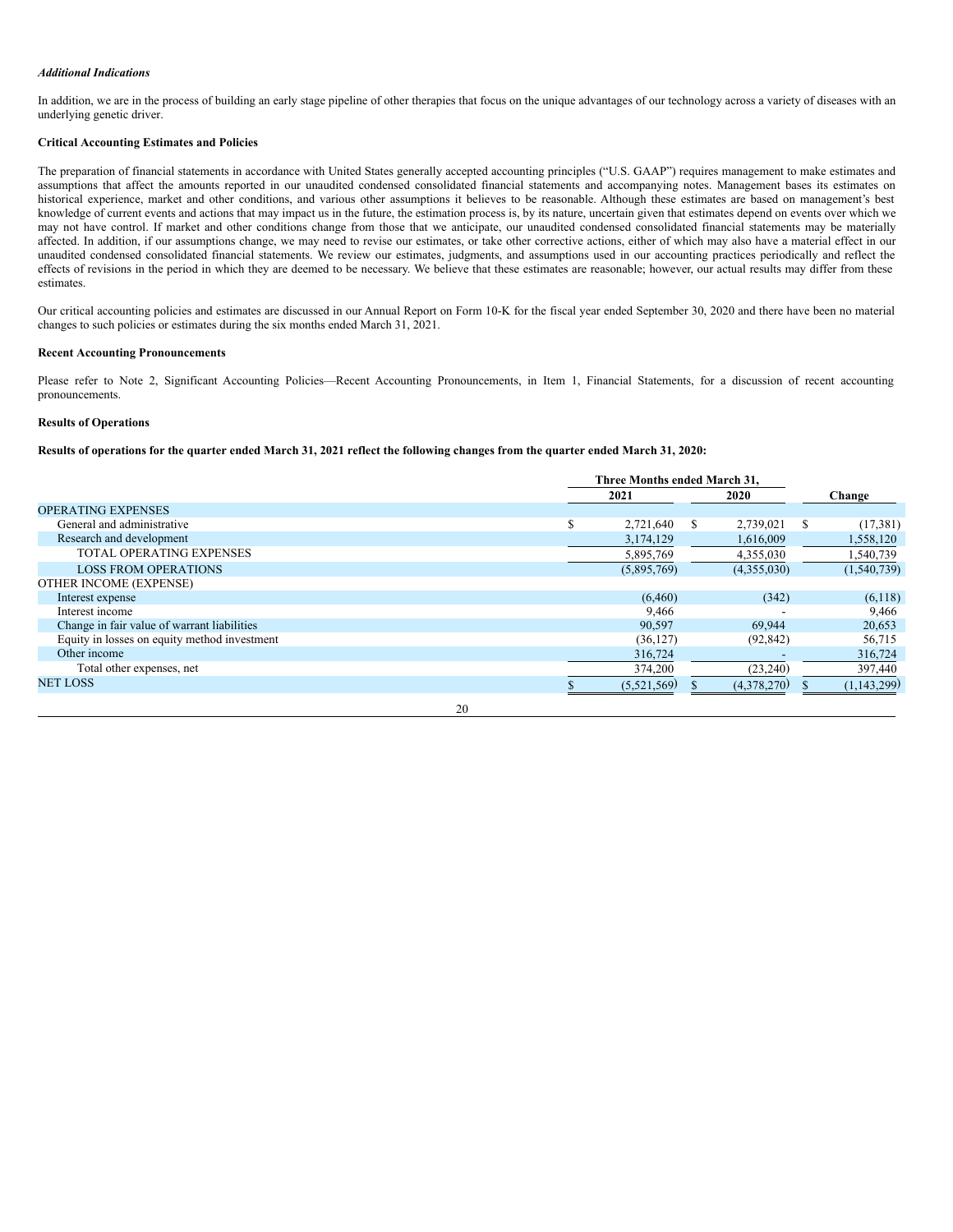#### *Additional Indications*

In addition, we are in the process of building an early stage pipeline of other therapies that focus on the unique advantages of our technology across a variety of diseases with an underlying genetic driver.

# **Critical Accounting Estimates and Policies**

The preparation of financial statements in accordance with United States generally accepted accounting principles ("U.S. GAAP") requires management to make estimates and assumptions that affect the amounts reported in our unaudited condensed consolidated financial statements and accompanying notes. Management bases its estimates on historical experience, market and other conditions, and various other assumptions it believes to be reasonable. Although these estimates are based on management's best knowledge of current events and actions that may impact us in the future, the estimation process is, by its nature, uncertain given that estimates depend on events over which we may not have control. If market and other conditions change from those that we anticipate, our unaudited condensed consolidated financial statements may be materially affected. In addition, if our assumptions change, we may need to revise our estimates, or take other corrective actions, either of which may also have a material effect in our unaudited condensed consolidated financial statements. We review our estimates, judgments, and assumptions used in our accounting practices periodically and reflect the effects of revisions in the period in which they are deemed to be necessary. We believe that these estimates are reasonable; however, our actual results may differ from these estimates.

Our critical accounting policies and estimates are discussed in our Annual Report on Form 10-K for the fiscal year ended September 30, 2020 and there have been no material changes to such policies or estimates during the six months ended March 31, 2021.

# **Recent Accounting Pronouncements**

Please refer to Note 2, Significant Accounting Policies—Recent Accounting Pronouncements, in Item 1, Financial Statements, for a discussion of recent accounting pronouncements.

#### **Results of Operations**

Results of operations for the quarter ended March 31, 2021 reflect the following changes from the quarter ended March 31, 2020:

|                                              |    | Three Months ended March 31, |             |   |             |   |               |
|----------------------------------------------|----|------------------------------|-------------|---|-------------|---|---------------|
|                                              |    |                              | 2021        |   | 2020        |   | Change        |
| <b>OPERATING EXPENSES</b>                    |    |                              |             |   |             |   |               |
| General and administrative                   |    | ъ                            | 2,721,640   | S | 2,739,021   | У | (17, 381)     |
| Research and development                     |    |                              | 3,174,129   |   | 1,616,009   |   | 1,558,120     |
| TOTAL OPERATING EXPENSES                     |    |                              | 5,895,769   |   | 4,355,030   |   | 1,540,739     |
| <b>LOSS FROM OPERATIONS</b>                  |    |                              | (5,895,769) |   | (4,355,030) |   | (1, 540, 739) |
| OTHER INCOME (EXPENSE)                       |    |                              |             |   |             |   |               |
| Interest expense                             |    |                              | (6, 460)    |   | (342)       |   | (6,118)       |
| Interest income                              |    |                              | 9,466       |   |             |   | 9,466         |
| Change in fair value of warrant liabilities  |    |                              | 90,597      |   | 69,944      |   | 20,653        |
| Equity in losses on equity method investment |    |                              | (36,127)    |   | (92, 842)   |   | 56,715        |
| Other income                                 |    |                              | 316,724     |   |             |   | 316,724       |
| Total other expenses, net                    |    |                              | 374,200     |   | (23,240)    |   | 397,440       |
| <b>NET LOSS</b>                              |    |                              | (5,521,569) |   | (4,378,270) |   | (1, 143, 299) |
|                                              | 20 |                              |             |   |             |   |               |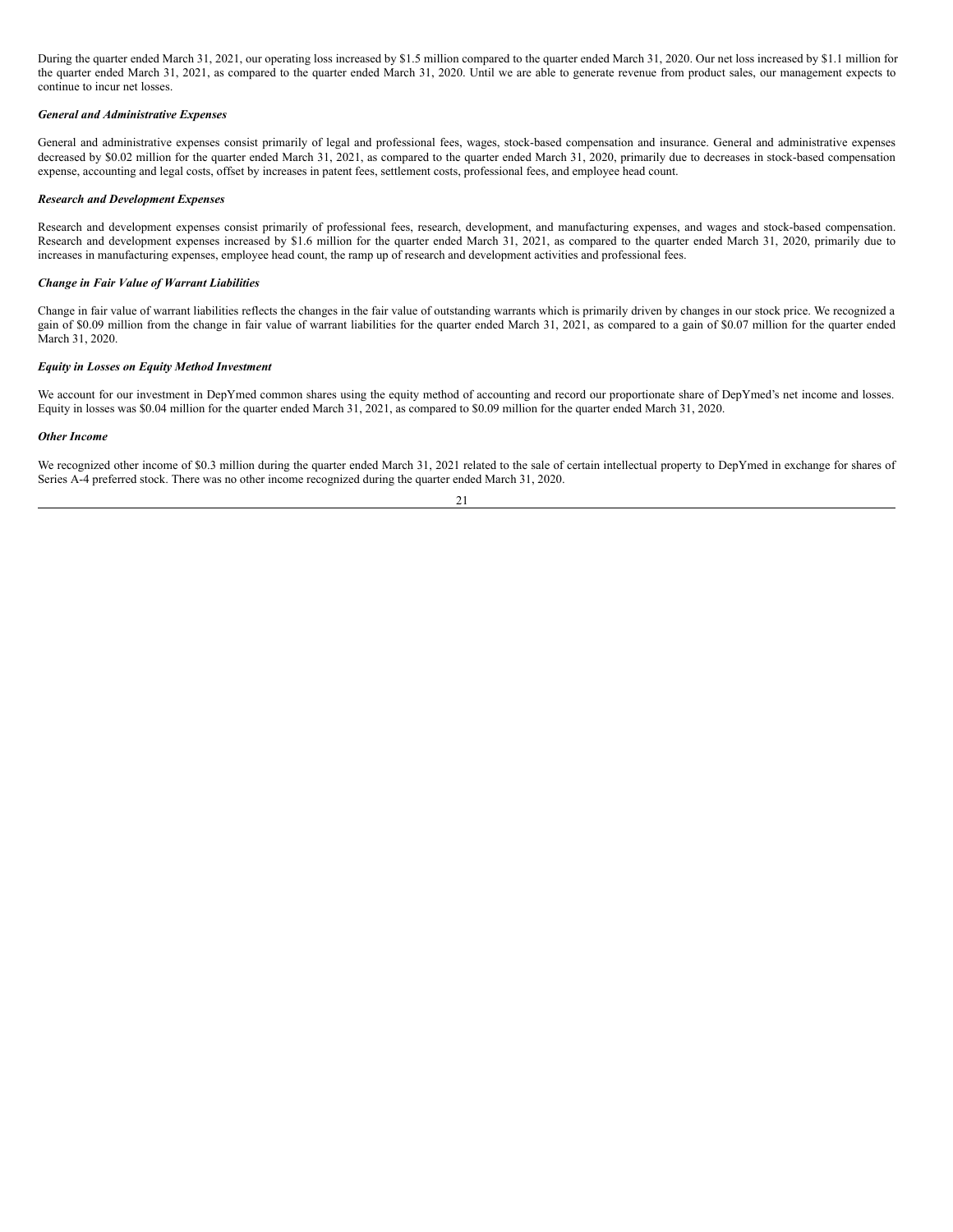During the quarter ended March 31, 2021, our operating loss increased by \$1.5 million compared to the quarter ended March 31, 2020. Our net loss increased by \$1.1 million for the quarter ended March 31, 2021, as compared to the quarter ended March 31, 2020. Until we are able to generate revenue from product sales, our management expects to continue to incur net losses.

# *General and Administrative Expenses*

General and administrative expenses consist primarily of legal and professional fees, wages, stock-based compensation and insurance. General and administrative expenses decreased by \$0.02 million for the quarter ended March 31, 2021, as compared to the quarter ended March 31, 2020, primarily due to decreases in stock-based compensation expense, accounting and legal costs, offset by increases in patent fees, settlement costs, professional fees, and employee head count.

### *Research and Development Expenses*

Research and development expenses consist primarily of professional fees, research, development, and manufacturing expenses, and wages and stock-based compensation. Research and development expenses increased by \$1.6 million for the quarter ended March 31, 2021, as compared to the quarter ended March 31, 2020, primarily due to increases in manufacturing expenses, employee head count, the ramp up of research and development activities and professional fees.

## *Change in Fair Value of Warrant Liabilities*

Change in fair value of warrant liabilities reflects the changes in the fair value of outstanding warrants which is primarily driven by changes in our stock price. We recognized a gain of \$0.09 million from the change in fair value of warrant liabilities for the quarter ended March 31, 2021, as compared to a gain of \$0.07 million for the quarter ended March 31, 2020.

# *Equity in Losses on Equity Method Investment*

We account for our investment in DepYmed common shares using the equity method of accounting and record our proportionate share of DepYmed's net income and losses. Equity in losses was \$0.04 million for the quarter ended March 31, 2021, as compared to \$0.09 million for the quarter ended March 31, 2020.

# *Other Income*

We recognized other income of \$0.3 million during the quarter ended March 31, 2021 related to the sale of certain intellectual property to DepYmed in exchange for shares of Series A-4 preferred stock. There was no other income recognized during the quarter ended March 31, 2020.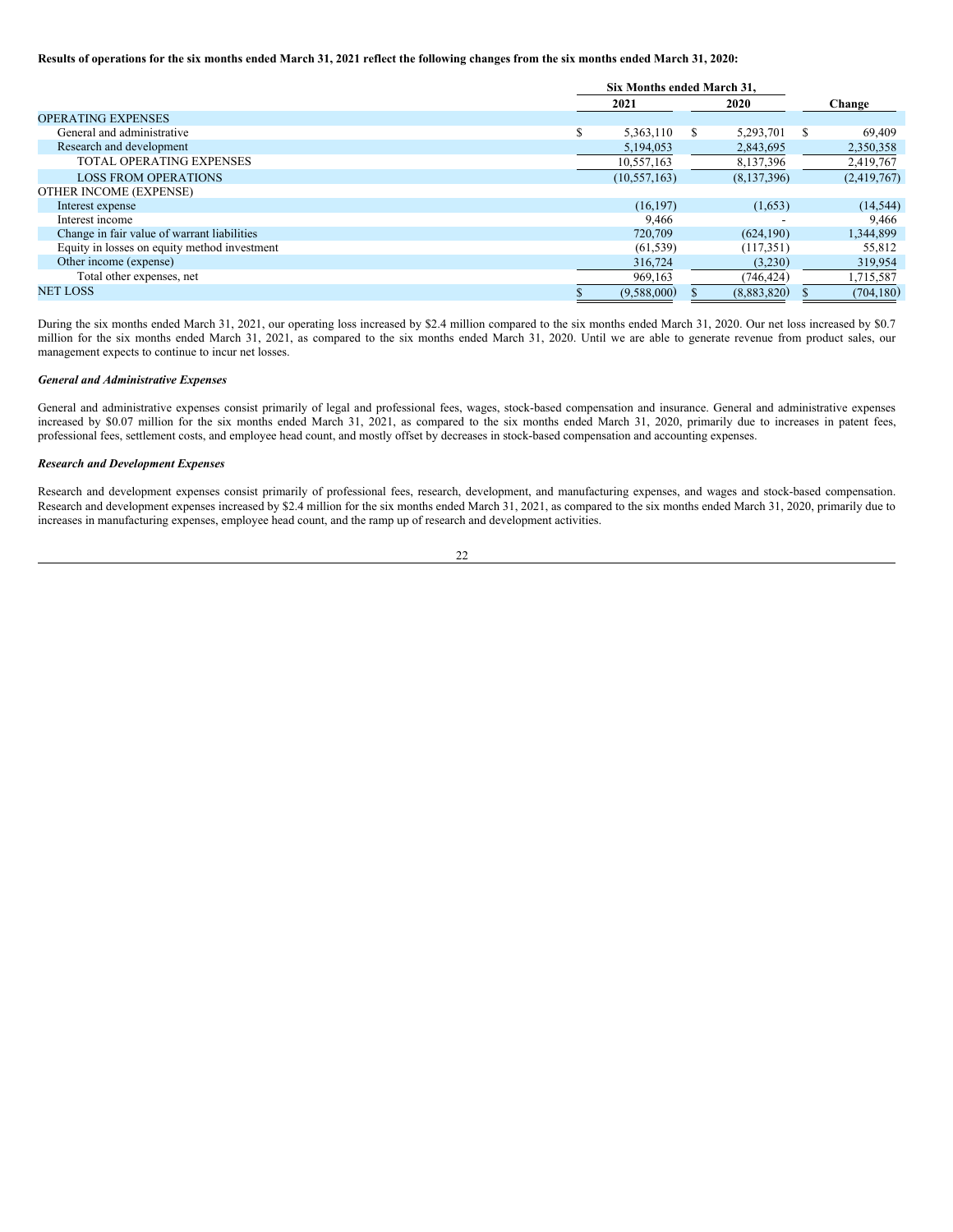# Results of operations for the six months ended March 31, 2021 reflect the following changes from the six months ended March 31, 2020:

|                                              | Six Months ended March 31. |     |             |   |             |
|----------------------------------------------|----------------------------|-----|-------------|---|-------------|
|                                              | 2021                       |     | 2020        |   | Change      |
| <b>OPERATING EXPENSES</b>                    |                            |     |             |   |             |
| General and administrative                   | 5,363,110                  | \$. | 5,293,701   | S | 69,409      |
| Research and development                     | 5,194,053                  |     | 2,843,695   |   | 2,350,358   |
| <b>TOTAL OPERATING EXPENSES</b>              | 10,557,163                 |     | 8,137,396   |   | 2,419,767   |
| <b>LOSS FROM OPERATIONS</b>                  | (10, 557, 163)             |     | (8,137,396) |   | (2,419,767) |
| OTHER INCOME (EXPENSE)                       |                            |     |             |   |             |
| Interest expense                             | (16, 197)                  |     | (1,653)     |   | (14, 544)   |
| Interest income                              | 9,466                      |     |             |   | 9,466       |
| Change in fair value of warrant liabilities  | 720,709                    |     | (624, 190)  |   | 1,344,899   |
| Equity in losses on equity method investment | (61, 539)                  |     | (117,351)   |   | 55,812      |
| Other income (expense)                       | 316,724                    |     | (3,230)     |   | 319,954     |
| Total other expenses, net                    | 969,163                    |     | (746, 424)  |   | 1,715,587   |
| <b>NET LOSS</b>                              | (9.588.000)                |     | (8,883,820) |   | (704.180)   |

During the six months ended March 31, 2021, our operating loss increased by \$2.4 million compared to the six months ended March 31, 2020. Our net loss increased by \$0.7 million for the six months ended March 31, 2021, as compared to the six months ended March 31, 2020. Until we are able to generate revenue from product sales, our management expects to continue to incur net losses.

#### *General and Administrative Expenses*

General and administrative expenses consist primarily of legal and professional fees, wages, stock-based compensation and insurance. General and administrative expenses increased by \$0.07 million for the six months ended March 31, 2021, as compared to the six months ended March 31, 2020, primarily due to increases in patent fees, professional fees, settlement costs, and employee head count, and mostly offset by decreases in stock-based compensation and accounting expenses.

# *Research and Development Expenses*

Research and development expenses consist primarily of professional fees, research, development, and manufacturing expenses, and wages and stock-based compensation. Research and development expenses increased by \$2.4 million for the six months ended March 31, 2021, as compared to the six months ended March 31, 2020, primarily due to increases in manufacturing expenses, employee head count, and the ramp up of research and development activities.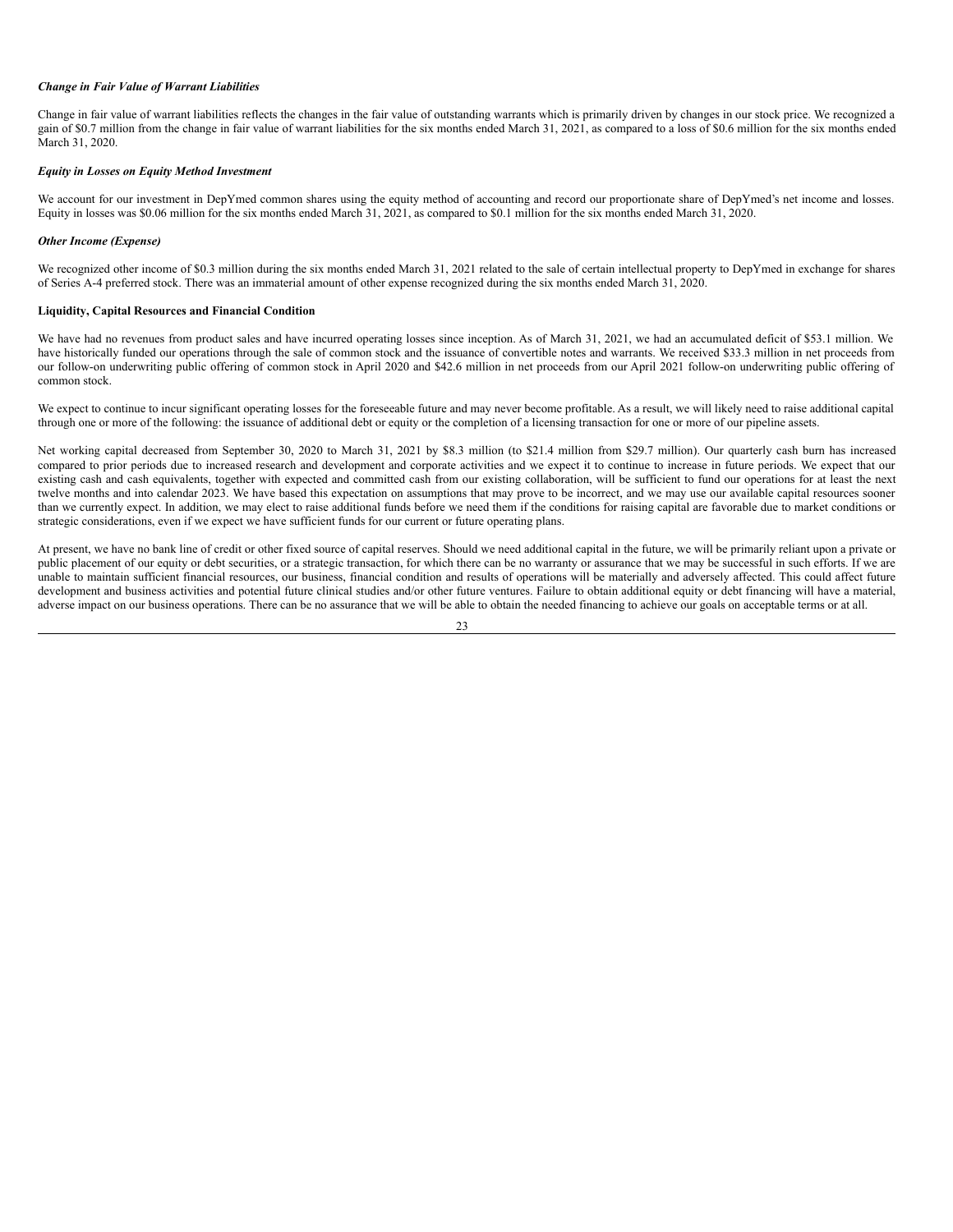# *Change in Fair Value of Warrant Liabilities*

Change in fair value of warrant liabilities reflects the changes in the fair value of outstanding warrants which is primarily driven by changes in our stock price. We recognized a gain of \$0.7 million from the change in fair value of warrant liabilities for the six months ended March 31, 2021, as compared to a loss of \$0.6 million for the six months ended March 31, 2020.

# *Equity in Losses on Equity Method Investment*

We account for our investment in DepYmed common shares using the equity method of accounting and record our proportionate share of DepYmed's net income and losses. Equity in losses was \$0.06 million for the six months ended March 31, 2021, as compared to \$0.1 million for the six months ended March 31, 2020.

# *Other Income (Expense)*

We recognized other income of \$0.3 million during the six months ended March 31, 2021 related to the sale of certain intellectual property to DepYmed in exchange for shares of Series A-4 preferred stock. There was an immaterial amount of other expense recognized during the six months ended March 31, 2020.

# **Liquidity, Capital Resources and Financial Condition**

We have had no revenues from product sales and have incurred operating losses since inception. As of March 31, 2021, we had an accumulated deficit of \$53.1 million. We have historically funded our operations through the sale of common stock and the issuance of convertible notes and warrants. We received \$33.3 million in net proceeds from our follow-on underwriting public offering of common stock in April 2020 and \$42.6 million in net proceeds from our April 2021 follow-on underwriting public offering of common stock.

We expect to continue to incur significant operating losses for the foreseeable future and may never become profitable. As a result, we will likely need to raise additional capital through one or more of the following: the issuance of additional debt or equity or the completion of a licensing transaction for one or more of our pipeline assets.

Net working capital decreased from September 30, 2020 to March 31, 2021 by \$8.3 million (to \$21.4 million from \$29.7 million). Our quarterly cash burn has increased compared to prior periods due to increased research and development and corporate activities and we expect it to continue to increase in future periods. We expect that our existing cash and cash equivalents, together with expected and committed cash from our existing collaboration, will be sufficient to fund our operations for at least the next twelve months and into calendar 2023. We have based this expectation on assumptions that may prove to be incorrect, and we may use our available capital resources sooner than we currently expect. In addition, we may elect to raise additional funds before we need them if the conditions for raising capital are favorable due to market conditions or strategic considerations, even if we expect we have sufficient funds for our current or future operating plans.

At present, we have no bank line of credit or other fixed source of capital reserves. Should we need additional capital in the future, we will be primarily reliant upon a private or public placement of our equity or debt securities, or a strategic transaction, for which there can be no warranty or assurance that we may be successful in such efforts. If we are unable to maintain sufficient financial resources, our business, financial condition and results of operations will be materially and adversely affected. This could affect future development and business activities and potential future clinical studies and/or other future ventures. Failure to obtain additional equity or debt financing will have a material, adverse impact on our business operations. There can be no assurance that we will be able to obtain the needed financing to achieve our goals on acceptable terms or at all.

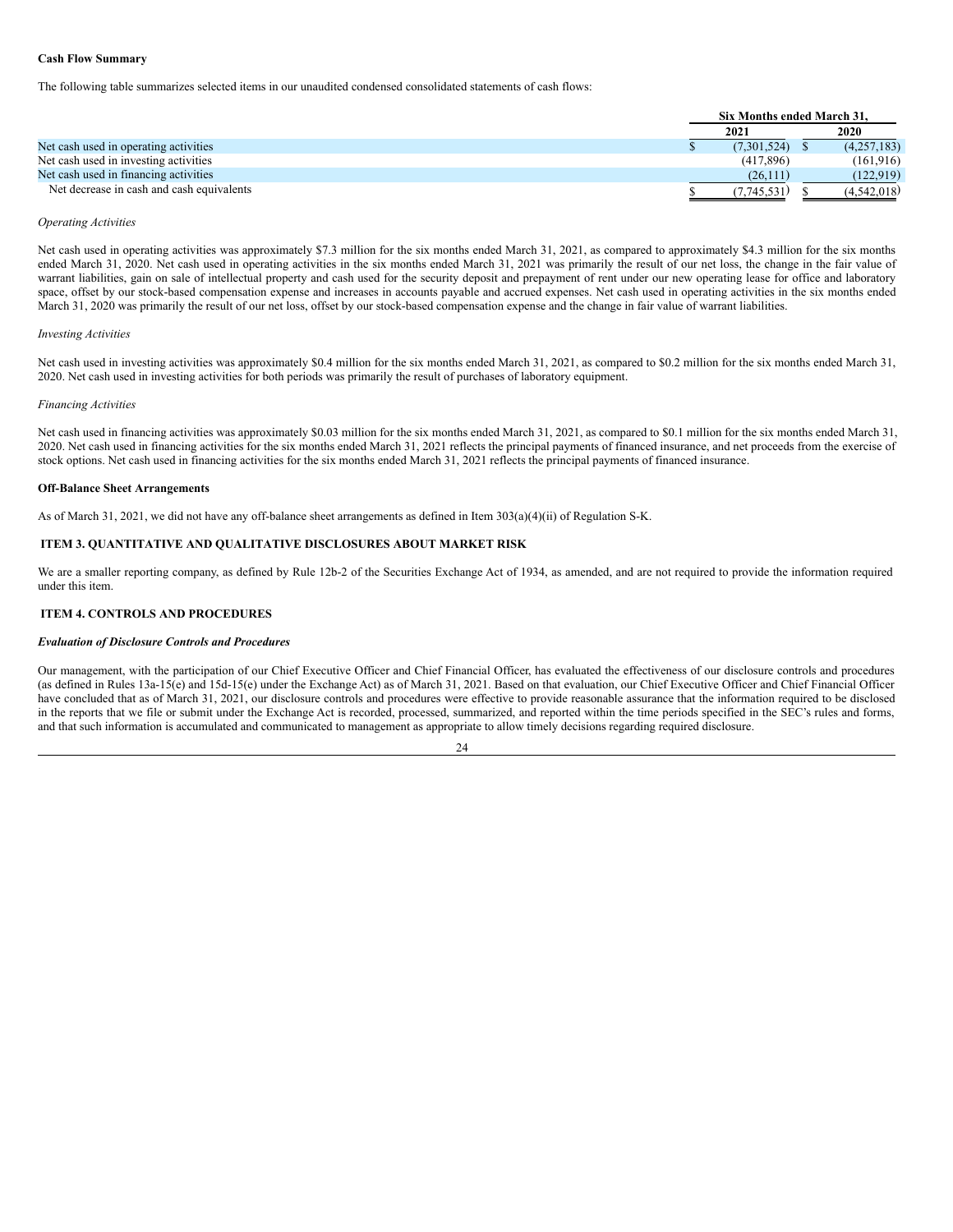# **Cash Flow Summary**

The following table summarizes selected items in our unaudited condensed consolidated statements of cash flows:

|                                           | Six Months ended March 31. |  |             |
|-------------------------------------------|----------------------------|--|-------------|
|                                           | 2021                       |  | 2020        |
| Net cash used in operating activities     | (7.301.524)                |  | (4,257,183) |
| Net cash used in investing activities     | (417.896)                  |  | (161, 916)  |
| Net cash used in financing activities     | (26.111)                   |  | (122, 919)  |
| Net decrease in cash and cash equivalents | (7.745.531)                |  | (4,542,018) |

# *Operating Activities*

Net cash used in operating activities was approximately \$7.3 million for the six months ended March 31, 2021, as compared to approximately \$4.3 million for the six months ended March 31, 2020. Net cash used in operating activities in the six months ended March 31, 2021 was primarily the result of our net loss, the change in the fair value of warrant liabilities, gain on sale of intellectual property and cash used for the security deposit and prepayment of rent under our new operating lease for office and laboratory space, offset by our stock-based compensation expense and increases in accounts payable and accrued expenses. Net cash used in operating activities in the six months ended March 31, 2020 was primarily the result of our net loss, offset by our stock-based compensation expense and the change in fair value of warrant liabilities.

#### *Investing Activities*

Net cash used in investing activities was approximately \$0.4 million for the six months ended March 31, 2021, as compared to \$0.2 million for the six months ended March 31, 2020. Net cash used in investing activities for both periods was primarily the result of purchases of laboratory equipment.

#### *Financing Activities*

Net cash used in financing activities was approximately \$0.03 million for the six months ended March 31, 2021, as compared to \$0.1 million for the six months ended March 31, 2020. Net cash used in financing activities for the six months ended March 31, 2021 reflects the principal payments of financed insurance, and net proceeds from the exercise of stock options. Net cash used in financing activities for the six months ended March 31, 2021 reflects the principal payments of financed insurance.

#### **Off-Balance Sheet Arrangements**

As of March 31, 2021, we did not have any off-balance sheet arrangements as defined in Item 303(a)(4)(ii) of Regulation S-K.

# <span id="page-25-0"></span>**ITEM 3. QUANTITATIVE AND QUALITATIVE DISCLOSURES ABOUT MARKET RISK**

We are a smaller reporting company, as defined by Rule 12b-2 of the Securities Exchange Act of 1934, as amended, and are not required to provide the information required under this item.

# <span id="page-25-1"></span>**ITEM 4. CONTROLS AND PROCEDURES**

#### *Evaluation of Disclosure Controls and Procedures*

Our management, with the participation of our Chief Executive Officer and Chief Financial Officer, has evaluated the effectiveness of our disclosure controls and procedures (as defined in Rules 13a-15(e) and 15d-15(e) under the Exchange Act) as of March 31, 2021. Based on that evaluation, our Chief Executive Officer and Chief Financial Officer have concluded that as of March 31, 2021, our disclosure controls and procedures were effective to provide reasonable assurance that the information required to be disclosed in the reports that we file or submit under the Exchange Act is recorded, processed, summarized, and reported within the time periods specified in the SEC's rules and forms, and that such information is accumulated and communicated to management as appropriate to allow timely decisions regarding required disclosure.

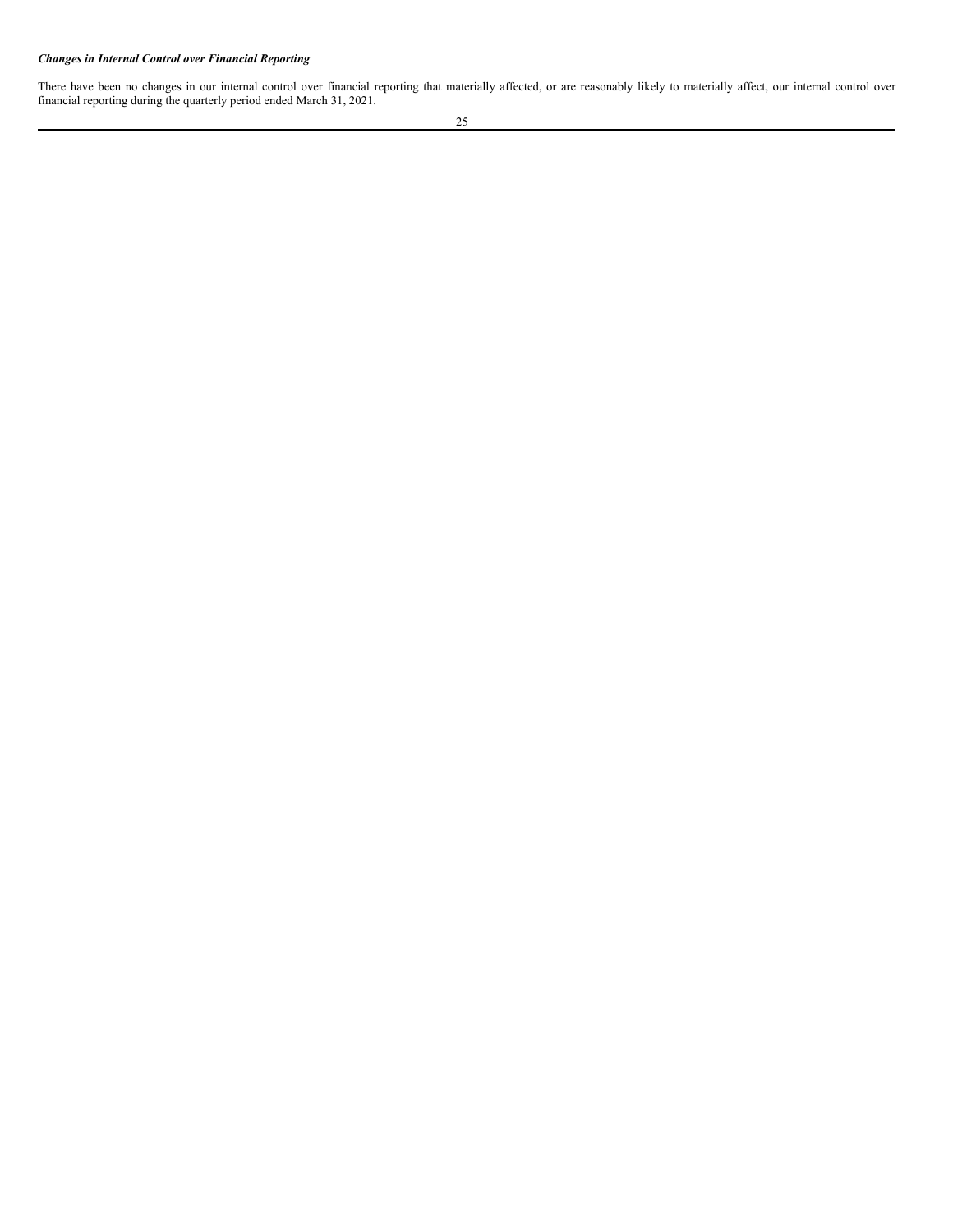# *Changes in Internal Control over Financial Reporting*

There have been no changes in our internal control over financial reporting that materially affected, or are reasonably likely to materially affect, our internal control over financial reporting during the quarterly period ended March 31, 2021.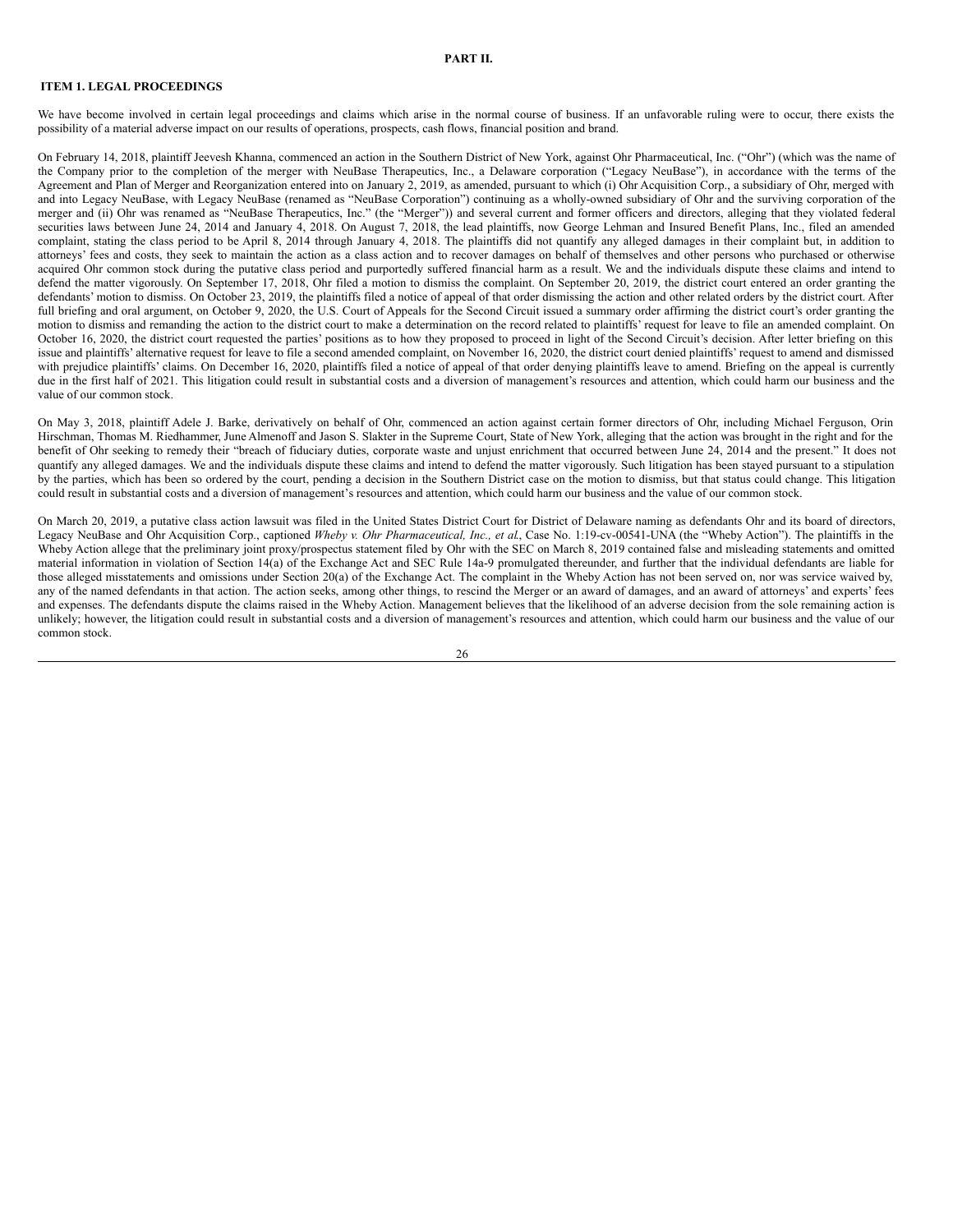# <span id="page-27-1"></span><span id="page-27-0"></span>**ITEM 1. LEGAL PROCEEDINGS**

We have become involved in certain legal proceedings and claims which arise in the normal course of business. If an unfavorable ruling were to occur, there exists the possibility of a material adverse impact on our results of operations, prospects, cash flows, financial position and brand.

On February 14, 2018, plaintiff Jeevesh Khanna, commenced an action in the Southern District of New York, against Ohr Pharmaceutical, Inc. ("Ohr") (which was the name of the Company prior to the completion of the merger with NeuBase Therapeutics, Inc., a Delaware corporation ("Legacy NeuBase"), in accordance with the terms of the Agreement and Plan of Merger and Reorganization entered into on January 2, 2019, as amended, pursuant to which (i) Ohr Acquisition Corp., a subsidiary of Ohr, merged with and into Legacy NeuBase, with Legacy NeuBase (renamed as "NeuBase Corporation") continuing as a wholly-owned subsidiary of Ohr and the surviving corporation of the merger and (ii) Ohr was renamed as "NeuBase Therapeutics, Inc." (the "Merger")) and several current and former officers and directors, alleging that they violated federal securities laws between June 24, 2014 and January 4, 2018. On August 7, 2018, the lead plaintiffs, now George Lehman and Insured Benefit Plans, Inc., filed an amended complaint, stating the class period to be April 8, 2014 through January 4, 2018. The plaintiffs did not quantify any alleged damages in their complaint but, in addition to attorneys' fees and costs, they seek to maintain the action as a class action and to recover damages on behalf of themselves and other persons who purchased or otherwise acquired Ohr common stock during the putative class period and purportedly suffered financial harm as a result. We and the individuals dispute these claims and intend to defend the matter vigorously. On September 17, 2018, Ohr filed a motion to dismiss the complaint. On September 20, 2019, the district court entered an order granting the defendants' motion to dismiss. On October 23, 2019, the plaintiffs filed a notice of appeal of that order dismissing the action and other related orders by the district court. After full briefing and oral argument, on October 9, 2020, the U.S. Court of Appeals for the Second Circuit issued a summary order affirming the district court's order granting the motion to dismiss and remanding the action to the district court to make a determination on the record related to plaintiffs' request for leave to file an amended complaint. On October 16, 2020, the district court requested the parties' positions as to how they proposed to proceed in light of the Second Circuit's decision. After letter briefing on this issue and plaintiffs' alternative request for leave to file a second amended complaint, on November 16, 2020, the district court denied plaintiffs' request to amend and dismissed with prejudice plaintiffs' claims. On December 16, 2020, plaintiffs filed a notice of appeal of that order denying plaintiffs leave to amend. Briefing on the appeal is currently due in the first half of 2021. This litigation could result in substantial costs and a diversion of management's resources and attention, which could harm our business and the value of our common stock.

On May 3, 2018, plaintiff Adele J. Barke, derivatively on behalf of Ohr, commenced an action against certain former directors of Ohr, including Michael Ferguson, Orin Hirschman, Thomas M. Riedhammer, June Almenoff and Jason S. Slakter in the Supreme Court, State of New York, alleging that the action was brought in the right and for the benefit of Ohr seeking to remedy their "breach of fiduciary duties, corporate waste and unjust enrichment that occurred between June 24, 2014 and the present." It does not quantify any alleged damages. We and the individuals dispute these claims and intend to defend the matter vigorously. Such litigation has been stayed pursuant to a stipulation by the parties, which has been so ordered by the court, pending a decision in the Southern District case on the motion to dismiss, but that status could change. This litigation could result in substantial costs and a diversion of management's resources and attention, which could harm our business and the value of our common stock.

On March 20, 2019, a putative class action lawsuit was filed in the United States District Court for District of Delaware naming as defendants Ohr and its board of directors, Legacy NeuBase and Ohr Acquisition Corp., captioned *Wheby v. Ohr Pharmaceutical, Inc., et al*., Case No. 1:19-cv-00541-UNA (the "Wheby Action"). The plaintiffs in the Wheby Action allege that the preliminary joint proxy/prospectus statement filed by Ohr with the SEC on March 8, 2019 contained false and misleading statements and omitted material information in violation of Section 14(a) of the Exchange Act and SEC Rule 14a-9 promulgated thereunder, and further that the individual defendants are liable for those alleged misstatements and omissions under Section 20(a) of the Exchange Act. The complaint in the Wheby Action has not been served on, nor was service waived by, any of the named defendants in that action. The action seeks, among other things, to rescind the Merger or an award of damages, and an award of attorneys' and experts' fees and expenses. The defendants dispute the claims raised in the Wheby Action. Management believes that the likelihood of an adverse decision from the sole remaining action is unlikely; however, the litigation could result in substantial costs and a diversion of management's resources and attention, which could harm our business and the value of our common stock.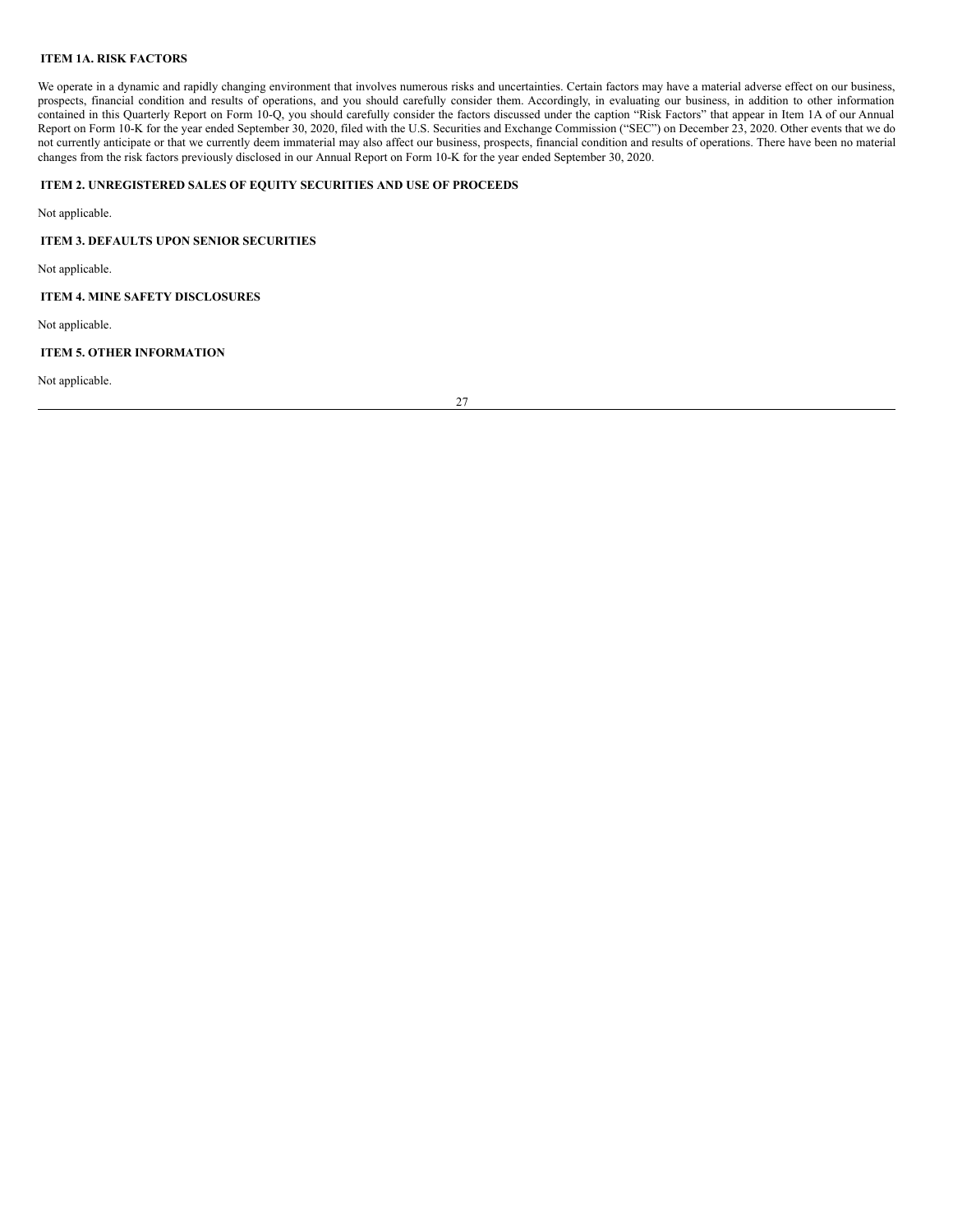# <span id="page-28-0"></span>**ITEM 1A. RISK FACTORS**

We operate in a dynamic and rapidly changing environment that involves numerous risks and uncertainties. Certain factors may have a material adverse effect on our business, prospects, financial condition and results of operations, and you should carefully consider them. Accordingly, in evaluating our business, in addition to other information contained in this Quarterly Report on Form 10-Q, you should carefully consider the factors discussed under the caption "Risk Factors" that appear in Item 1A of our Annual Report on Form 10-K for the year ended September 30, 2020, filed with the U.S. Securities and Exchange Commission ("SEC") on December 23, 2020. Other events that we do not currently anticipate or that we currently deem immaterial may also affect our business, prospects, financial condition and results of operations. There have been no material changes from the risk factors previously disclosed in our Annual Report on Form 10-K for the year ended September 30, 2020.

# <span id="page-28-1"></span>**ITEM 2. UNREGISTERED SALES OF EQUITY SECURITIES AND USE OF PROCEEDS**

Not applicable.

<span id="page-28-2"></span>**ITEM 3. DEFAULTS UPON SENIOR SECURITIES**

Not applicable.

<span id="page-28-3"></span>**ITEM 4. MINE SAFETY DISCLOSURES**

Not applicable.

# <span id="page-28-4"></span>**ITEM 5. OTHER INFORMATION**

Not applicable.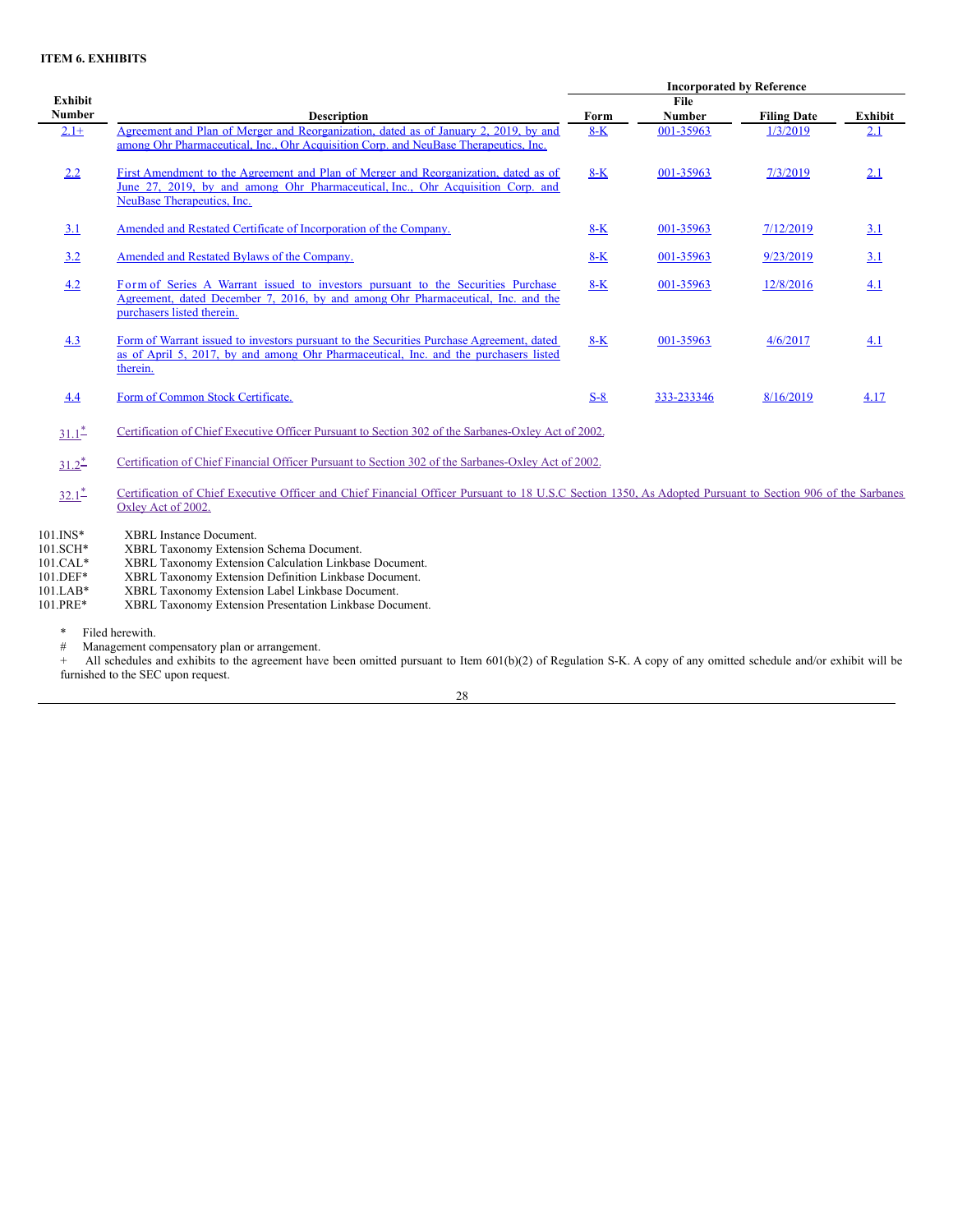# <span id="page-29-0"></span>**ITEM 6. EXHIBITS**

|                |                                                                                                                                                                                                      | <b>Incorporated by Reference</b> |            |                    |         |
|----------------|------------------------------------------------------------------------------------------------------------------------------------------------------------------------------------------------------|----------------------------------|------------|--------------------|---------|
| <b>Exhibit</b> |                                                                                                                                                                                                      |                                  | File       |                    |         |
| <b>Number</b>  | <b>Description</b>                                                                                                                                                                                   | Form                             | Number     | <b>Filing Date</b> | Exhibit |
| $2.1+$         | Agreement and Plan of Merger and Reorganization, dated as of January 2, 2019, by and<br>among Ohr Pharmaceutical, Inc., Ohr Acquisition Corp. and NeuBase Therapeutics, Inc.                         | $8-K$                            | 001-35963  | 1/3/2019           | 2.1     |
| 2.2            | First Amendment to the Agreement and Plan of Merger and Reorganization, dated as of<br>June 27, 2019, by and among Ohr Pharmaceutical, Inc., Ohr Acquisition Corp. and<br>NeuBase Therapeutics, Inc. | $8-K$                            | 001-35963  | 7/3/2019           | 2.1     |
| 3.1            | Amended and Restated Certificate of Incorporation of the Company.                                                                                                                                    | $8-K$                            | 001-35963  | 7/12/2019          | 3.1     |
| 3.2            | Amended and Restated Bylaws of the Company.                                                                                                                                                          | $8-K$                            | 001-35963  | 9/23/2019          | 3.1     |
| 4.2            | Form of Series A Warrant issued to investors pursuant to the Securities Purchase<br>Agreement, dated December 7, 2016, by and among Ohr Pharmaceutical, Inc. and the<br>purchasers listed therein.   | $8-K$                            | 001-35963  | 12/8/2016          | 4.1     |
| 4.3            | Form of Warrant issued to investors pursuant to the Securities Purchase Agreement, dated<br>as of April 5, 2017, by and among Ohr Pharmaceutical, Inc. and the purchasers listed<br>therein.         | $8-K$                            | 001-35963  | 4/6/2017           | 4.1     |
| 4.4            | Form of Common Stock Certificate.                                                                                                                                                                    | $S-8$                            | 333-233346 | 8/16/2019          | 4.17    |
| $31.1^*$       | Certification of Chief Executive Officer Pursuant to Section 302 of the Sarbanes-Oxley Act of 2002.                                                                                                  |                                  |            |                    |         |
| $31.2^*$       | Certification of Chief Financial Officer Pursuant to Section 302 of the Sarbanes-Oxley Act of 2002.                                                                                                  |                                  |            |                    |         |

 $32.1^*$  $32.1^*$ \* [Certification](#page-33-0) of Chief Executive Officer and Chief Financial Officer Pursuant to 18 U.S.C Section 1350, As Adopted Pursuant to Section 906 of the Sarbanes Oxley Act of 2002.

101.INS\* XBRL Instance Document.<br>101.SCH\* XBRL Taxonomy Extension

101.SCH\* XBRL Taxonomy Extension Schema Document.<br>101.CAL\* XBRL Taxonomy Extension Calculation Linkbas

101.CAL\* XBRL Taxonomy Extension Calculation Linkbase Document.<br>101.DEF\* XBRL Taxonomy Extension Definition Linkbase Document.

101.DEF\* XBRL Taxonomy Extension Definition Linkbase Document.<br>101.LAB\* XBRL Taxonomy Extension Label Linkbase Document.

101.LAB\* XBRL Taxonomy Extension Label Linkbase Document.<br>101.PRE\* XBRL Taxonomy Extension Presentation Linkbase Doc

XBRL Taxonomy Extension Presentation Linkbase Document.

\* Filed herewith.<br># Management co

Management compensatory plan or arrangement.

+ All schedules and exhibits to the agreement have been omitted pursuant to Item 601(b)(2) of Regulation S-K. A copy of any omitted schedule and/or exhibit will be furnished to the SEC upon request.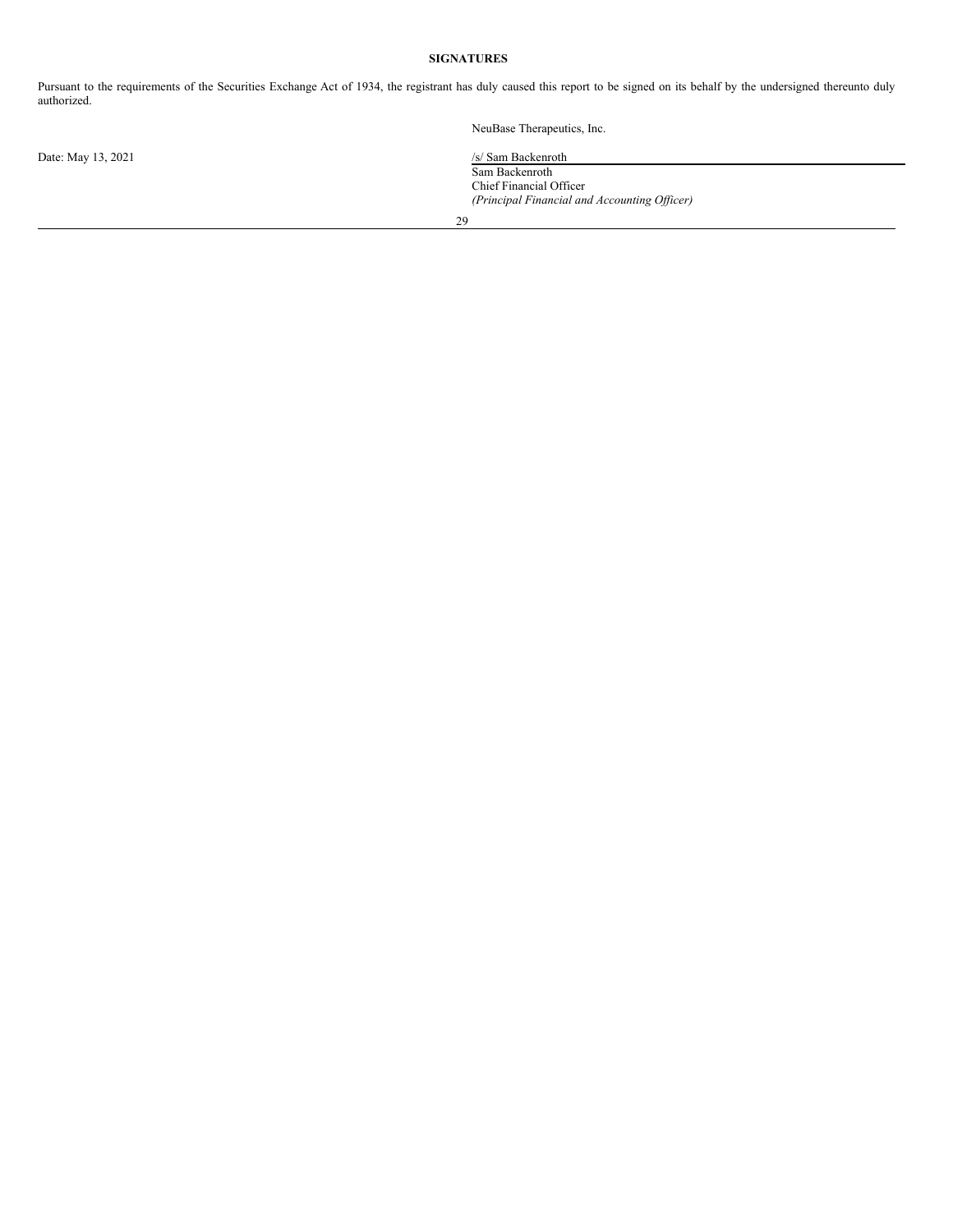# <span id="page-30-0"></span>**SIGNATURES**

Pursuant to the requirements of the Securities Exchange Act of 1934, the registrant has duly caused this report to be signed on its behalf by the undersigned thereunto duly authorized.

|                    | NeuBase Therapeutics, Inc.                                                                                      |  |
|--------------------|-----------------------------------------------------------------------------------------------------------------|--|
| Date: May 13, 2021 | /s/ Sam Backenroth<br>Sam Backenroth<br>Chief Financial Officer<br>(Principal Financial and Accounting Officer) |  |
|                    | 29                                                                                                              |  |
|                    |                                                                                                                 |  |
|                    |                                                                                                                 |  |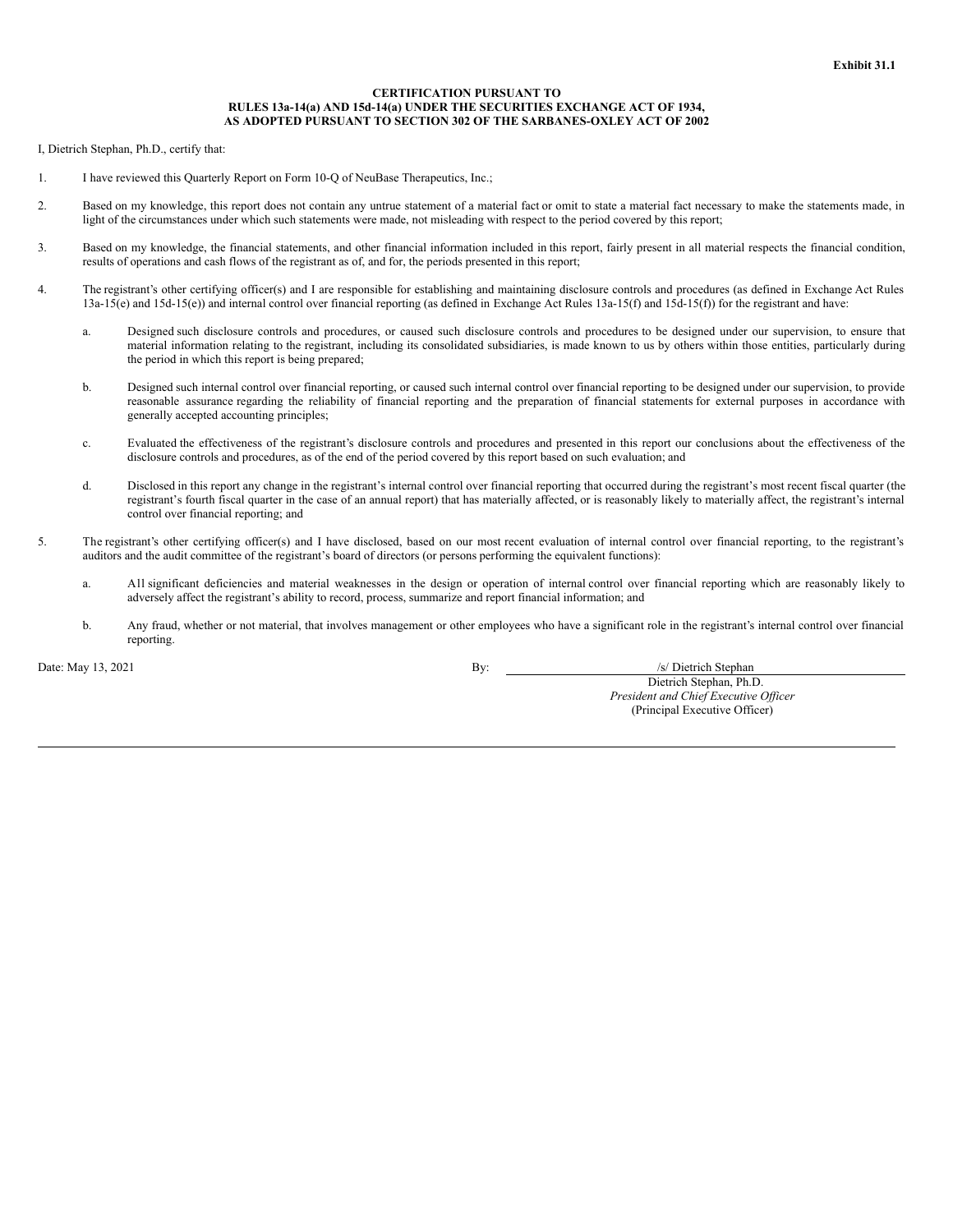# **CERTIFICATION PURSUANT TO RULES 13a-14(a) AND 15d-14(a) UNDER THE SECURITIES EXCHANGE ACT OF 1934, AS ADOPTED PURSUANT TO SECTION 302 OF THE SARBANES-OXLEY ACT OF 2002**

<span id="page-31-0"></span>I, Dietrich Stephan, Ph.D., certify that:

- 1. I have reviewed this Quarterly Report on Form 10-Q of NeuBase Therapeutics, Inc.;
- 2. Based on my knowledge, this report does not contain any untrue statement of a material fact or omit to state a material fact necessary to make the statements made, in light of the circumstances under which such statements were made, not misleading with respect to the period covered by this report;
- 3. Based on my knowledge, the financial statements, and other financial information included in this report, fairly present in all material respects the financial condition, results of operations and cash flows of the registrant as of, and for, the periods presented in this report;
- 4. The registrant's other certifying officer(s) and I are responsible for establishing and maintaining disclosure controls and procedures (as defined in Exchange Act Rules  $13a-15(e)$  and  $15d-15(e)$  and internal control over financial reporting (as defined in Exchange Act Rules  $13a-15(f)$  and  $15d-15(f)$ ) for the registrant and have:
	- a. Designed such disclosure controls and procedures, or caused such disclosure controls and procedures to be designed under our supervision, to ensure that material information relating to the registrant, including its consolidated subsidiaries, is made known to us by others within those entities, particularly during the period in which this report is being prepared;
	- b. Designed such internal control over financial reporting, or caused such internal control over financial reporting to be designed under our supervision, to provide reasonable assurance regarding the reliability of financial reporting and the preparation of financial statements for external purposes in accordance with generally accepted accounting principles;
	- c. Evaluated the effectiveness of the registrant's disclosure controls and procedures and presented in this report our conclusions about the effectiveness of the disclosure controls and procedures, as of the end of the period covered by this report based on such evaluation; and
	- d. Disclosed in this report any change in the registrant's internal control over financial reporting that occurred during the registrant's most recent fiscal quarter (the registrant's fourth fiscal quarter in the case of an annual report) that has materially affected, or is reasonably likely to materially affect, the registrant's internal control over financial reporting; and
- 5. The registrant's other certifying officer(s) and I have disclosed, based on our most recent evaluation of internal control over financial reporting, to the registrant's auditors and the audit committee of the registrant's board of directors (or persons performing the equivalent functions):
	- a. All significant deficiencies and material weaknesses in the design or operation of internal control over financial reporting which are reasonably likely to adversely affect the registrant's ability to record, process, summarize and report financial information; and
	- b. Any fraud, whether or not material, that involves management or other employees who have a significant role in the registrant's internal control over financial reporting.

Date: May 13, 2021 /s/ Dietrich Stephan By: /s/ Dietrich Stephan /s/ Dietrich Stephan

Dietrich Stephan, Ph.D. *President and Chief Executive Of icer* (Principal Executive Officer)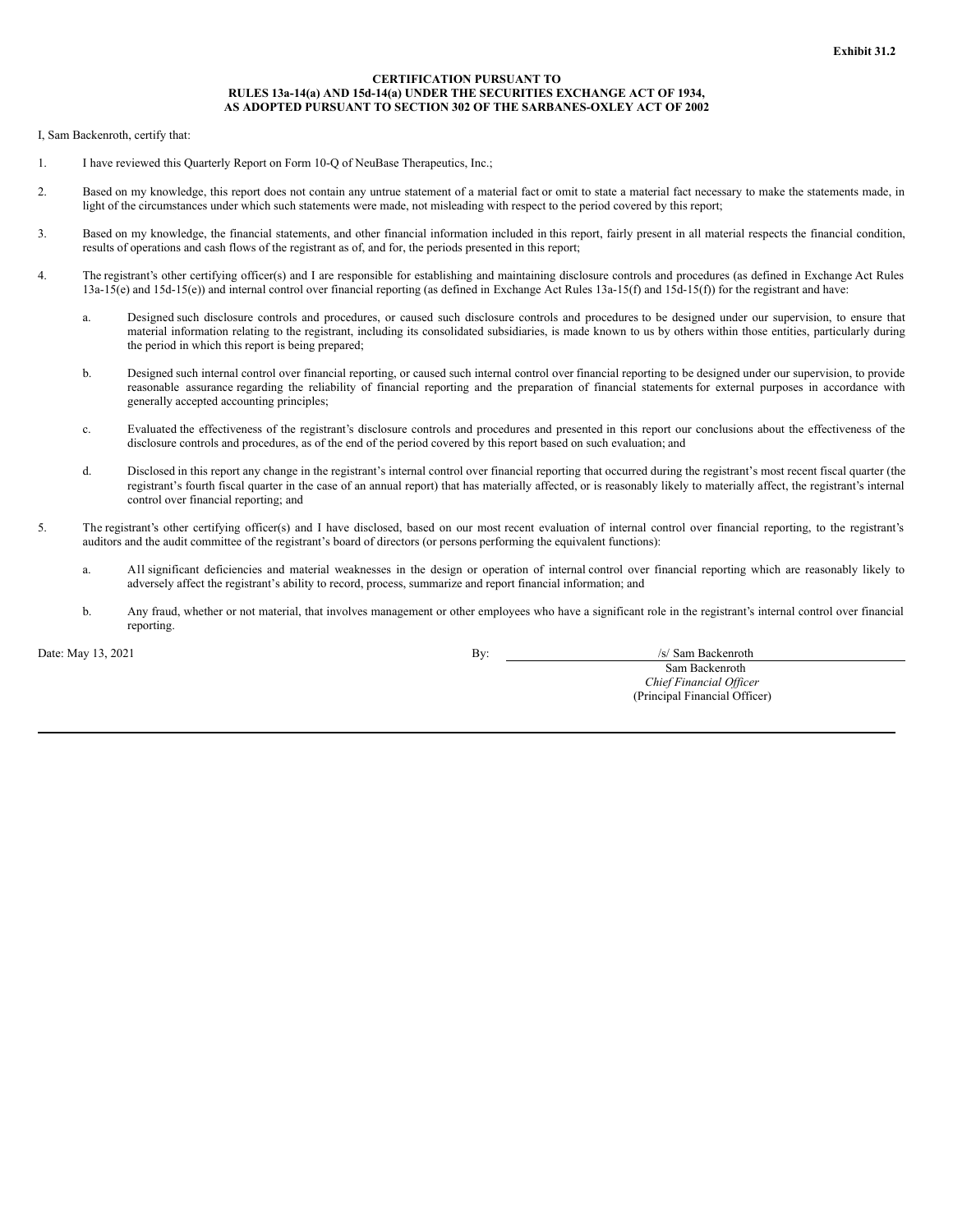# **CERTIFICATION PURSUANT TO RULES 13a-14(a) AND 15d-14(a) UNDER THE SECURITIES EXCHANGE ACT OF 1934, AS ADOPTED PURSUANT TO SECTION 302 OF THE SARBANES-OXLEY ACT OF 2002**

<span id="page-32-0"></span>I, Sam Backenroth, certify that:

- 1. I have reviewed this Quarterly Report on Form 10-Q of NeuBase Therapeutics, Inc.;
- 2. Based on my knowledge, this report does not contain any untrue statement of a material fact or omit to state a material fact necessary to make the statements made, in light of the circumstances under which such statements were made, not misleading with respect to the period covered by this report;
- 3. Based on my knowledge, the financial statements, and other financial information included in this report, fairly present in all material respects the financial condition, results of operations and cash flows of the registrant as of, and for, the periods presented in this report;
- 4. The registrant's other certifying officer(s) and I are responsible for establishing and maintaining disclosure controls and procedures (as defined in Exchange Act Rules 13a-15(e) and 15d-15(e)) and internal control over financial reporting (as defined in Exchange Act Rules 13a-15(f) and 15d-15(f)) for the registrant and have:
	- a. Designed such disclosure controls and procedures, or caused such disclosure controls and procedures to be designed under our supervision, to ensure that material information relating to the registrant, including its consolidated subsidiaries, is made known to us by others within those entities, particularly during the period in which this report is being prepared;
	- b. Designed such internal control over financial reporting, or caused such internal control over financial reporting to be designed under our supervision, to provide reasonable assurance regarding the reliability of financial reporting and the preparation of financial statements for external purposes in accordance with generally accepted accounting principles;
	- c. Evaluated the effectiveness of the registrant's disclosure controls and procedures and presented in this report our conclusions about the effectiveness of the disclosure controls and procedures, as of the end of the period covered by this report based on such evaluation; and
	- d. Disclosed in this report any change in the registrant's internal control over financial reporting that occurred during the registrant's most recent fiscal quarter (the registrant's fourth fiscal quarter in the case of an annual report) that has materially affected, or is reasonably likely to materially affect, the registrant's internal control over financial reporting; and
- 5. The registrant's other certifying officer(s) and I have disclosed, based on our most recent evaluation of internal control over financial reporting, to the registrant's auditors and the audit committee of the registrant's board of directors (or persons performing the equivalent functions):
	- a. All significant deficiencies and material weaknesses in the design or operation of internal control over financial reporting which are reasonably likely to adversely affect the registrant's ability to record, process, summarize and report financial information; and
	- b. Any fraud, whether or not material, that involves management or other employees who have a significant role in the registrant's internal control over financial reporting.

Date: May 13, 2021 **By:** /s/ Sam Backenroth

Sam Backenroth

*Chief Financial Of icer* (Principal Financial Officer)